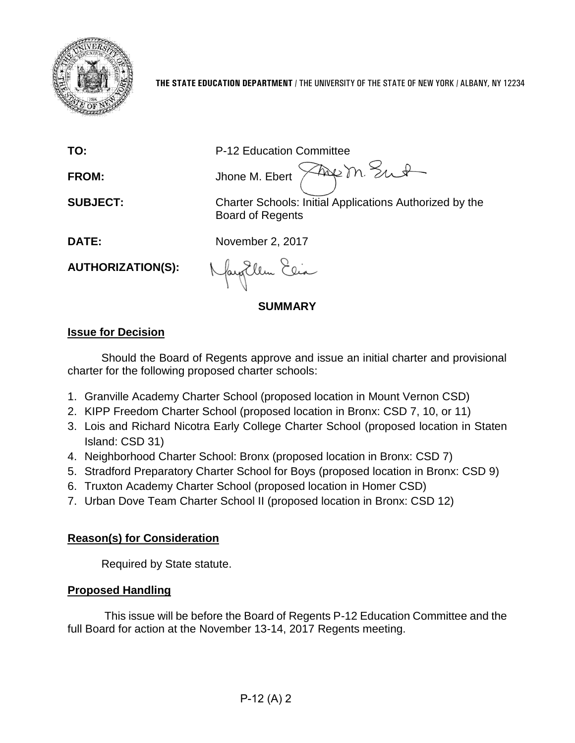

**TO:** P-12 Education Committee

FROM: Jhone M. Ebert  $\sqrt{2\pi}$  m. Sunt

**SUBJECT:** Charter Schools: Initial Applications Authorized by the Board of Regents

**DATE:** November 2, 2017

**AUTHORIZATION(S):**

Nagellem Elia

**SUMMARY**

# **Issue for Decision**

Should the Board of Regents approve and issue an initial charter and provisional charter for the following proposed charter schools:

- 1. Granville Academy Charter School (proposed location in Mount Vernon CSD)
- 2. KIPP Freedom Charter School (proposed location in Bronx: CSD 7, 10, or 11)
- 3. Lois and Richard Nicotra Early College Charter School (proposed location in Staten Island: CSD 31)
- 4. Neighborhood Charter School: Bronx (proposed location in Bronx: CSD 7)
- 5. Stradford Preparatory Charter School for Boys (proposed location in Bronx: CSD 9)
- 6. Truxton Academy Charter School (proposed location in Homer CSD)
- 7. Urban Dove Team Charter School II (proposed location in Bronx: CSD 12)

# **Reason(s) for Consideration**

Required by State statute.

# **Proposed Handling**

This issue will be before the Board of Regents P-12 Education Committee and the full Board for action at the November 13-14, 2017 Regents meeting.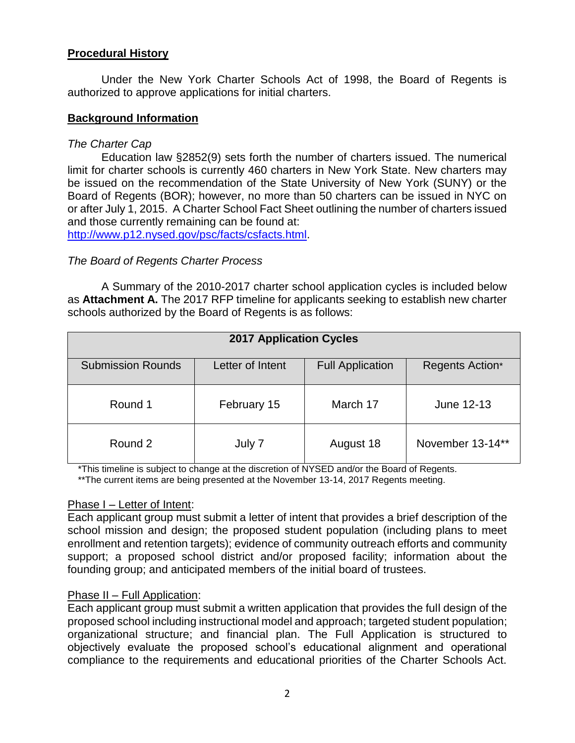#### **Procedural History**

Under the New York Charter Schools Act of 1998, the Board of Regents is authorized to approve applications for initial charters.

#### **Background Information**

#### *The Charter Cap*

Education law §2852(9) sets forth the number of charters issued. The numerical limit for charter schools is currently 460 charters in New York State. New charters may be issued on the recommendation of the State University of New York (SUNY) or the Board of Regents (BOR); however, no more than 50 charters can be issued in NYC on or after July 1, 2015. A Charter School Fact Sheet outlining the number of charters issued and those currently remaining can be found at:

[http://www.p12.nysed.gov/psc/facts/csfacts.html.](http://www.p12.nysed.gov/psc/facts/csfacts.html)

#### *The Board of Regents Charter Process*

A Summary of the 2010-2017 charter school application cycles is included below as **Attachment A.** The 2017 RFP timeline for applicants seeking to establish new charter schools authorized by the Board of Regents is as follows:

| <b>2017 Application Cycles</b> |                  |                         |                  |  |
|--------------------------------|------------------|-------------------------|------------------|--|
| <b>Submission Rounds</b>       | Letter of Intent | <b>Full Application</b> | Regents Action*  |  |
| Round 1                        | February 15      | March 17                | June 12-13       |  |
| Round 2                        | July 7           | August 18               | November 13-14** |  |

\*This timeline is subject to change at the discretion of NYSED and/or the Board of Regents.

\*\*The current items are being presented at the November 13-14, 2017 Regents meeting.

#### Phase I – Letter of Intent:

Each applicant group must submit a letter of intent that provides a brief description of the school mission and design; the proposed student population (including plans to meet enrollment and retention targets); evidence of community outreach efforts and community support; a proposed school district and/or proposed facility; information about the founding group; and anticipated members of the initial board of trustees.

#### Phase II – Full Application:

Each applicant group must submit a written application that provides the full design of the proposed school including instructional model and approach; targeted student population; organizational structure; and financial plan. The Full Application is structured to objectively evaluate the proposed school's educational alignment and operational compliance to the requirements and educational priorities of the Charter Schools Act.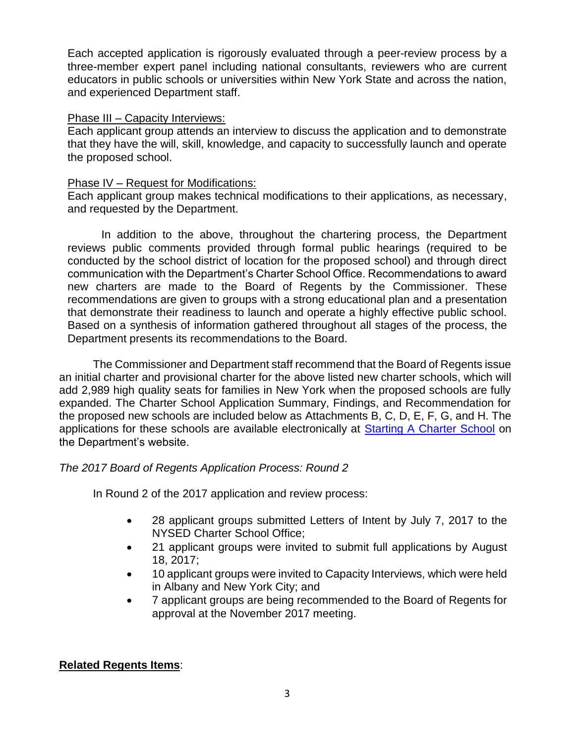Each accepted application is rigorously evaluated through a peer-review process by a three-member expert panel including national consultants, reviewers who are current educators in public schools or universities within New York State and across the nation, and experienced Department staff.

#### Phase III – Capacity Interviews:

Each applicant group attends an interview to discuss the application and to demonstrate that they have the will, skill, knowledge, and capacity to successfully launch and operate the proposed school.

#### Phase IV – Request for Modifications:

Each applicant group makes technical modifications to their applications, as necessary, and requested by the Department.

In addition to the above, throughout the chartering process, the Department reviews public comments provided through formal public hearings (required to be conducted by the school district of location for the proposed school) and through direct communication with the Department's Charter School Office. Recommendations to award new charters are made to the Board of Regents by the Commissioner. These recommendations are given to groups with a strong educational plan and a presentation that demonstrate their readiness to launch and operate a highly effective public school. Based on a synthesis of information gathered throughout all stages of the process, the Department presents its recommendations to the Board.

The Commissioner and Department staff recommend that the Board of Regents issue an initial charter and provisional charter for the above listed new charter schools, which will add 2,989 high quality seats for families in New York when the proposed schools are fully expanded. The Charter School Application Summary, Findings, and Recommendation for the proposed new schools are included below as Attachments B, C, D, E, F, G, and H. The applications for these schools are available electronically at [Starting A Charter School](http://www.p12.nysed.gov/psc/startcharter.html) on the Department's website.

#### *The 2017 Board of Regents Application Process: Round 2*

In Round 2 of the 2017 application and review process:

- 28 applicant groups submitted Letters of Intent by July 7, 2017 to the NYSED Charter School Office;
- 21 applicant groups were invited to submit full applications by August 18, 2017;
- 10 applicant groups were invited to Capacity Interviews, which were held in Albany and New York City; and
- 7 applicant groups are being recommended to the Board of Regents for approval at the November 2017 meeting.

## **Related Regents Items**: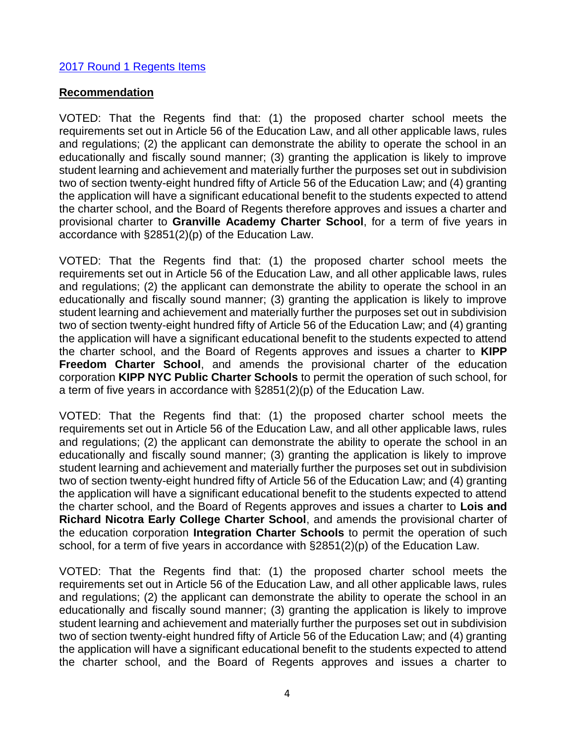#### [2017 Round 1 Regents Items](http://www.regents.nysed.gov/common/regents/files/617p12a5.pdf)

#### **Recommendation**

VOTED: That the Regents find that: (1) the proposed charter school meets the requirements set out in Article 56 of the Education Law, and all other applicable laws, rules and regulations; (2) the applicant can demonstrate the ability to operate the school in an educationally and fiscally sound manner; (3) granting the application is likely to improve student learning and achievement and materially further the purposes set out in subdivision two of section twenty-eight hundred fifty of Article 56 of the Education Law; and (4) granting the application will have a significant educational benefit to the students expected to attend the charter school, and the Board of Regents therefore approves and issues a charter and provisional charter to **Granville Academy Charter School**, for a term of five years in accordance with §2851(2)(p) of the Education Law.

VOTED: That the Regents find that: (1) the proposed charter school meets the requirements set out in Article 56 of the Education Law, and all other applicable laws, rules and regulations; (2) the applicant can demonstrate the ability to operate the school in an educationally and fiscally sound manner; (3) granting the application is likely to improve student learning and achievement and materially further the purposes set out in subdivision two of section twenty-eight hundred fifty of Article 56 of the Education Law; and (4) granting the application will have a significant educational benefit to the students expected to attend the charter school, and the Board of Regents approves and issues a charter to **KIPP Freedom Charter School**, and amends the provisional charter of the education corporation **KIPP NYC Public Charter Schools** to permit the operation of such school, for a term of five years in accordance with §2851(2)(p) of the Education Law.

VOTED: That the Regents find that: (1) the proposed charter school meets the requirements set out in Article 56 of the Education Law, and all other applicable laws, rules and regulations; (2) the applicant can demonstrate the ability to operate the school in an educationally and fiscally sound manner; (3) granting the application is likely to improve student learning and achievement and materially further the purposes set out in subdivision two of section twenty-eight hundred fifty of Article 56 of the Education Law; and (4) granting the application will have a significant educational benefit to the students expected to attend the charter school, and the Board of Regents approves and issues a charter to **Lois and Richard Nicotra Early College Charter School**, and amends the provisional charter of the education corporation **Integration Charter Schools** to permit the operation of such school, for a term of five years in accordance with §2851(2)(p) of the Education Law.

VOTED: That the Regents find that: (1) the proposed charter school meets the requirements set out in Article 56 of the Education Law, and all other applicable laws, rules and regulations; (2) the applicant can demonstrate the ability to operate the school in an educationally and fiscally sound manner; (3) granting the application is likely to improve student learning and achievement and materially further the purposes set out in subdivision two of section twenty-eight hundred fifty of Article 56 of the Education Law; and (4) granting the application will have a significant educational benefit to the students expected to attend the charter school, and the Board of Regents approves and issues a charter to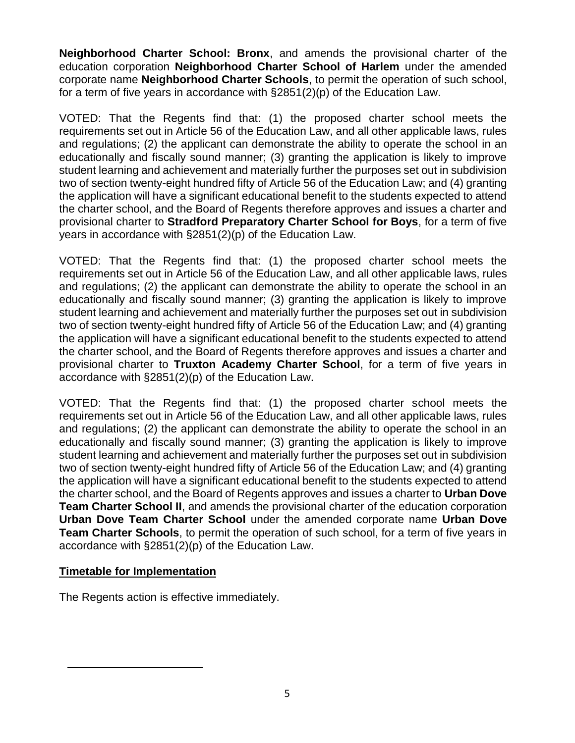**Neighborhood Charter School: Bronx**, and amends the provisional charter of the education corporation **Neighborhood Charter School of Harlem** under the amended corporate name **Neighborhood Charter Schools**, to permit the operation of such school, for a term of five years in accordance with §2851(2)(p) of the Education Law.

VOTED: That the Regents find that: (1) the proposed charter school meets the requirements set out in Article 56 of the Education Law, and all other applicable laws, rules and regulations; (2) the applicant can demonstrate the ability to operate the school in an educationally and fiscally sound manner; (3) granting the application is likely to improve student learning and achievement and materially further the purposes set out in subdivision two of section twenty-eight hundred fifty of Article 56 of the Education Law; and (4) granting the application will have a significant educational benefit to the students expected to attend the charter school, and the Board of Regents therefore approves and issues a charter and provisional charter to **Stradford Preparatory Charter School for Boys**, for a term of five years in accordance with §2851(2)(p) of the Education Law.

VOTED: That the Regents find that: (1) the proposed charter school meets the requirements set out in Article 56 of the Education Law, and all other applicable laws, rules and regulations; (2) the applicant can demonstrate the ability to operate the school in an educationally and fiscally sound manner; (3) granting the application is likely to improve student learning and achievement and materially further the purposes set out in subdivision two of section twenty-eight hundred fifty of Article 56 of the Education Law; and (4) granting the application will have a significant educational benefit to the students expected to attend the charter school, and the Board of Regents therefore approves and issues a charter and provisional charter to **Truxton Academy Charter School**, for a term of five years in accordance with §2851(2)(p) of the Education Law.

VOTED: That the Regents find that: (1) the proposed charter school meets the requirements set out in Article 56 of the Education Law, and all other applicable laws, rules and regulations; (2) the applicant can demonstrate the ability to operate the school in an educationally and fiscally sound manner; (3) granting the application is likely to improve student learning and achievement and materially further the purposes set out in subdivision two of section twenty-eight hundred fifty of Article 56 of the Education Law; and (4) granting the application will have a significant educational benefit to the students expected to attend the charter school, and the Board of Regents approves and issues a charter to **Urban Dove Team Charter School II**, and amends the provisional charter of the education corporation **Urban Dove Team Charter School** under the amended corporate name **Urban Dove Team Charter Schools**, to permit the operation of such school, for a term of five years in accordance with §2851(2)(p) of the Education Law.

#### **Timetable for Implementation**

The Regents action is effective immediately.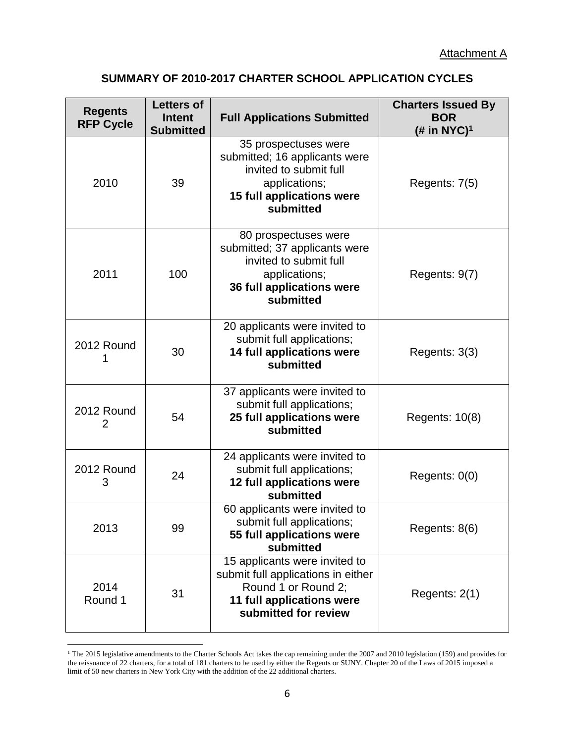# **SUMMARY OF 2010-2017 CHARTER SCHOOL APPLICATION CYCLES**

| <b>Regents</b><br><b>RFP Cycle</b> | <b>Letters of</b><br><b>Intent</b><br><b>Submitted</b> | <b>Full Applications Submitted</b>                                                                                                                | <b>Charters Issued By</b><br><b>BOR</b><br>( <i>#</i> in NYC) <sup>1</sup> |
|------------------------------------|--------------------------------------------------------|---------------------------------------------------------------------------------------------------------------------------------------------------|----------------------------------------------------------------------------|
| 2010                               | 39                                                     | 35 prospectuses were<br>submitted; 16 applicants were<br>invited to submit full<br>applications;<br><b>15 full applications were</b><br>submitted | Regents: 7(5)                                                              |
| 2011                               | 100                                                    | 80 prospectuses were<br>submitted; 37 applicants were<br>invited to submit full<br>applications;<br>36 full applications were<br>submitted        | Regents: 9(7)                                                              |
| 2012 Round                         | 30                                                     | 20 applicants were invited to<br>submit full applications;<br>14 full applications were<br>submitted                                              | Regents: 3(3)                                                              |
| 2012 Round<br>2                    | 54                                                     | 37 applicants were invited to<br>submit full applications;<br>25 full applications were<br>submitted                                              | Regents: 10(8)                                                             |
| 2012 Round<br>3                    | 24                                                     | 24 applicants were invited to<br>submit full applications;<br>12 full applications were<br>submitted                                              | Regents: 0(0)                                                              |
| 2013                               | 99                                                     | 60 applicants were invited to<br>submit full applications;<br>55 full applications were<br>submitted                                              | Regents: 8(6)                                                              |
| 2014<br>Round 1                    | 31                                                     | 15 applicants were invited to<br>submit full applications in either<br>Round 1 or Round 2;<br>11 full applications were<br>submitted for review   | Regents: $2(1)$                                                            |

<sup>&</sup>lt;sup>1</sup> The 2015 legislative amendments to the Charter Schools Act takes the cap remaining under the 2007 and 2010 legislation (159) and provides for the reissuance of 22 charters, for a total of 181 charters to be used by either the Regents or SUNY. Chapter 20 of the Laws of 2015 imposed a limit of 50 new charters in New York City with the addition of the 22 additional charters.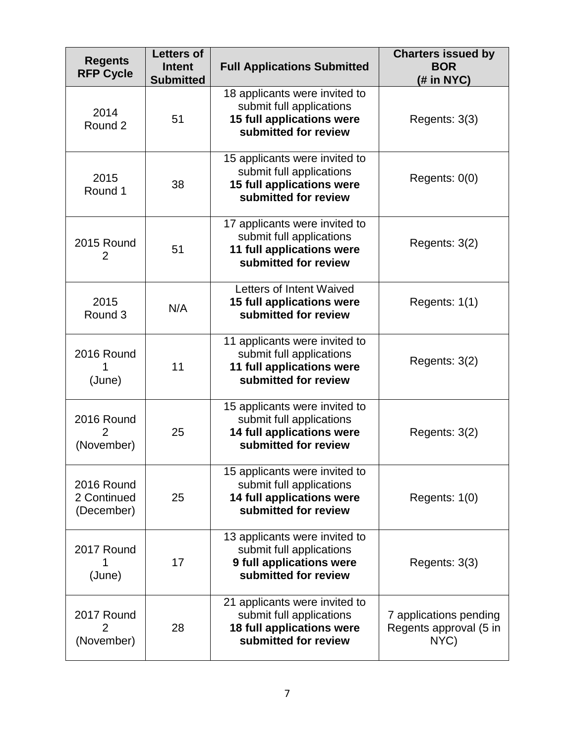| <b>Regents</b><br><b>RFP Cycle</b>      | <b>Letters of</b><br><b>Intent</b><br><b>Submitted</b> | <b>Full Applications Submitted</b>                                                                             | <b>Charters issued by</b><br><b>BOR</b><br>$#$ in NYC)   |
|-----------------------------------------|--------------------------------------------------------|----------------------------------------------------------------------------------------------------------------|----------------------------------------------------------|
| 2014<br>Round 2                         | 51                                                     | 18 applicants were invited to<br>submit full applications<br>15 full applications were<br>submitted for review | Regents: $3(3)$                                          |
| 2015<br>Round 1                         | 38                                                     | 15 applicants were invited to<br>submit full applications<br>15 full applications were<br>submitted for review | Regents: $0(0)$                                          |
| 2015 Round<br>2                         | 51                                                     | 17 applicants were invited to<br>submit full applications<br>11 full applications were<br>submitted for review | Regents: $3(2)$                                          |
| 2015<br>Round 3                         | N/A                                                    | Letters of Intent Waived<br>15 full applications were<br>submitted for review                                  | Regents: 1(1)                                            |
| 2016 Round<br>(June)                    | 11                                                     | 11 applicants were invited to<br>submit full applications<br>11 full applications were<br>submitted for review | Regents: 3(2)                                            |
| 2016 Round<br>(November)                | 25                                                     | 15 applicants were invited to<br>submit full applications<br>14 full applications were<br>submitted for review | Regents: 3(2)                                            |
| 2016 Round<br>2 Continued<br>(December) | 25                                                     | 15 applicants were invited to<br>submit full applications<br>14 full applications were<br>submitted for review | Regents: 1(0)                                            |
| 2017 Round<br>(June)                    | 17                                                     | 13 applicants were invited to<br>submit full applications<br>9 full applications were<br>submitted for review  | Regents: 3(3)                                            |
| 2017 Round<br>2<br>(November)           | 28                                                     | 21 applicants were invited to<br>submit full applications<br>18 full applications were<br>submitted for review | 7 applications pending<br>Regents approval (5 in<br>NYC) |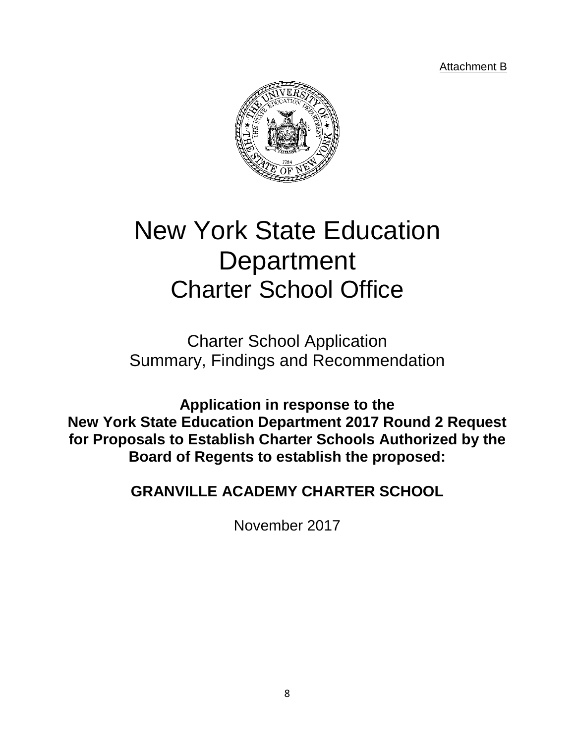Attachment B



# New York State Education **Department** Charter School Office

Charter School Application Summary, Findings and Recommendation

**Application in response to the New York State Education Department 2017 Round 2 Request for Proposals to Establish Charter Schools Authorized by the Board of Regents to establish the proposed:**

**GRANVILLE ACADEMY CHARTER SCHOOL**

November 2017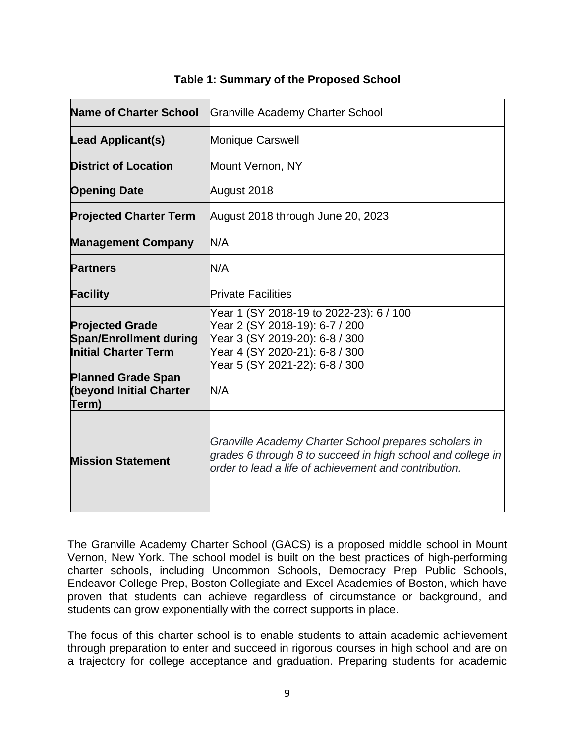| <b>Name of Charter School</b>                                                          | <b>Granville Academy Charter School</b>                                                                                                                                         |
|----------------------------------------------------------------------------------------|---------------------------------------------------------------------------------------------------------------------------------------------------------------------------------|
| <b>Lead Applicant(s)</b>                                                               | <b>Monique Carswell</b>                                                                                                                                                         |
| <b>District of Location</b>                                                            | Mount Vernon, NY                                                                                                                                                                |
| <b>Opening Date</b>                                                                    | August 2018                                                                                                                                                                     |
| <b>Projected Charter Term</b>                                                          | August 2018 through June 20, 2023                                                                                                                                               |
| <b>Management Company</b>                                                              | N/A                                                                                                                                                                             |
| <b>Partners</b>                                                                        | N/A                                                                                                                                                                             |
| <b>Facility</b>                                                                        | <b>Private Facilities</b>                                                                                                                                                       |
| <b>Projected Grade</b><br><b>Span/Enrollment during</b><br><b>Initial Charter Term</b> | Year 1 (SY 2018-19 to 2022-23): 6 / 100<br>Year 2 (SY 2018-19): 6-7 / 200<br>Year 3 (SY 2019-20): 6-8 / 300<br>Year 4 (SY 2020-21): 6-8 / 300<br>Year 5 (SY 2021-22): 6-8 / 300 |
| <b>Planned Grade Span</b><br><b>(beyond Initial Charter</b><br>Term)                   | N/A                                                                                                                                                                             |
| <b>Mission Statement</b>                                                               | Granville Academy Charter School prepares scholars in<br>grades 6 through 8 to succeed in high school and college in<br>order to lead a life of achievement and contribution.   |

#### **Table 1: Summary of the Proposed School**

The Granville Academy Charter School (GACS) is a proposed middle school in Mount Vernon, New York. The school model is built on the best practices of high-performing charter schools, including Uncommon Schools, Democracy Prep Public Schools, Endeavor College Prep, Boston Collegiate and Excel Academies of Boston, which have proven that students can achieve regardless of circumstance or background, and students can grow exponentially with the correct supports in place.

The focus of this charter school is to enable students to attain academic achievement through preparation to enter and succeed in rigorous courses in high school and are on a trajectory for college acceptance and graduation. Preparing students for academic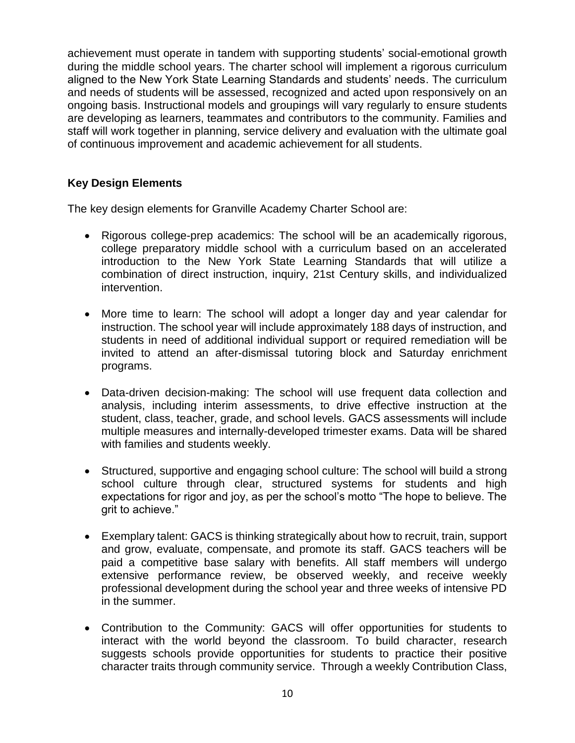achievement must operate in tandem with supporting students' social-emotional growth during the middle school years. The charter school will implement a rigorous curriculum aligned to the New York State Learning Standards and students' needs. The curriculum and needs of students will be assessed, recognized and acted upon responsively on an ongoing basis. Instructional models and groupings will vary regularly to ensure students are developing as learners, teammates and contributors to the community. Families and staff will work together in planning, service delivery and evaluation with the ultimate goal of continuous improvement and academic achievement for all students.

#### **Key Design Elements**

The key design elements for Granville Academy Charter School are:

- Rigorous college-prep academics: The school will be an academically rigorous, college preparatory middle school with a curriculum based on an accelerated introduction to the New York State Learning Standards that will utilize a combination of direct instruction, inquiry, 21st Century skills, and individualized intervention.
- More time to learn: The school will adopt a longer day and year calendar for instruction. The school year will include approximately 188 days of instruction, and students in need of additional individual support or required remediation will be invited to attend an after-dismissal tutoring block and Saturday enrichment programs.
- Data-driven decision-making: The school will use frequent data collection and analysis, including interim assessments, to drive effective instruction at the student, class, teacher, grade, and school levels. GACS assessments will include multiple measures and internally-developed trimester exams. Data will be shared with families and students weekly.
- Structured, supportive and engaging school culture: The school will build a strong school culture through clear, structured systems for students and high expectations for rigor and joy, as per the school's motto "The hope to believe. The grit to achieve."
- Exemplary talent: GACS is thinking strategically about how to recruit, train, support and grow, evaluate, compensate, and promote its staff. GACS teachers will be paid a competitive base salary with benefits. All staff members will undergo extensive performance review, be observed weekly, and receive weekly professional development during the school year and three weeks of intensive PD in the summer.
- Contribution to the Community: GACS will offer opportunities for students to interact with the world beyond the classroom. To build character, research suggests schools provide opportunities for students to practice their positive character traits through community service. Through a weekly Contribution Class,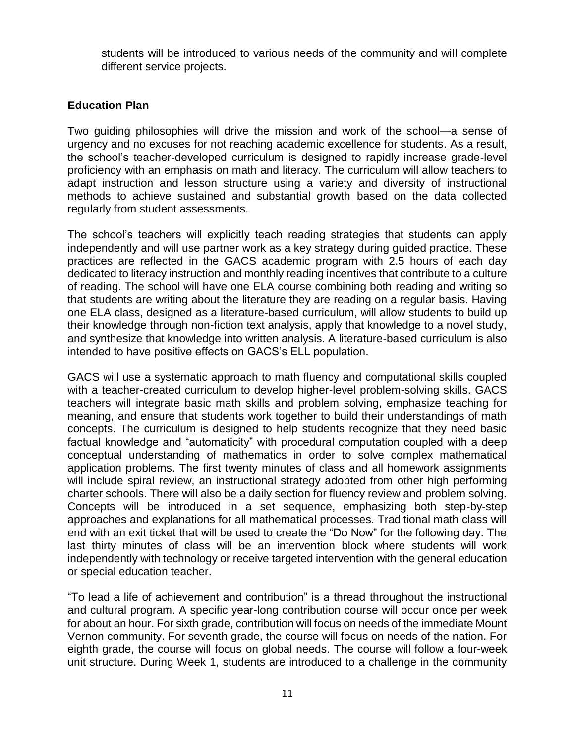students will be introduced to various needs of the community and will complete different service projects.

#### **Education Plan**

Two guiding philosophies will drive the mission and work of the school—a sense of urgency and no excuses for not reaching academic excellence for students. As a result, the school's teacher-developed curriculum is designed to rapidly increase grade-level proficiency with an emphasis on math and literacy. The curriculum will allow teachers to adapt instruction and lesson structure using a variety and diversity of instructional methods to achieve sustained and substantial growth based on the data collected regularly from student assessments.

The school's teachers will explicitly teach reading strategies that students can apply independently and will use partner work as a key strategy during guided practice. These practices are reflected in the GACS academic program with 2.5 hours of each day dedicated to literacy instruction and monthly reading incentives that contribute to a culture of reading. The school will have one ELA course combining both reading and writing so that students are writing about the literature they are reading on a regular basis. Having one ELA class, designed as a literature-based curriculum, will allow students to build up their knowledge through non-fiction text analysis, apply that knowledge to a novel study, and synthesize that knowledge into written analysis. A literature-based curriculum is also intended to have positive effects on GACS's ELL population.

GACS will use a systematic approach to math fluency and computational skills coupled with a teacher-created curriculum to develop higher-level problem-solving skills. GACS teachers will integrate basic math skills and problem solving, emphasize teaching for meaning, and ensure that students work together to build their understandings of math concepts. The curriculum is designed to help students recognize that they need basic factual knowledge and "automaticity" with procedural computation coupled with a deep conceptual understanding of mathematics in order to solve complex mathematical application problems. The first twenty minutes of class and all homework assignments will include spiral review, an instructional strategy adopted from other high performing charter schools. There will also be a daily section for fluency review and problem solving. Concepts will be introduced in a set sequence, emphasizing both step-by-step approaches and explanations for all mathematical processes. Traditional math class will end with an exit ticket that will be used to create the "Do Now" for the following day. The last thirty minutes of class will be an intervention block where students will work independently with technology or receive targeted intervention with the general education or special education teacher.

"To lead a life of achievement and contribution" is a thread throughout the instructional and cultural program. A specific year-long contribution course will occur once per week for about an hour. For sixth grade, contribution will focus on needs of the immediate Mount Vernon community. For seventh grade, the course will focus on needs of the nation. For eighth grade, the course will focus on global needs. The course will follow a four-week unit structure. During Week 1, students are introduced to a challenge in the community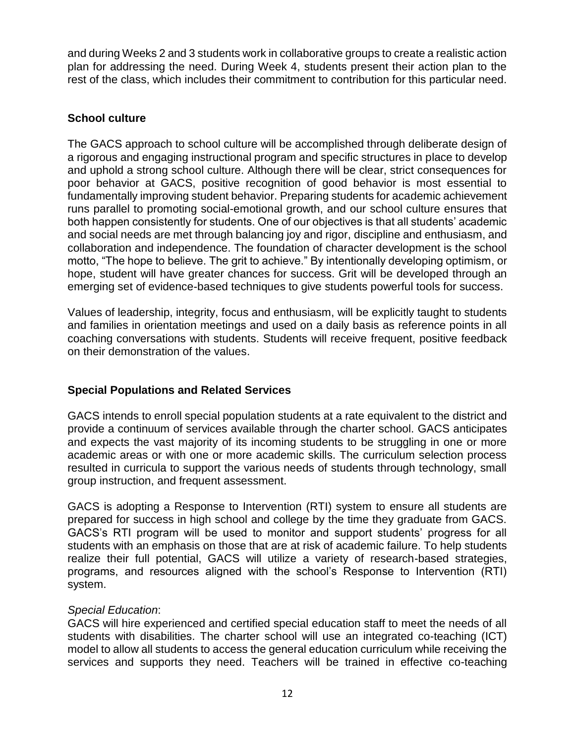and during Weeks 2 and 3 students work in collaborative groups to create a realistic action plan for addressing the need. During Week 4, students present their action plan to the rest of the class, which includes their commitment to contribution for this particular need.

# **School culture**

The GACS approach to school culture will be accomplished through deliberate design of a rigorous and engaging instructional program and specific structures in place to develop and uphold a strong school culture. Although there will be clear, strict consequences for poor behavior at GACS, positive recognition of good behavior is most essential to fundamentally improving student behavior. Preparing students for academic achievement runs parallel to promoting social-emotional growth, and our school culture ensures that both happen consistently for students. One of our objectives is that all students' academic and social needs are met through balancing joy and rigor, discipline and enthusiasm, and collaboration and independence. The foundation of character development is the school motto, "The hope to believe. The grit to achieve." By intentionally developing optimism, or hope, student will have greater chances for success. Grit will be developed through an emerging set of evidence-based techniques to give students powerful tools for success.

Values of leadership, integrity, focus and enthusiasm, will be explicitly taught to students and families in orientation meetings and used on a daily basis as reference points in all coaching conversations with students. Students will receive frequent, positive feedback on their demonstration of the values.

# **Special Populations and Related Services**

GACS intends to enroll special population students at a rate equivalent to the district and provide a continuum of services available through the charter school. GACS anticipates and expects the vast majority of its incoming students to be struggling in one or more academic areas or with one or more academic skills. The curriculum selection process resulted in curricula to support the various needs of students through technology, small group instruction, and frequent assessment.

GACS is adopting a Response to Intervention (RTI) system to ensure all students are prepared for success in high school and college by the time they graduate from GACS. GACS's RTI program will be used to monitor and support students' progress for all students with an emphasis on those that are at risk of academic failure. To help students realize their full potential, GACS will utilize a variety of research-based strategies, programs, and resources aligned with the school's Response to Intervention (RTI) system.

## *Special Education*:

GACS will hire experienced and certified special education staff to meet the needs of all students with disabilities. The charter school will use an integrated co-teaching (ICT) model to allow all students to access the general education curriculum while receiving the services and supports they need. Teachers will be trained in effective co-teaching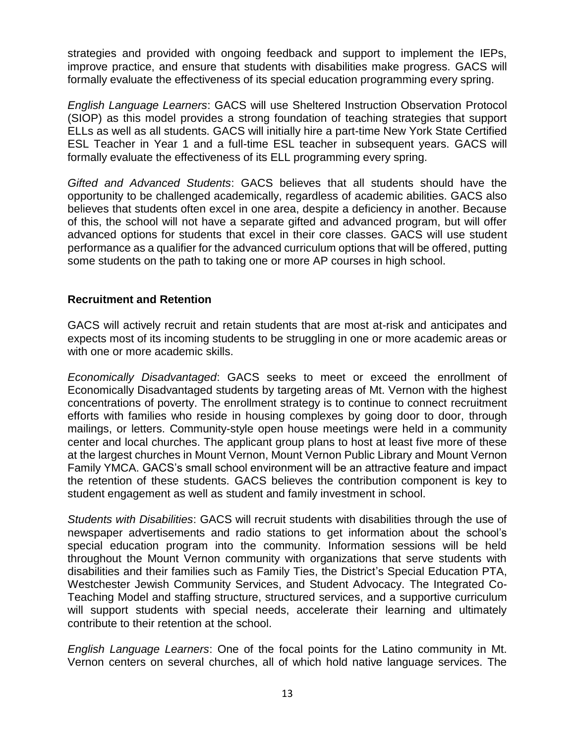strategies and provided with ongoing feedback and support to implement the IEPs, improve practice, and ensure that students with disabilities make progress. GACS will formally evaluate the effectiveness of its special education programming every spring.

*English Language Learners*: GACS will use Sheltered Instruction Observation Protocol (SIOP) as this model provides a strong foundation of teaching strategies that support ELLs as well as all students. GACS will initially hire a part-time New York State Certified ESL Teacher in Year 1 and a full-time ESL teacher in subsequent years. GACS will formally evaluate the effectiveness of its ELL programming every spring.

*Gifted and Advanced Students*: GACS believes that all students should have the opportunity to be challenged academically, regardless of academic abilities. GACS also believes that students often excel in one area, despite a deficiency in another. Because of this, the school will not have a separate gifted and advanced program, but will offer advanced options for students that excel in their core classes. GACS will use student performance as a qualifier for the advanced curriculum options that will be offered, putting some students on the path to taking one or more AP courses in high school.

#### **Recruitment and Retention**

GACS will actively recruit and retain students that are most at-risk and anticipates and expects most of its incoming students to be struggling in one or more academic areas or with one or more academic skills.

*Economically Disadvantaged*: GACS seeks to meet or exceed the enrollment of Economically Disadvantaged students by targeting areas of Mt. Vernon with the highest concentrations of poverty. The enrollment strategy is to continue to connect recruitment efforts with families who reside in housing complexes by going door to door, through mailings, or letters. Community-style open house meetings were held in a community center and local churches. The applicant group plans to host at least five more of these at the largest churches in Mount Vernon, Mount Vernon Public Library and Mount Vernon Family YMCA. GACS's small school environment will be an attractive feature and impact the retention of these students. GACS believes the contribution component is key to student engagement as well as student and family investment in school.

*Students with Disabilities*: GACS will recruit students with disabilities through the use of newspaper advertisements and radio stations to get information about the school's special education program into the community. Information sessions will be held throughout the Mount Vernon community with organizations that serve students with disabilities and their families such as Family Ties, the District's Special Education PTA, Westchester Jewish Community Services, and Student Advocacy. The Integrated Co-Teaching Model and staffing structure, structured services, and a supportive curriculum will support students with special needs, accelerate their learning and ultimately contribute to their retention at the school.

*English Language Learners*: One of the focal points for the Latino community in Mt. Vernon centers on several churches, all of which hold native language services. The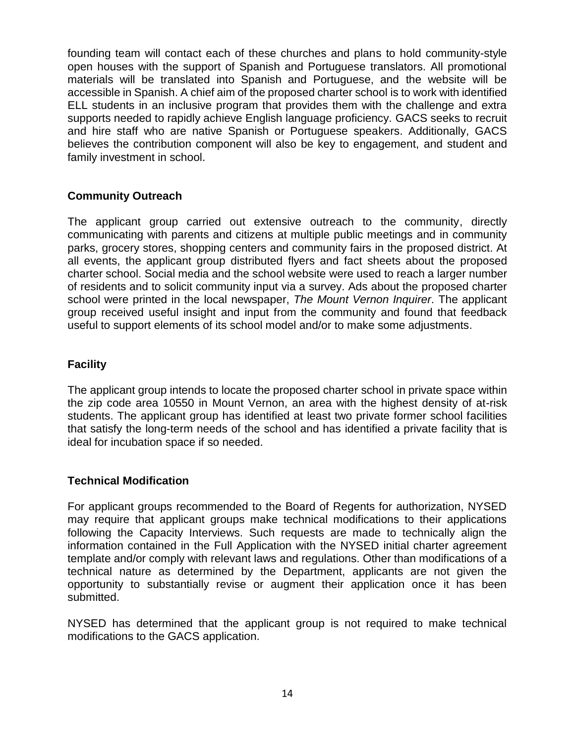founding team will contact each of these churches and plans to hold community-style open houses with the support of Spanish and Portuguese translators. All promotional materials will be translated into Spanish and Portuguese, and the website will be accessible in Spanish. A chief aim of the proposed charter school is to work with identified ELL students in an inclusive program that provides them with the challenge and extra supports needed to rapidly achieve English language proficiency. GACS seeks to recruit and hire staff who are native Spanish or Portuguese speakers. Additionally, GACS believes the contribution component will also be key to engagement, and student and family investment in school.

## **Community Outreach**

The applicant group carried out extensive outreach to the community, directly communicating with parents and citizens at multiple public meetings and in community parks, grocery stores, shopping centers and community fairs in the proposed district. At all events, the applicant group distributed flyers and fact sheets about the proposed charter school. Social media and the school website were used to reach a larger number of residents and to solicit community input via a survey. Ads about the proposed charter school were printed in the local newspaper, *The Mount Vernon Inquirer*. The applicant group received useful insight and input from the community and found that feedback useful to support elements of its school model and/or to make some adjustments.

#### **Facility**

The applicant group intends to locate the proposed charter school in private space within the zip code area 10550 in Mount Vernon, an area with the highest density of at-risk students. The applicant group has identified at least two private former school facilities that satisfy the long-term needs of the school and has identified a private facility that is ideal for incubation space if so needed.

#### **Technical Modification**

For applicant groups recommended to the Board of Regents for authorization, NYSED may require that applicant groups make technical modifications to their applications following the Capacity Interviews. Such requests are made to technically align the information contained in the Full Application with the NYSED initial charter agreement template and/or comply with relevant laws and regulations. Other than modifications of a technical nature as determined by the Department, applicants are not given the opportunity to substantially revise or augment their application once it has been submitted.

NYSED has determined that the applicant group is not required to make technical modifications to the GACS application.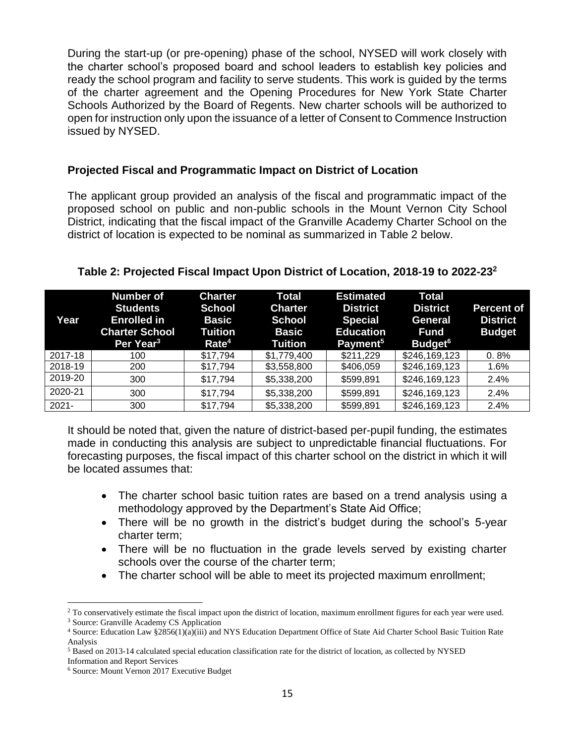During the start-up (or pre-opening) phase of the school, NYSED will work closely with the charter school's proposed board and school leaders to establish key policies and ready the school program and facility to serve students. This work is guided by the terms of the charter agreement and the Opening Procedures for New York State Charter Schools Authorized by the Board of Regents. New charter schools will be authorized to open for instruction only upon the issuance of a letter of Consent to Commence Instruction issued by NYSED.

#### **Projected Fiscal and Programmatic Impact on District of Location**

The applicant group provided an analysis of the fiscal and programmatic impact of the proposed school on public and non-public schools in the Mount Vernon City School District, indicating that the fiscal impact of the Granville Academy Charter School on the district of location is expected to be nominal as summarized in Table 2 below.

| Year     | <b>Number of</b><br><b>Students</b><br><b>Enrolled in</b><br><b>Charter School</b><br>Per Year <sup>3</sup> | <b>Charter</b><br><b>School</b><br><b>Basic</b><br>Tuition<br>Rate <sup>4</sup> | <b>Total</b><br><b>Charter</b><br><b>School</b><br><b>Basic</b><br><b>Tuition</b> | <b>Estimated</b><br><b>District</b><br><b>Special</b><br><b>Education</b><br>Payment <sup>5</sup> | <b>Total</b><br><b>District</b><br><b>General</b><br><b>Fund</b><br>Budget <sup>6</sup> | <b>Percent of</b><br><b>District</b><br><b>Budget</b> |
|----------|-------------------------------------------------------------------------------------------------------------|---------------------------------------------------------------------------------|-----------------------------------------------------------------------------------|---------------------------------------------------------------------------------------------------|-----------------------------------------------------------------------------------------|-------------------------------------------------------|
| 2017-18  | 100                                                                                                         | \$17,794                                                                        | \$1,779,400                                                                       | \$211,229                                                                                         | \$246,169,123                                                                           | 0.8%                                                  |
| 2018-19  | 200                                                                                                         | \$17,794                                                                        | \$3,558,800                                                                       | \$406,059                                                                                         | \$246,169,123                                                                           | $1.6\%$                                               |
| 2019-20  | 300                                                                                                         | \$17,794                                                                        | \$5,338,200                                                                       | \$599,891                                                                                         | \$246,169,123                                                                           | 2.4%                                                  |
| 2020-21  | 300                                                                                                         | \$17,794                                                                        | \$5,338,200                                                                       | \$599,891                                                                                         | \$246,169,123                                                                           | 2.4%                                                  |
| $2021 -$ | 300                                                                                                         | \$17,794                                                                        | \$5,338,200                                                                       | \$599,891                                                                                         | \$246,169,123                                                                           | 2.4%                                                  |

#### **Table 2: Projected Fiscal Impact Upon District of Location, 2018-19 to 2022-23<sup>2</sup>**

It should be noted that, given the nature of district-based per-pupil funding, the estimates made in conducting this analysis are subject to unpredictable financial fluctuations. For forecasting purposes, the fiscal impact of this charter school on the district in which it will be located assumes that:

- The charter school basic tuition rates are based on a trend analysis using a methodology approved by the Department's State Aid Office;
- There will be no growth in the district's budget during the school's 5-year charter term;
- There will be no fluctuation in the grade levels served by existing charter schools over the course of the charter term;
- The charter school will be able to meet its projected maximum enrollment;

<sup>&</sup>lt;sup>2</sup> To conservatively estimate the fiscal impact upon the district of location, maximum enrollment figures for each year were used.

<sup>3</sup> Source: Granville Academy CS Application

<sup>4</sup> Source: Education Law §2856(1)(a)(iii) and NYS Education Department Office of State Aid Charter School Basic Tuition Rate Analysis

<sup>5</sup> Based on 2013-14 calculated special education classification rate for the district of location, as collected by NYSED

Information and Report Services

<sup>6</sup> Source: Mount Vernon 2017 Executive Budget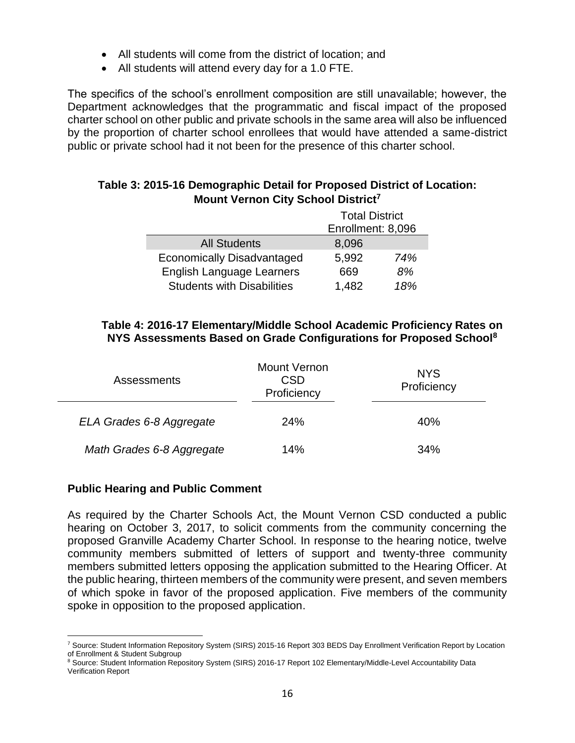- All students will come from the district of location; and
- All students will attend every day for a 1.0 FTE.

The specifics of the school's enrollment composition are still unavailable; however, the Department acknowledges that the programmatic and fiscal impact of the proposed charter school on other public and private schools in the same area will also be influenced by the proportion of charter school enrollees that would have attended a same-district public or private school had it not been for the presence of this charter school.

#### **Table 3: 2015-16 Demographic Detail for Proposed District of Location: Mount Vernon City School District<sup>7</sup>**

|                                   | <b>Total District</b> |     |  |
|-----------------------------------|-----------------------|-----|--|
|                                   | Enrollment: 8,096     |     |  |
| <b>All Students</b>               | 8,096                 |     |  |
| <b>Economically Disadvantaged</b> | 5,992                 | 74% |  |
| English Language Learners         | 669                   | 8%  |  |
| <b>Students with Disabilities</b> | 1,482                 | 18% |  |

#### **Table 4: 2016-17 Elementary/Middle School Academic Proficiency Rates on NYS Assessments Based on Grade Configurations for Proposed School<sup>8</sup>**

| <b>Assessments</b>        | <b>Mount Vernon</b><br><b>CSD</b><br>Proficiency | <b>NYS</b><br>Proficiency |
|---------------------------|--------------------------------------------------|---------------------------|
| ELA Grades 6-8 Aggregate  | 24%                                              | 40%                       |
| Math Grades 6-8 Aggregate | 14%                                              | 34%                       |

#### **Public Hearing and Public Comment**

As required by the Charter Schools Act, the Mount Vernon CSD conducted a public hearing on October 3, 2017, to solicit comments from the community concerning the proposed Granville Academy Charter School. In response to the hearing notice, twelve community members submitted of letters of support and twenty-three community members submitted letters opposing the application submitted to the Hearing Officer. At the public hearing, thirteen members of the community were present, and seven members of which spoke in favor of the proposed application. Five members of the community spoke in opposition to the proposed application.

 $\overline{a}$ <sup>7</sup> Source: Student Information Repository System (SIRS) 2015-16 Report 303 BEDS Day Enrollment Verification Report by Location of Enrollment & Student Subgroup

<sup>8</sup> Source: Student Information Repository System (SIRS) 2016-17 Report 102 Elementary/Middle-Level Accountability Data Verification Report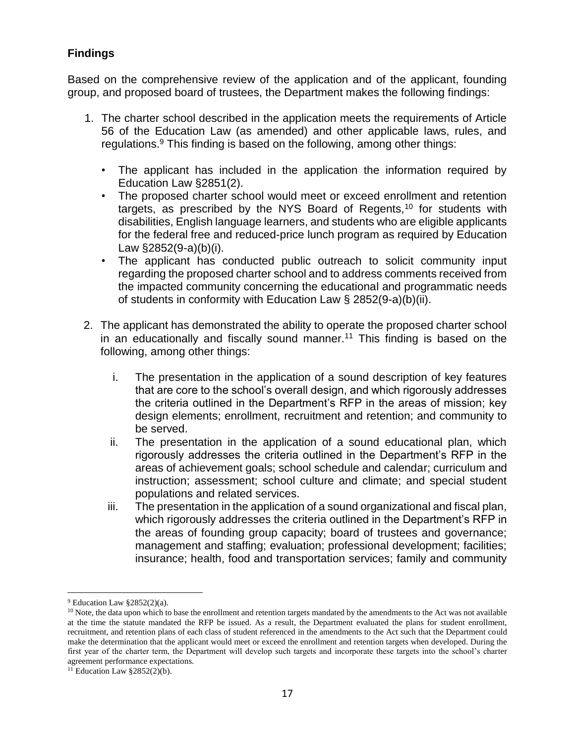# **Findings**

Based on the comprehensive review of the application and of the applicant, founding group, and proposed board of trustees, the Department makes the following findings:

- 1. The charter school described in the application meets the requirements of Article 56 of the Education Law (as amended) and other applicable laws, rules, and regulations. $9$  This finding is based on the following, among other things:
	- The applicant has included in the application the information required by Education Law §2851(2).
	- The proposed charter school would meet or exceed enrollment and retention targets, as prescribed by the NYS Board of Regents,<sup>10</sup> for students with disabilities, English language learners, and students who are eligible applicants for the federal free and reduced-price lunch program as required by Education Law §2852(9-a)(b)(i).
	- The applicant has conducted public outreach to solicit community input regarding the proposed charter school and to address comments received from the impacted community concerning the educational and programmatic needs of students in conformity with Education Law § 2852(9-a)(b)(ii).
- 2. The applicant has demonstrated the ability to operate the proposed charter school in an educationally and fiscally sound manner.<sup>11</sup> This finding is based on the following, among other things:
	- i. The presentation in the application of a sound description of key features that are core to the school's overall design, and which rigorously addresses the criteria outlined in the Department's RFP in the areas of mission; key design elements; enrollment, recruitment and retention; and community to be served.
	- ii. The presentation in the application of a sound educational plan, which rigorously addresses the criteria outlined in the Department's RFP in the areas of achievement goals; school schedule and calendar; curriculum and instruction; assessment; school culture and climate; and special student populations and related services.
	- iii. The presentation in the application of a sound organizational and fiscal plan, which rigorously addresses the criteria outlined in the Department's RFP in the areas of founding group capacity; board of trustees and governance; management and staffing; evaluation; professional development; facilities; insurance; health, food and transportation services; family and community

 $9$  Education Law  $$2852(2)(a)$ .

<sup>&</sup>lt;sup>10</sup> Note, the data upon which to base the enrollment and retention targets mandated by the amendments to the Act was not available at the time the statute mandated the RFP be issued. As a result, the Department evaluated the plans for student enrollment, recruitment, and retention plans of each class of student referenced in the amendments to the Act such that the Department could make the determination that the applicant would meet or exceed the enrollment and retention targets when developed. During the first year of the charter term, the Department will develop such targets and incorporate these targets into the school's charter agreement performance expectations.

<sup>&</sup>lt;sup>11</sup> Education Law  $\S 2852(2)(b)$ .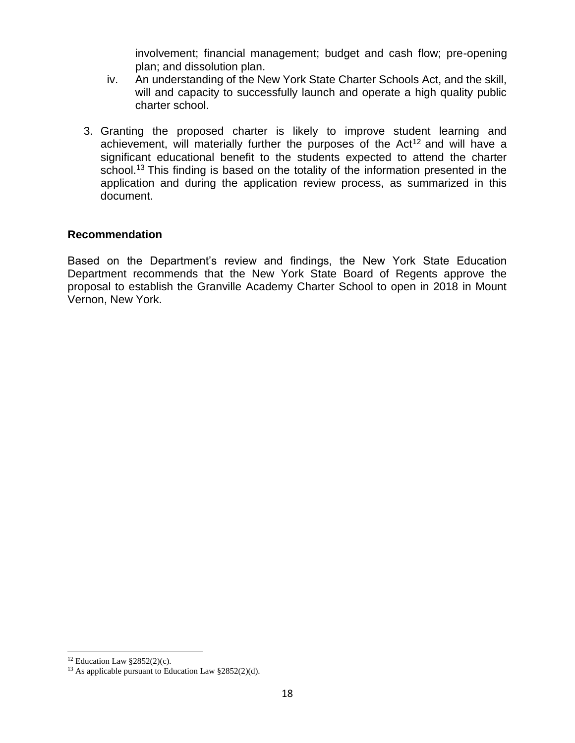involvement; financial management; budget and cash flow; pre-opening plan; and dissolution plan.

- iv. An understanding of the New York State Charter Schools Act, and the skill, will and capacity to successfully launch and operate a high quality public charter school.
- 3. Granting the proposed charter is likely to improve student learning and achievement, will materially further the purposes of the  $Act^{12}$  and will have a significant educational benefit to the students expected to attend the charter school.<sup>13</sup> This finding is based on the totality of the information presented in the application and during the application review process, as summarized in this document.

#### **Recommendation**

Based on the Department's review and findings, the New York State Education Department recommends that the New York State Board of Regents approve the proposal to establish the Granville Academy Charter School to open in 2018 in Mount Vernon, New York.

<sup>&</sup>lt;sup>12</sup> Education Law  $\S 2852(2)(c)$ .

<sup>13</sup> As applicable pursuant to Education Law §2852(2)(d).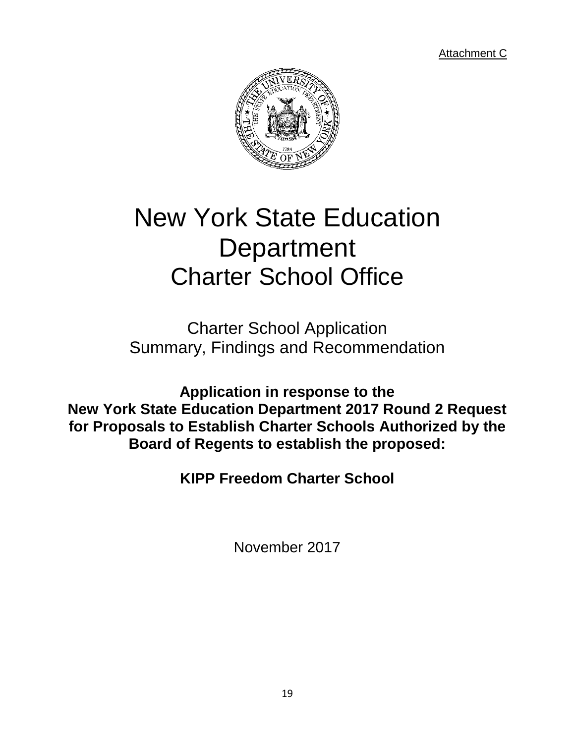Attachment C



# New York State Education **Department** Charter School Office

Charter School Application Summary, Findings and Recommendation

**Application in response to the New York State Education Department 2017 Round 2 Request for Proposals to Establish Charter Schools Authorized by the Board of Regents to establish the proposed:**

**KIPP Freedom Charter School**

November 2017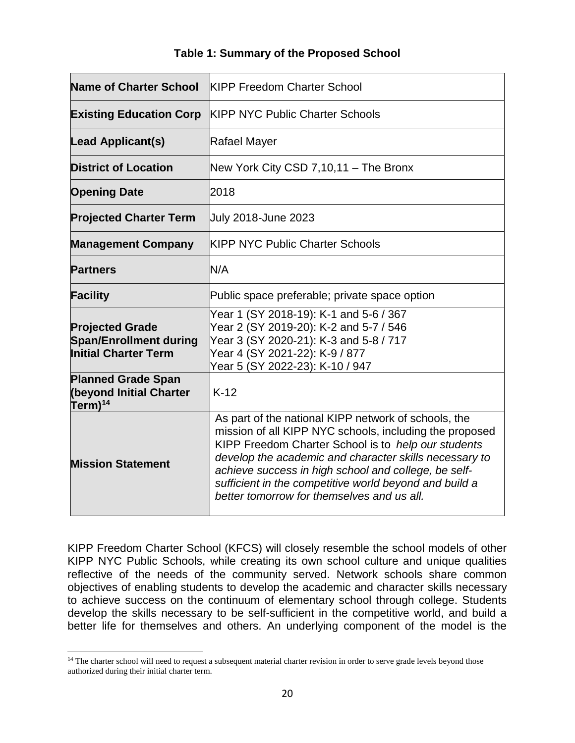|  |  | Table 1: Summary of the Proposed School |  |
|--|--|-----------------------------------------|--|
|--|--|-----------------------------------------|--|

| <b>Name of Charter School</b>                                                          | <b>KIPP Freedom Charter School</b>                                                                                                                                                                                                                                                                                                                                                               |  |
|----------------------------------------------------------------------------------------|--------------------------------------------------------------------------------------------------------------------------------------------------------------------------------------------------------------------------------------------------------------------------------------------------------------------------------------------------------------------------------------------------|--|
| <b>Existing Education Corp</b>                                                         | <b>KIPP NYC Public Charter Schools</b>                                                                                                                                                                                                                                                                                                                                                           |  |
| <b>Lead Applicant(s)</b>                                                               | Rafael Mayer                                                                                                                                                                                                                                                                                                                                                                                     |  |
| <b>District of Location</b>                                                            | New York City CSD 7,10,11 - The Bronx                                                                                                                                                                                                                                                                                                                                                            |  |
| <b>Opening Date</b>                                                                    | 2018                                                                                                                                                                                                                                                                                                                                                                                             |  |
| <b>Projected Charter Term</b>                                                          | <b>July 2018-June 2023</b>                                                                                                                                                                                                                                                                                                                                                                       |  |
| <b>Management Company</b>                                                              | <b>KIPP NYC Public Charter Schools</b>                                                                                                                                                                                                                                                                                                                                                           |  |
| <b>Partners</b>                                                                        | N/A                                                                                                                                                                                                                                                                                                                                                                                              |  |
| <b>Facility</b>                                                                        | Public space preferable; private space option                                                                                                                                                                                                                                                                                                                                                    |  |
| <b>Projected Grade</b><br><b>Span/Enrollment during</b><br><b>Initial Charter Term</b> | Year 1 (SY 2018-19): K-1 and 5-6 / 367<br>Year 2 (SY 2019-20): K-2 and 5-7 / 546<br>Year 3 (SY 2020-21): K-3 and 5-8 / 717<br>Year 4 (SY 2021-22): K-9 / 877<br>Year 5 (SY 2022-23): K-10 / 947                                                                                                                                                                                                  |  |
| <b>Planned Grade Span</b><br><b>(beyond Initial Charter</b><br>Term) <sup>14</sup>     | $K-12$                                                                                                                                                                                                                                                                                                                                                                                           |  |
| <b>Mission Statement</b>                                                               | As part of the national KIPP network of schools, the<br>mission of all KIPP NYC schools, including the proposed<br>KIPP Freedom Charter School is to help our students<br>develop the academic and character skills necessary to<br>achieve success in high school and college, be self-<br>sufficient in the competitive world beyond and build a<br>better tomorrow for themselves and us all. |  |

KIPP Freedom Charter School (KFCS) will closely resemble the school models of other KIPP NYC Public Schools, while creating its own school culture and unique qualities reflective of the needs of the community served. Network schools share common objectives of enabling students to develop the academic and character skills necessary to achieve success on the continuum of elementary school through college. Students develop the skills necessary to be self-sufficient in the competitive world, and build a better life for themselves and others. An underlying component of the model is the

<sup>&</sup>lt;sup>14</sup> The charter school will need to request a subsequent material charter revision in order to serve grade levels beyond those authorized during their initial charter term.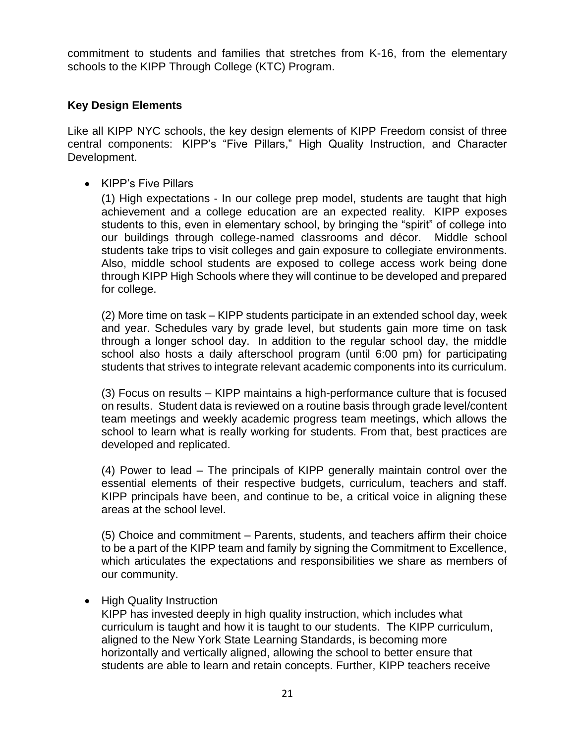commitment to students and families that stretches from K-16, from the elementary schools to the KIPP Through College (KTC) Program.

### **Key Design Elements**

Like all KIPP NYC schools, the key design elements of KIPP Freedom consist of three central components: KIPP's "Five Pillars," High Quality Instruction, and Character Development.

• KIPP's Five Pillars

(1) High expectations - In our college prep model, students are taught that high achievement and a college education are an expected reality. KIPP exposes students to this, even in elementary school, by bringing the "spirit" of college into our buildings through college-named classrooms and décor. Middle school students take trips to visit colleges and gain exposure to collegiate environments. Also, middle school students are exposed to college access work being done through KIPP High Schools where they will continue to be developed and prepared for college.

(2) More time on task – KIPP students participate in an extended school day, week and year. Schedules vary by grade level, but students gain more time on task through a longer school day. In addition to the regular school day, the middle school also hosts a daily afterschool program (until 6:00 pm) for participating students that strives to integrate relevant academic components into its curriculum.

(3) Focus on results – KIPP maintains a high-performance culture that is focused on results. Student data is reviewed on a routine basis through grade level/content team meetings and weekly academic progress team meetings, which allows the school to learn what is really working for students. From that, best practices are developed and replicated.

(4) Power to lead – The principals of KIPP generally maintain control over the essential elements of their respective budgets, curriculum, teachers and staff. KIPP principals have been, and continue to be, a critical voice in aligning these areas at the school level.

(5) Choice and commitment – Parents, students, and teachers affirm their choice to be a part of the KIPP team and family by signing the Commitment to Excellence, which articulates the expectations and responsibilities we share as members of our community.

• High Quality Instruction

KIPP has invested deeply in high quality instruction, which includes what curriculum is taught and how it is taught to our students. The KIPP curriculum, aligned to the New York State Learning Standards, is becoming more horizontally and vertically aligned, allowing the school to better ensure that students are able to learn and retain concepts. Further, KIPP teachers receive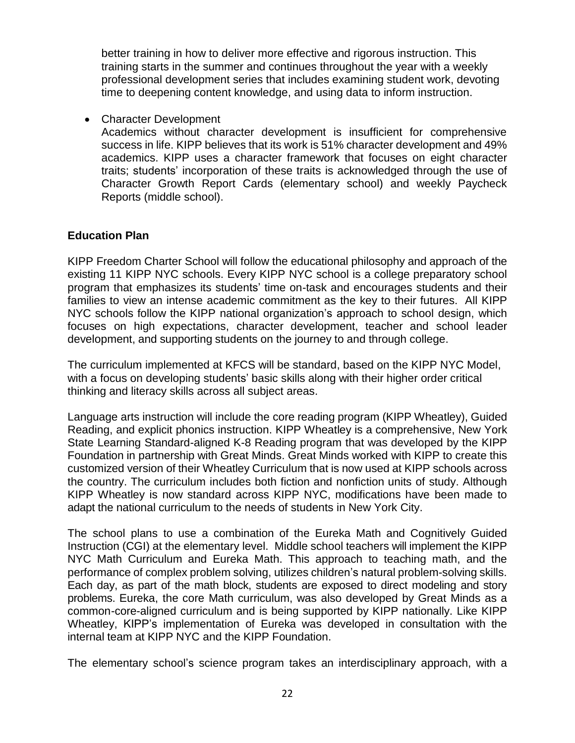better training in how to deliver more effective and rigorous instruction. This training starts in the summer and continues throughout the year with a weekly professional development series that includes examining student work, devoting time to deepening content knowledge, and using data to inform instruction.

• Character Development

Academics without character development is insufficient for comprehensive success in life. KIPP believes that its work is 51% character development and 49% academics. KIPP uses a character framework that focuses on eight character traits; students' incorporation of these traits is acknowledged through the use of Character Growth Report Cards (elementary school) and weekly Paycheck Reports (middle school).

#### **Education Plan**

KIPP Freedom Charter School will follow the educational philosophy and approach of the existing 11 KIPP NYC schools. Every KIPP NYC school is a college preparatory school program that emphasizes its students' time on-task and encourages students and their families to view an intense academic commitment as the key to their futures. All KIPP NYC schools follow the KIPP national organization's approach to school design, which focuses on high expectations, character development, teacher and school leader development, and supporting students on the journey to and through college.

The curriculum implemented at KFCS will be standard, based on the KIPP NYC Model, with a focus on developing students' basic skills along with their higher order critical thinking and literacy skills across all subject areas.

Language arts instruction will include the core reading program (KIPP Wheatley), Guided Reading, and explicit phonics instruction. KIPP Wheatley is a comprehensive, New York State Learning Standard-aligned K-8 Reading program that was developed by the KIPP Foundation in partnership with Great Minds. Great Minds worked with KIPP to create this customized version of their Wheatley Curriculum that is now used at KIPP schools across the country. The curriculum includes both fiction and nonfiction units of study. Although KIPP Wheatley is now standard across KIPP NYC, modifications have been made to adapt the national curriculum to the needs of students in New York City.

The school plans to use a combination of the Eureka Math and Cognitively Guided Instruction (CGI) at the elementary level. Middle school teachers will implement the KIPP NYC Math Curriculum and Eureka Math. This approach to teaching math, and the performance of complex problem solving, utilizes children's natural problem-solving skills. Each day, as part of the math block, students are exposed to direct modeling and story problems. Eureka, the core Math curriculum, was also developed by Great Minds as a common-core-aligned curriculum and is being supported by KIPP nationally. Like KIPP Wheatley, KIPP's implementation of Eureka was developed in consultation with the internal team at KIPP NYC and the KIPP Foundation.

The elementary school's science program takes an interdisciplinary approach, with a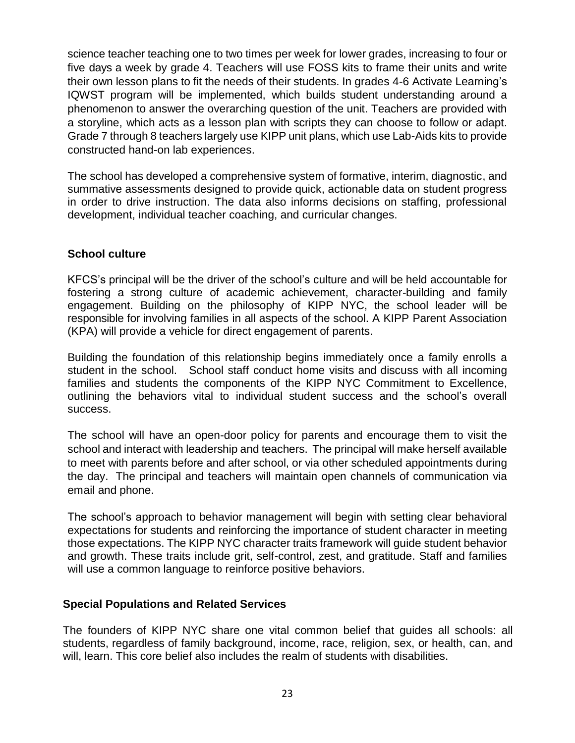science teacher teaching one to two times per week for lower grades, increasing to four or five days a week by grade 4. Teachers will use FOSS kits to frame their units and write their own lesson plans to fit the needs of their students. In grades 4-6 Activate Learning's IQWST program will be implemented, which builds student understanding around a phenomenon to answer the overarching question of the unit. Teachers are provided with a storyline, which acts as a lesson plan with scripts they can choose to follow or adapt. Grade 7 through 8 teachers largely use KIPP unit plans, which use Lab-Aids kits to provide constructed hand-on lab experiences.

The school has developed a comprehensive system of formative, interim, diagnostic, and summative assessments designed to provide quick, actionable data on student progress in order to drive instruction. The data also informs decisions on staffing, professional development, individual teacher coaching, and curricular changes.

#### **School culture**

KFCS's principal will be the driver of the school's culture and will be held accountable for fostering a strong culture of academic achievement, character-building and family engagement. Building on the philosophy of KIPP NYC, the school leader will be responsible for involving families in all aspects of the school. A KIPP Parent Association (KPA) will provide a vehicle for direct engagement of parents.

Building the foundation of this relationship begins immediately once a family enrolls a student in the school. School staff conduct home visits and discuss with all incoming families and students the components of the KIPP NYC Commitment to Excellence, outlining the behaviors vital to individual student success and the school's overall success.

The school will have an open-door policy for parents and encourage them to visit the school and interact with leadership and teachers. The principal will make herself available to meet with parents before and after school, or via other scheduled appointments during the day. The principal and teachers will maintain open channels of communication via email and phone.

The school's approach to behavior management will begin with setting clear behavioral expectations for students and reinforcing the importance of student character in meeting those expectations. The KIPP NYC character traits framework will guide student behavior and growth. These traits include grit, self-control, zest, and gratitude. Staff and families will use a common language to reinforce positive behaviors.

#### **Special Populations and Related Services**

The founders of KIPP NYC share one vital common belief that guides all schools: all students, regardless of family background, income, race, religion, sex, or health, can, and will, learn. This core belief also includes the realm of students with disabilities.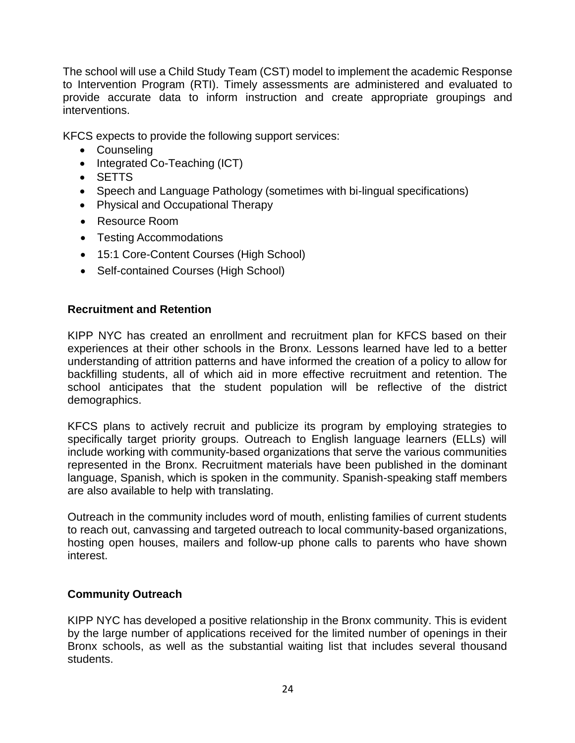The school will use a Child Study Team (CST) model to implement the academic Response to Intervention Program (RTI). Timely assessments are administered and evaluated to provide accurate data to inform instruction and create appropriate groupings and interventions.

KFCS expects to provide the following support services:

- Counseling
- Integrated Co-Teaching (ICT)
- SETTS
- Speech and Language Pathology (sometimes with bi-lingual specifications)
- Physical and Occupational Therapy
- Resource Room
- Testing Accommodations
- 15:1 Core-Content Courses (High School)
- Self-contained Courses (High School)

#### **Recruitment and Retention**

KIPP NYC has created an enrollment and recruitment plan for KFCS based on their experiences at their other schools in the Bronx. Lessons learned have led to a better understanding of attrition patterns and have informed the creation of a policy to allow for backfilling students, all of which aid in more effective recruitment and retention. The school anticipates that the student population will be reflective of the district demographics.

KFCS plans to actively recruit and publicize its program by employing strategies to specifically target priority groups. Outreach to English language learners (ELLs) will include working with community-based organizations that serve the various communities represented in the Bronx. Recruitment materials have been published in the dominant language, Spanish, which is spoken in the community. Spanish-speaking staff members are also available to help with translating.

Outreach in the community includes word of mouth, enlisting families of current students to reach out, canvassing and targeted outreach to local community-based organizations, hosting open houses, mailers and follow-up phone calls to parents who have shown interest.

#### **Community Outreach**

KIPP NYC has developed a positive relationship in the Bronx community. This is evident by the large number of applications received for the limited number of openings in their Bronx schools, as well as the substantial waiting list that includes several thousand students.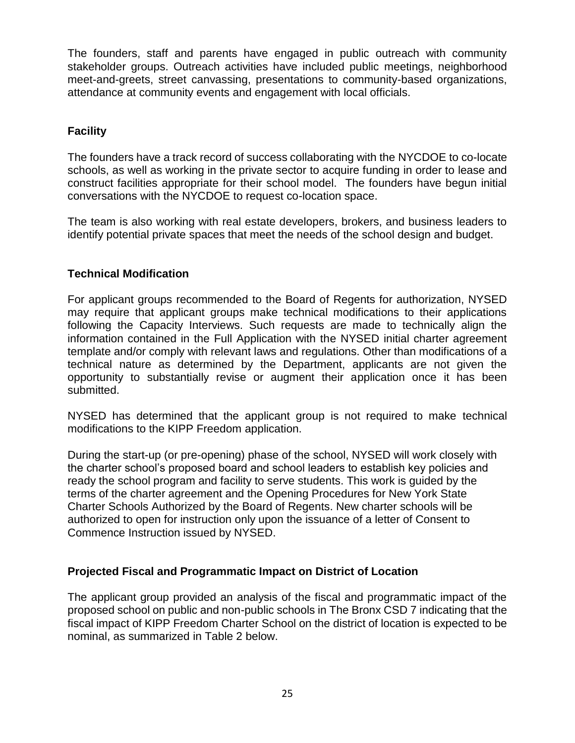The founders, staff and parents have engaged in public outreach with community stakeholder groups. Outreach activities have included public meetings, neighborhood meet-and-greets, street canvassing, presentations to community-based organizations, attendance at community events and engagement with local officials.

# **Facility**

The founders have a track record of success collaborating with the NYCDOE to co-locate schools, as well as working in the private sector to acquire funding in order to lease and construct facilities appropriate for their school model. The founders have begun initial conversations with the NYCDOE to request co-location space.

The team is also working with real estate developers, brokers, and business leaders to identify potential private spaces that meet the needs of the school design and budget.

#### **Technical Modification**

For applicant groups recommended to the Board of Regents for authorization, NYSED may require that applicant groups make technical modifications to their applications following the Capacity Interviews. Such requests are made to technically align the information contained in the Full Application with the NYSED initial charter agreement template and/or comply with relevant laws and regulations. Other than modifications of a technical nature as determined by the Department, applicants are not given the opportunity to substantially revise or augment their application once it has been submitted.

NYSED has determined that the applicant group is not required to make technical modifications to the KIPP Freedom application.

During the start-up (or pre-opening) phase of the school, NYSED will work closely with the charter school's proposed board and school leaders to establish key policies and ready the school program and facility to serve students. This work is guided by the terms of the charter agreement and the Opening Procedures for New York State Charter Schools Authorized by the Board of Regents. New charter schools will be authorized to open for instruction only upon the issuance of a letter of Consent to Commence Instruction issued by NYSED.

#### **Projected Fiscal and Programmatic Impact on District of Location**

The applicant group provided an analysis of the fiscal and programmatic impact of the proposed school on public and non-public schools in The Bronx CSD 7 indicating that the fiscal impact of KIPP Freedom Charter School on the district of location is expected to be nominal, as summarized in Table 2 below.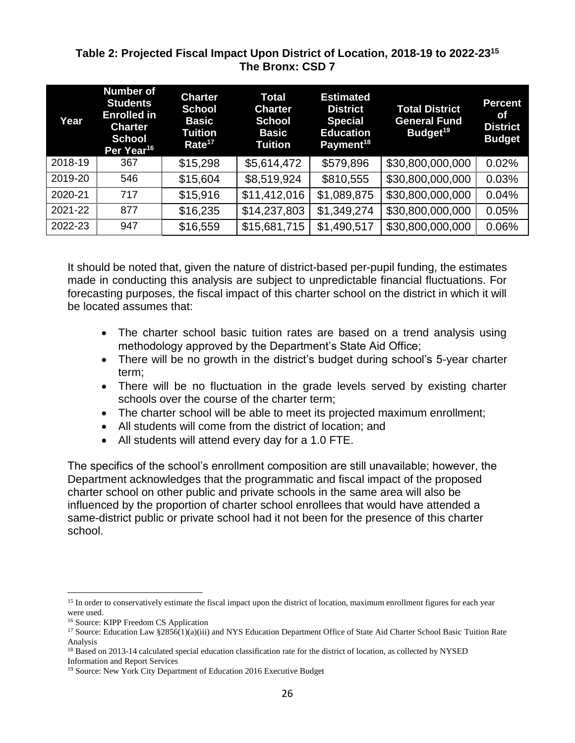#### **Table 2: Projected Fiscal Impact Upon District of Location, 2018-19 to 2022-23<sup>15</sup> The Bronx: CSD 7**

| Year    | <b>Number of</b><br><b>Students</b><br><b>Enrolled in</b><br><b>Charter</b><br><b>School</b><br>Per Year <sup>16</sup> | <b>Charter</b><br><b>School</b><br><b>Basic</b><br><b>Tuition</b><br>Rate <sup>17</sup> | <b>Total</b><br><b>Charter</b><br><b>School</b><br><b>Basic</b><br>Tuition | <b>Estimated</b><br><b>District</b><br><b>Special</b><br><b>Education</b><br>Payment <sup>18</sup> | <b>Total District</b><br><b>General Fund</b><br>Budget <sup>19</sup> | <b>Percent</b><br>Οf<br><b>District</b><br><b>Budget</b> |
|---------|------------------------------------------------------------------------------------------------------------------------|-----------------------------------------------------------------------------------------|----------------------------------------------------------------------------|----------------------------------------------------------------------------------------------------|----------------------------------------------------------------------|----------------------------------------------------------|
| 2018-19 | 367                                                                                                                    | \$15,298                                                                                | \$5,614,472                                                                | \$579,896                                                                                          | \$30,800,000,000                                                     | 0.02%                                                    |
| 2019-20 | 546                                                                                                                    | \$15,604                                                                                | \$8,519,924                                                                | \$810,555                                                                                          | \$30,800,000,000                                                     | 0.03%                                                    |
| 2020-21 | 717                                                                                                                    | \$15,916                                                                                | \$11,412,016                                                               | \$1,089,875                                                                                        | \$30,800,000,000                                                     | 0.04%                                                    |
| 2021-22 | 877                                                                                                                    | \$16,235                                                                                | \$14,237,803                                                               | \$1,349,274                                                                                        | \$30,800,000,000                                                     | 0.05%                                                    |
| 2022-23 | 947                                                                                                                    | \$16,559                                                                                | \$15,681,715                                                               | \$1,490,517                                                                                        | \$30,800,000,000                                                     | 0.06%                                                    |

It should be noted that, given the nature of district-based per-pupil funding, the estimates made in conducting this analysis are subject to unpredictable financial fluctuations. For forecasting purposes, the fiscal impact of this charter school on the district in which it will be located assumes that:

- The charter school basic tuition rates are based on a trend analysis using methodology approved by the Department's State Aid Office;
- There will be no growth in the district's budget during school's 5-year charter term;
- There will be no fluctuation in the grade levels served by existing charter schools over the course of the charter term;
- The charter school will be able to meet its projected maximum enrollment;
- All students will come from the district of location; and
- All students will attend every day for a 1.0 FTE.

The specifics of the school's enrollment composition are still unavailable; however, the Department acknowledges that the programmatic and fiscal impact of the proposed charter school on other public and private schools in the same area will also be influenced by the proportion of charter school enrollees that would have attended a same-district public or private school had it not been for the presence of this charter school.

 $\overline{a}$ <sup>15</sup> In order to conservatively estimate the fiscal impact upon the district of location, maximum enrollment figures for each year were used.

<sup>16</sup> Source: KIPP Freedom CS Application

<sup>&</sup>lt;sup>17</sup> Source: Education Law §2856(1)(a)(iii) and NYS Education Department Office of State Aid Charter School Basic Tuition Rate Analysis

<sup>&</sup>lt;sup>18</sup> Based on 2013-14 calculated special education classification rate for the district of location, as collected by NYSED Information and Report Services

<sup>&</sup>lt;sup>19</sup> Source: New York City Department of Education 2016 Executive Budget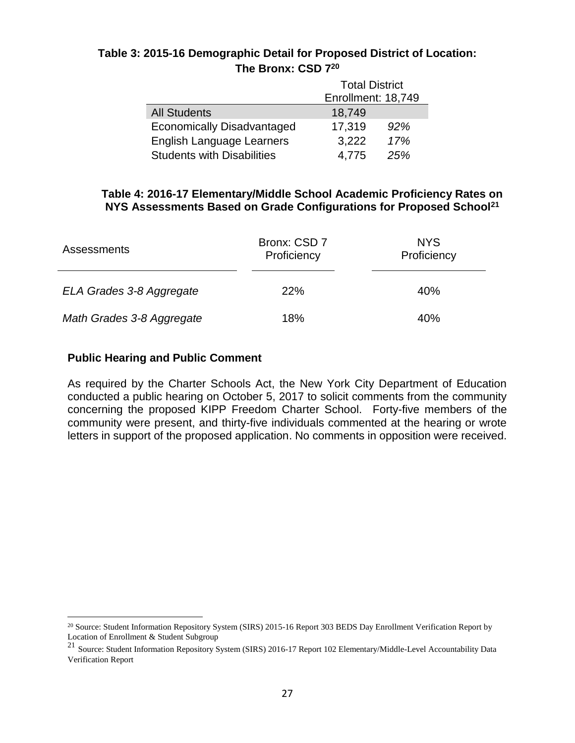## **Table 3: 2015-16 Demographic Detail for Proposed District of Location: The Bronx: CSD 7<sup>20</sup>**

|                                   | <b>Total District</b> |     |  |
|-----------------------------------|-----------------------|-----|--|
|                                   | Enrollment: 18,749    |     |  |
| <b>All Students</b>               | 18,749                |     |  |
| <b>Economically Disadvantaged</b> | 17,319                | 92% |  |
| English Language Learners         | 3,222                 | 17% |  |
| <b>Students with Disabilities</b> | 4,775                 | 25% |  |

#### **Table 4: 2016-17 Elementary/Middle School Academic Proficiency Rates on NYS Assessments Based on Grade Configurations for Proposed School<sup>21</sup>**

| <b>Assessments</b>        | Bronx: CSD 7<br>Proficiency | <b>NYS</b><br>Proficiency |
|---------------------------|-----------------------------|---------------------------|
| ELA Grades 3-8 Aggregate  | 22%                         | 40%                       |
| Math Grades 3-8 Aggregate | 18%                         | 40%                       |

#### **Public Hearing and Public Comment**

 $\overline{a}$ 

As required by the Charter Schools Act, the New York City Department of Education conducted a public hearing on October 5, 2017 to solicit comments from the community concerning the proposed KIPP Freedom Charter School. Forty-five members of the community were present, and thirty-five individuals commented at the hearing or wrote letters in support of the proposed application. No comments in opposition were received.

 $20$  Source: Student Information Repository System (SIRS) 2015-16 Report 303 BEDS Day Enrollment Verification Report by Location of Enrollment & Student Subgroup

<sup>21</sup> Source: Student Information Repository System (SIRS) 2016-17 Report 102 Elementary/Middle-Level Accountability Data Verification Report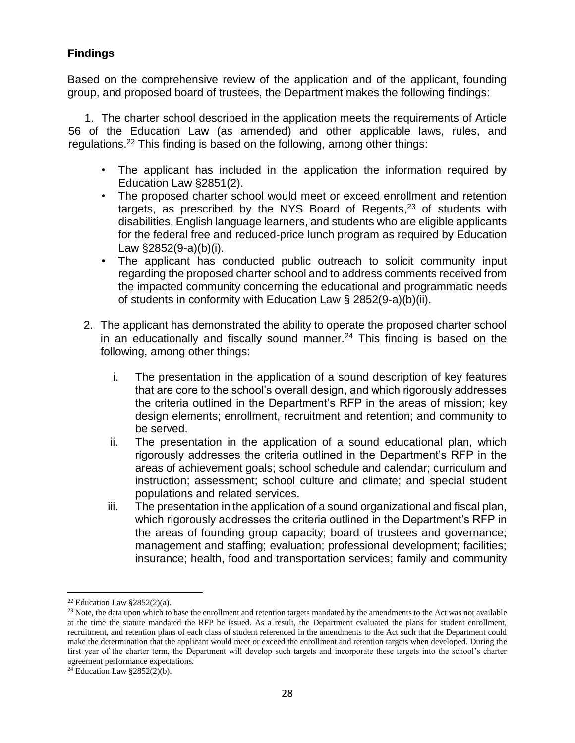# **Findings**

Based on the comprehensive review of the application and of the applicant, founding group, and proposed board of trustees, the Department makes the following findings:

1. The charter school described in the application meets the requirements of Article 56 of the Education Law (as amended) and other applicable laws, rules, and regulations.<sup>22</sup> This finding is based on the following, among other things:

- The applicant has included in the application the information required by Education Law §2851(2).
- The proposed charter school would meet or exceed enrollment and retention targets, as prescribed by the NYS Board of Regents,<sup>23</sup> of students with disabilities, English language learners, and students who are eligible applicants for the federal free and reduced-price lunch program as required by Education Law §2852(9-a)(b)(i).
- The applicant has conducted public outreach to solicit community input regarding the proposed charter school and to address comments received from the impacted community concerning the educational and programmatic needs of students in conformity with Education Law § 2852(9-a)(b)(ii).
- 2. The applicant has demonstrated the ability to operate the proposed charter school in an educationally and fiscally sound manner.<sup>24</sup> This finding is based on the following, among other things:
	- i. The presentation in the application of a sound description of key features that are core to the school's overall design, and which rigorously addresses the criteria outlined in the Department's RFP in the areas of mission; key design elements; enrollment, recruitment and retention; and community to be served.
	- ii. The presentation in the application of a sound educational plan, which rigorously addresses the criteria outlined in the Department's RFP in the areas of achievement goals; school schedule and calendar; curriculum and instruction; assessment; school culture and climate; and special student populations and related services.
	- iii. The presentation in the application of a sound organizational and fiscal plan, which rigorously addresses the criteria outlined in the Department's RFP in the areas of founding group capacity; board of trustees and governance; management and staffing; evaluation; professional development; facilities; insurance; health, food and transportation services; family and community

<sup>&</sup>lt;sup>22</sup> Education Law  $§2852(2)(a)$ .

<sup>&</sup>lt;sup>23</sup> Note, the data upon which to base the enrollment and retention targets mandated by the amendments to the Act was not available at the time the statute mandated the RFP be issued. As a result, the Department evaluated the plans for student enrollment, recruitment, and retention plans of each class of student referenced in the amendments to the Act such that the Department could make the determination that the applicant would meet or exceed the enrollment and retention targets when developed. During the first year of the charter term, the Department will develop such targets and incorporate these targets into the school's charter agreement performance expectations.

 $24$  Education Law §2852(2)(b).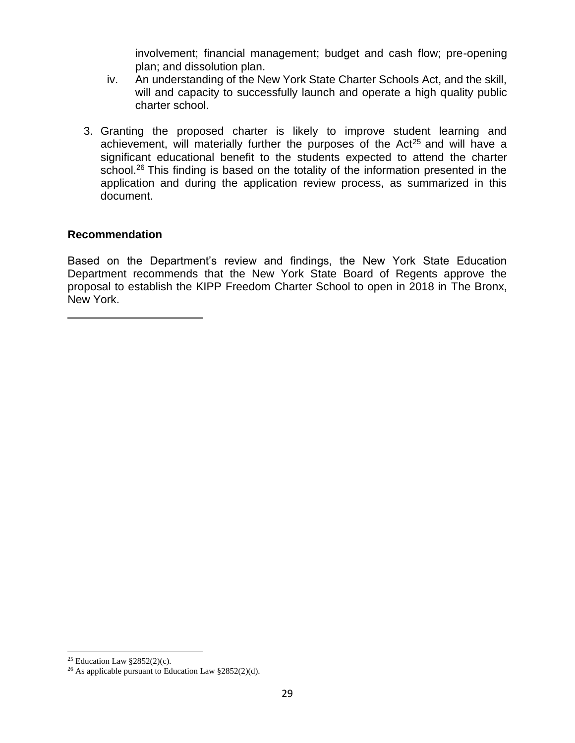involvement; financial management; budget and cash flow; pre-opening plan; and dissolution plan.

- iv. An understanding of the New York State Charter Schools Act, and the skill, will and capacity to successfully launch and operate a high quality public charter school.
- 3. Granting the proposed charter is likely to improve student learning and achievement, will materially further the purposes of the  $Act^{25}$  and will have a significant educational benefit to the students expected to attend the charter school.<sup>26</sup> This finding is based on the totality of the information presented in the application and during the application review process, as summarized in this document.

#### **Recommendation**

Based on the Department's review and findings, the New York State Education Department recommends that the New York State Board of Regents approve the proposal to establish the KIPP Freedom Charter School to open in 2018 in The Bronx, New York.

<sup>&</sup>lt;sup>25</sup> Education Law  $\S 2852(2)(c)$ .

<sup>26</sup> As applicable pursuant to Education Law §2852(2)(d).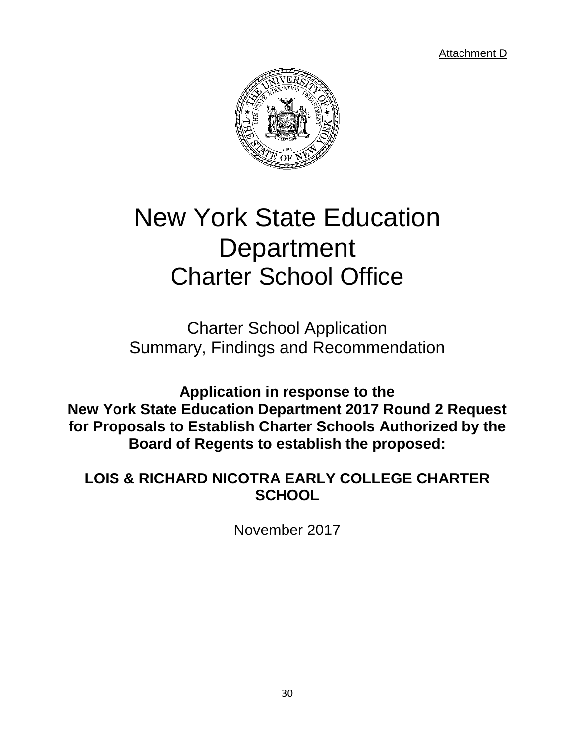Attachment D



# New York State Education **Department** Charter School Office

Charter School Application Summary, Findings and Recommendation

**Application in response to the New York State Education Department 2017 Round 2 Request for Proposals to Establish Charter Schools Authorized by the Board of Regents to establish the proposed:**

# **LOIS & RICHARD NICOTRA EARLY COLLEGE CHARTER SCHOOL**

November 2017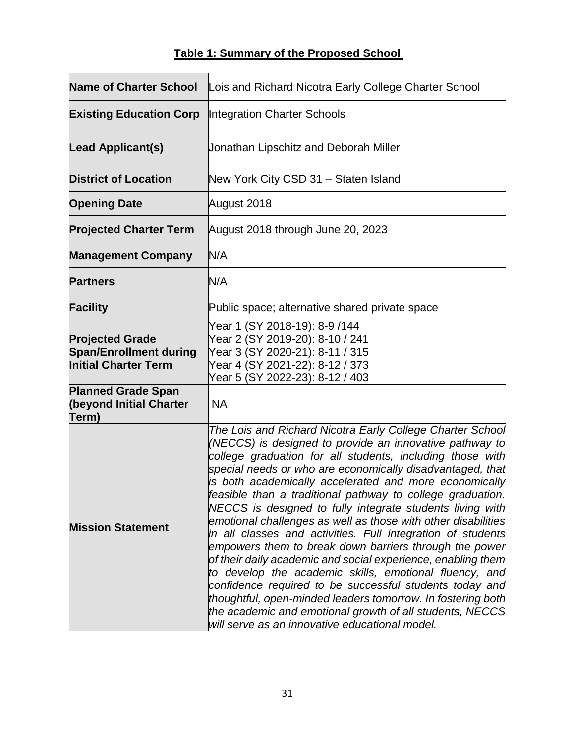# **Table 1: Summary of the Proposed School**

| <b>Name of Charter School</b>                                                          | Lois and Richard Nicotra Early College Charter School                                                                                                                                                                                                                                                                                                                                                                                                                                                                                                                                                                                                                                                                                                                                                                                                                                                                                                                                           |
|----------------------------------------------------------------------------------------|-------------------------------------------------------------------------------------------------------------------------------------------------------------------------------------------------------------------------------------------------------------------------------------------------------------------------------------------------------------------------------------------------------------------------------------------------------------------------------------------------------------------------------------------------------------------------------------------------------------------------------------------------------------------------------------------------------------------------------------------------------------------------------------------------------------------------------------------------------------------------------------------------------------------------------------------------------------------------------------------------|
| <b>Existing Education Corp</b>                                                         | <b>Integration Charter Schools</b>                                                                                                                                                                                                                                                                                                                                                                                                                                                                                                                                                                                                                                                                                                                                                                                                                                                                                                                                                              |
| <b>Lead Applicant(s)</b>                                                               | Jonathan Lipschitz and Deborah Miller                                                                                                                                                                                                                                                                                                                                                                                                                                                                                                                                                                                                                                                                                                                                                                                                                                                                                                                                                           |
| <b>District of Location</b>                                                            | New York City CSD 31 - Staten Island                                                                                                                                                                                                                                                                                                                                                                                                                                                                                                                                                                                                                                                                                                                                                                                                                                                                                                                                                            |
| <b>Opening Date</b>                                                                    | August 2018                                                                                                                                                                                                                                                                                                                                                                                                                                                                                                                                                                                                                                                                                                                                                                                                                                                                                                                                                                                     |
| <b>Projected Charter Term</b>                                                          | August 2018 through June 20, 2023                                                                                                                                                                                                                                                                                                                                                                                                                                                                                                                                                                                                                                                                                                                                                                                                                                                                                                                                                               |
| <b>Management Company</b>                                                              | N/A                                                                                                                                                                                                                                                                                                                                                                                                                                                                                                                                                                                                                                                                                                                                                                                                                                                                                                                                                                                             |
| <b>Partners</b>                                                                        | N/A                                                                                                                                                                                                                                                                                                                                                                                                                                                                                                                                                                                                                                                                                                                                                                                                                                                                                                                                                                                             |
| <b>Facility</b>                                                                        | Public space; alternative shared private space                                                                                                                                                                                                                                                                                                                                                                                                                                                                                                                                                                                                                                                                                                                                                                                                                                                                                                                                                  |
| <b>Projected Grade</b><br><b>Span/Enrollment during</b><br><b>Initial Charter Term</b> | Year 1 (SY 2018-19): 8-9 /144<br>Year 2 (SY 2019-20): 8-10 / 241<br>Year 3 (SY 2020-21): 8-11 / 315<br>Year 4 (SY 2021-22): 8-12 / 373<br>Year 5 (SY 2022-23): 8-12 / 403                                                                                                                                                                                                                                                                                                                                                                                                                                                                                                                                                                                                                                                                                                                                                                                                                       |
| <b>Planned Grade Span</b><br>(beyond Initial Charter<br>Term)                          | <b>NA</b>                                                                                                                                                                                                                                                                                                                                                                                                                                                                                                                                                                                                                                                                                                                                                                                                                                                                                                                                                                                       |
| <b>Mission Statement</b>                                                               | The Lois and Richard Nicotra Early College Charter School<br>(NECCS) is designed to provide an innovative pathway to<br>college graduation for all students, including those with<br>special needs or who are economically disadvantaged, that<br>is both academically accelerated and more economically<br>feasible than a traditional pathway to college graduation.<br>NECCS is designed to fully integrate students living with<br>emotional challenges as well as those with other disabilities<br>in all classes and activities. Full integration of students<br>empowers them to break down barriers through the power<br>of their daily academic and social experience, enabling them<br>to develop the academic skills, emotional fluency, and<br>confidence required to be successful students today and<br>thoughtful, open-minded leaders tomorrow. In fostering both<br>the academic and emotional growth of all students, NECCS<br>will serve as an innovative educational model. |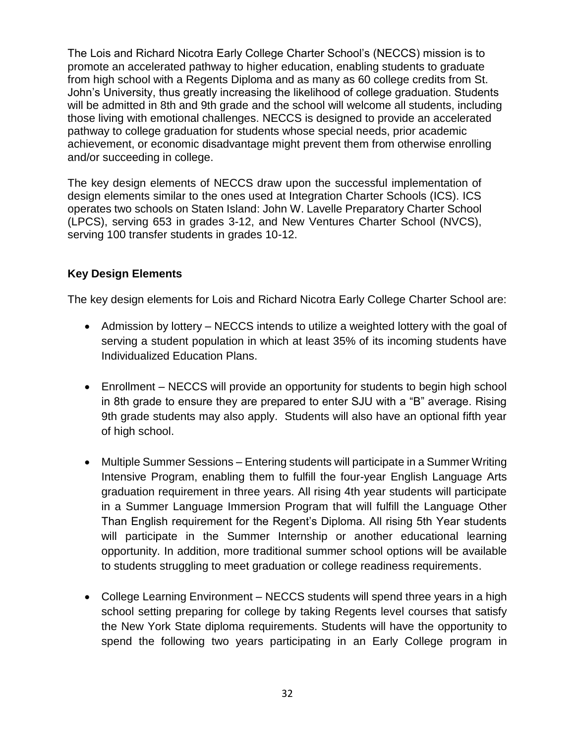The Lois and Richard Nicotra Early College Charter School's (NECCS) mission is to promote an accelerated pathway to higher education, enabling students to graduate from high school with a Regents Diploma and as many as 60 college credits from St. John's University, thus greatly increasing the likelihood of college graduation. Students will be admitted in 8th and 9th grade and the school will welcome all students, including those living with emotional challenges. NECCS is designed to provide an accelerated pathway to college graduation for students whose special needs, prior academic achievement, or economic disadvantage might prevent them from otherwise enrolling and/or succeeding in college.

The key design elements of NECCS draw upon the successful implementation of design elements similar to the ones used at Integration Charter Schools (ICS). ICS operates two schools on Staten Island: John W. Lavelle Preparatory Charter School (LPCS), serving 653 in grades 3-12, and New Ventures Charter School (NVCS), serving 100 transfer students in grades 10-12.

## **Key Design Elements**

The key design elements for Lois and Richard Nicotra Early College Charter School are:

- Admission by lottery NECCS intends to utilize a weighted lottery with the goal of serving a student population in which at least 35% of its incoming students have Individualized Education Plans.
- Enrollment NECCS will provide an opportunity for students to begin high school in 8th grade to ensure they are prepared to enter SJU with a "B" average. Rising 9th grade students may also apply. Students will also have an optional fifth year of high school.
- Multiple Summer Sessions Entering students will participate in a Summer Writing Intensive Program, enabling them to fulfill the four-year English Language Arts graduation requirement in three years. All rising 4th year students will participate in a Summer Language Immersion Program that will fulfill the Language Other Than English requirement for the Regent's Diploma. All rising 5th Year students will participate in the Summer Internship or another educational learning opportunity. In addition, more traditional summer school options will be available to students struggling to meet graduation or college readiness requirements.
- College Learning Environment NECCS students will spend three years in a high school setting preparing for college by taking Regents level courses that satisfy the New York State diploma requirements. Students will have the opportunity to spend the following two years participating in an Early College program in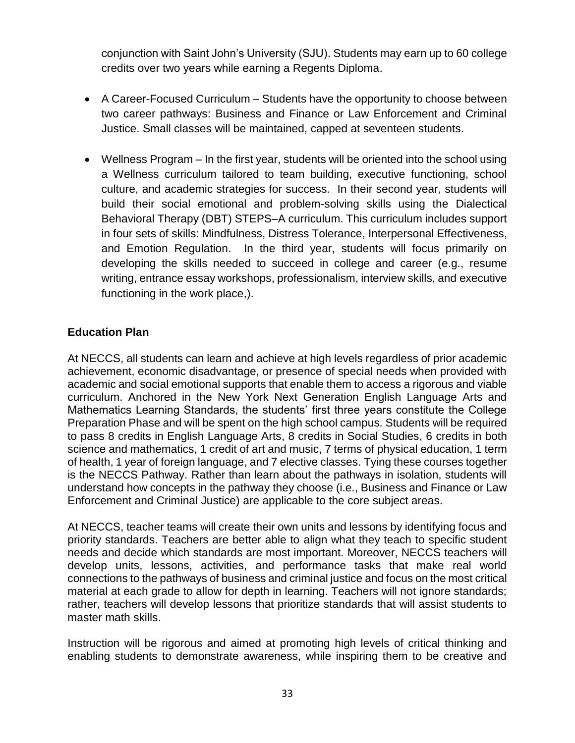conjunction with Saint John's University (SJU). Students may earn up to 60 college credits over two years while earning a Regents Diploma.

- A Career-Focused Curriculum Students have the opportunity to choose between two career pathways: Business and Finance or Law Enforcement and Criminal Justice. Small classes will be maintained, capped at seventeen students.
- Wellness Program In the first year, students will be oriented into the school using a Wellness curriculum tailored to team building, executive functioning, school culture, and academic strategies for success. In their second year, students will build their social emotional and problem-solving skills using the Dialectical Behavioral Therapy (DBT) STEPS–A curriculum. This curriculum includes support in four sets of skills: Mindfulness, Distress Tolerance, Interpersonal Effectiveness, and Emotion Regulation. In the third year, students will focus primarily on developing the skills needed to succeed in college and career (e.g., resume writing, entrance essay workshops, professionalism, interview skills, and executive functioning in the work place,).

#### **Education Plan**

At NECCS, all students can learn and achieve at high levels regardless of prior academic achievement, economic disadvantage, or presence of special needs when provided with academic and social emotional supports that enable them to access a rigorous and viable curriculum. Anchored in the New York Next Generation English Language Arts and Mathematics Learning Standards, the students' first three years constitute the College Preparation Phase and will be spent on the high school campus. Students will be required to pass 8 credits in English Language Arts, 8 credits in Social Studies, 6 credits in both science and mathematics, 1 credit of art and music, 7 terms of physical education, 1 term of health, 1 year of foreign language, and 7 elective classes. Tying these courses together is the NECCS Pathway. Rather than learn about the pathways in isolation, students will understand how concepts in the pathway they choose (i.e., Business and Finance or Law Enforcement and Criminal Justice) are applicable to the core subject areas.

At NECCS, teacher teams will create their own units and lessons by identifying focus and priority standards. Teachers are better able to align what they teach to specific student needs and decide which standards are most important. Moreover, NECCS teachers will develop units, lessons, activities, and performance tasks that make real world connections to the pathways of business and criminal justice and focus on the most critical material at each grade to allow for depth in learning. Teachers will not ignore standards; rather, teachers will develop lessons that prioritize standards that will assist students to master math skills.

Instruction will be rigorous and aimed at promoting high levels of critical thinking and enabling students to demonstrate awareness, while inspiring them to be creative and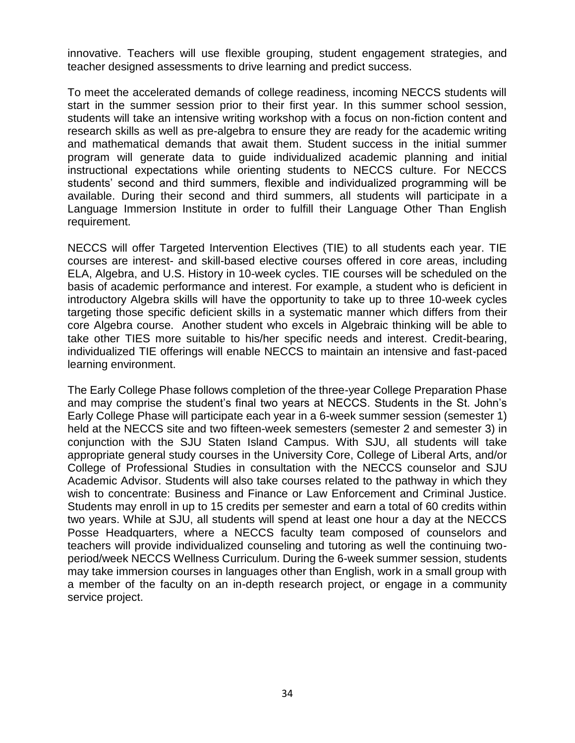innovative. Teachers will use flexible grouping, student engagement strategies, and teacher designed assessments to drive learning and predict success.

To meet the accelerated demands of college readiness, incoming NECCS students will start in the summer session prior to their first year. In this summer school session, students will take an intensive writing workshop with a focus on non-fiction content and research skills as well as pre-algebra to ensure they are ready for the academic writing and mathematical demands that await them. Student success in the initial summer program will generate data to guide individualized academic planning and initial instructional expectations while orienting students to NECCS culture. For NECCS students' second and third summers, flexible and individualized programming will be available. During their second and third summers, all students will participate in a Language Immersion Institute in order to fulfill their Language Other Than English requirement.

NECCS will offer Targeted Intervention Electives (TIE) to all students each year. TIE courses are interest- and skill-based elective courses offered in core areas, including ELA, Algebra, and U.S. History in 10-week cycles. TIE courses will be scheduled on the basis of academic performance and interest. For example, a student who is deficient in introductory Algebra skills will have the opportunity to take up to three 10-week cycles targeting those specific deficient skills in a systematic manner which differs from their core Algebra course. Another student who excels in Algebraic thinking will be able to take other TIES more suitable to his/her specific needs and interest. Credit-bearing, individualized TIE offerings will enable NECCS to maintain an intensive and fast-paced learning environment.

The Early College Phase follows completion of the three-year College Preparation Phase and may comprise the student's final two years at NECCS. Students in the St. John's Early College Phase will participate each year in a 6-week summer session (semester 1) held at the NECCS site and two fifteen-week semesters (semester 2 and semester 3) in conjunction with the SJU Staten Island Campus. With SJU, all students will take appropriate general study courses in the University Core, College of Liberal Arts, and/or College of Professional Studies in consultation with the NECCS counselor and SJU Academic Advisor. Students will also take courses related to the pathway in which they wish to concentrate: Business and Finance or Law Enforcement and Criminal Justice. Students may enroll in up to 15 credits per semester and earn a total of 60 credits within two years. While at SJU, all students will spend at least one hour a day at the NECCS Posse Headquarters, where a NECCS faculty team composed of counselors and teachers will provide individualized counseling and tutoring as well the continuing twoperiod/week NECCS Wellness Curriculum. During the 6-week summer session, students may take immersion courses in languages other than English, work in a small group with a member of the faculty on an in-depth research project, or engage in a community service project.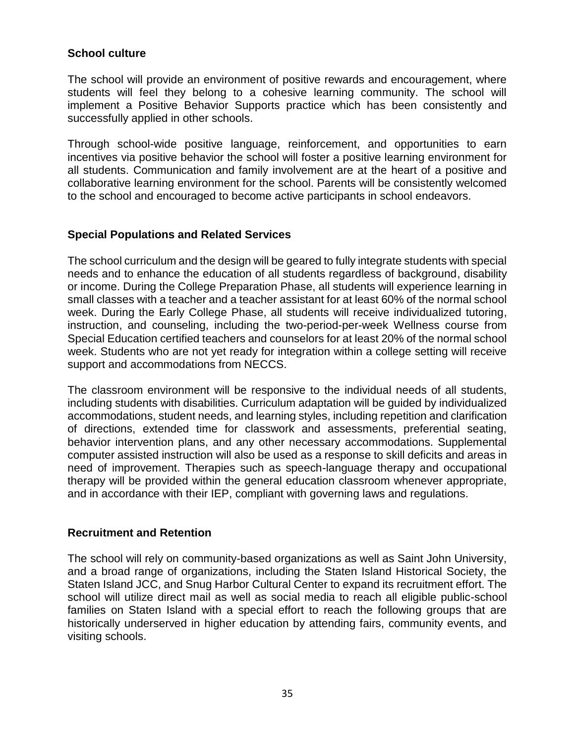### **School culture**

The school will provide an environment of positive rewards and encouragement, where students will feel they belong to a cohesive learning community. The school will implement a Positive Behavior Supports practice which has been consistently and successfully applied in other schools.

Through school-wide positive language, reinforcement, and opportunities to earn incentives via positive behavior the school will foster a positive learning environment for all students. Communication and family involvement are at the heart of a positive and collaborative learning environment for the school. Parents will be consistently welcomed to the school and encouraged to become active participants in school endeavors.

#### **Special Populations and Related Services**

The school curriculum and the design will be geared to fully integrate students with special needs and to enhance the education of all students regardless of background, disability or income. During the College Preparation Phase, all students will experience learning in small classes with a teacher and a teacher assistant for at least 60% of the normal school week. During the Early College Phase, all students will receive individualized tutoring, instruction, and counseling, including the two-period-per-week Wellness course from Special Education certified teachers and counselors for at least 20% of the normal school week. Students who are not yet ready for integration within a college setting will receive support and accommodations from NECCS.

The classroom environment will be responsive to the individual needs of all students, including students with disabilities. Curriculum adaptation will be guided by individualized accommodations, student needs, and learning styles, including repetition and clarification of directions, extended time for classwork and assessments, preferential seating, behavior intervention plans, and any other necessary accommodations. Supplemental computer assisted instruction will also be used as a response to skill deficits and areas in need of improvement. Therapies such as speech-language therapy and occupational therapy will be provided within the general education classroom whenever appropriate, and in accordance with their IEP, compliant with governing laws and regulations.

#### **Recruitment and Retention**

The school will rely on community-based organizations as well as Saint John University, and a broad range of organizations, including the Staten Island Historical Society, the Staten Island JCC, and Snug Harbor Cultural Center to expand its recruitment effort. The school will utilize direct mail as well as social media to reach all eligible public-school families on Staten Island with a special effort to reach the following groups that are historically underserved in higher education by attending fairs, community events, and visiting schools.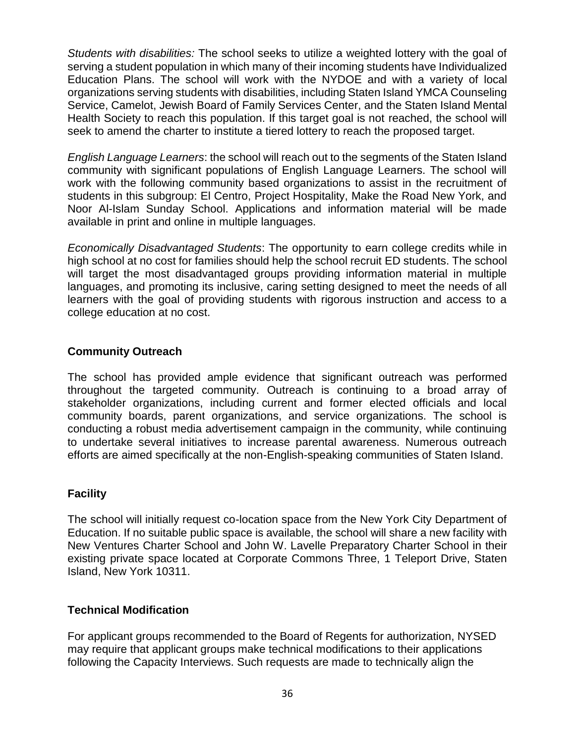*Students with disabilities:* The school seeks to utilize a weighted lottery with the goal of serving a student population in which many of their incoming students have Individualized Education Plans. The school will work with the NYDOE and with a variety of local organizations serving students with disabilities, including Staten Island YMCA Counseling Service, Camelot, Jewish Board of Family Services Center, and the Staten Island Mental Health Society to reach this population. If this target goal is not reached, the school will seek to amend the charter to institute a tiered lottery to reach the proposed target.

*English Language Learners*: the school will reach out to the segments of the Staten Island community with significant populations of English Language Learners. The school will work with the following community based organizations to assist in the recruitment of students in this subgroup: El Centro, Project Hospitality, Make the Road New York, and Noor Al-Islam Sunday School. Applications and information material will be made available in print and online in multiple languages.

*Economically Disadvantaged Students*: The opportunity to earn college credits while in high school at no cost for families should help the school recruit ED students. The school will target the most disadvantaged groups providing information material in multiple languages, and promoting its inclusive, caring setting designed to meet the needs of all learners with the goal of providing students with rigorous instruction and access to a college education at no cost.

## **Community Outreach**

The school has provided ample evidence that significant outreach was performed throughout the targeted community. Outreach is continuing to a broad array of stakeholder organizations, including current and former elected officials and local community boards, parent organizations, and service organizations. The school is conducting a robust media advertisement campaign in the community, while continuing to undertake several initiatives to increase parental awareness. Numerous outreach efforts are aimed specifically at the non-English-speaking communities of Staten Island.

#### **Facility**

The school will initially request co-location space from the New York City Department of Education. If no suitable public space is available, the school will share a new facility with New Ventures Charter School and John W. Lavelle Preparatory Charter School in their existing private space located at Corporate Commons Three, 1 Teleport Drive, Staten Island, New York 10311.

#### **Technical Modification**

For applicant groups recommended to the Board of Regents for authorization, NYSED may require that applicant groups make technical modifications to their applications following the Capacity Interviews. Such requests are made to technically align the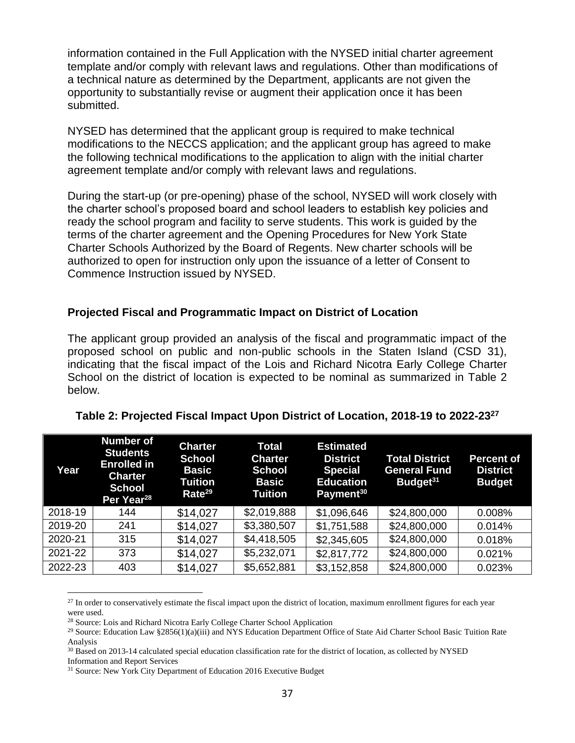information contained in the Full Application with the NYSED initial charter agreement template and/or comply with relevant laws and regulations. Other than modifications of a technical nature as determined by the Department, applicants are not given the opportunity to substantially revise or augment their application once it has been submitted.

NYSED has determined that the applicant group is required to make technical modifications to the NECCS application; and the applicant group has agreed to make the following technical modifications to the application to align with the initial charter agreement template and/or comply with relevant laws and regulations.

During the start-up (or pre-opening) phase of the school, NYSED will work closely with the charter school's proposed board and school leaders to establish key policies and ready the school program and facility to serve students. This work is guided by the terms of the charter agreement and the Opening Procedures for New York State Charter Schools Authorized by the Board of Regents. New charter schools will be authorized to open for instruction only upon the issuance of a letter of Consent to Commence Instruction issued by NYSED.

#### **Projected Fiscal and Programmatic Impact on District of Location**

The applicant group provided an analysis of the fiscal and programmatic impact of the proposed school on public and non-public schools in the Staten Island (CSD 31), indicating that the fiscal impact of the Lois and Richard Nicotra Early College Charter School on the district of location is expected to be nominal as summarized in Table 2 below.

| Year    | <b>Number of</b><br><b>Students</b><br><b>Enrolled in</b><br><b>Charter</b><br><b>School</b><br>Per Year <sup>28</sup> | <b>Charter</b><br><b>School</b><br><b>Basic</b><br>Tuition<br>Rate <sup>29</sup> | <b>Total</b><br><b>Charter</b><br><b>School</b><br><b>Basic</b><br><b>Tuition</b> | <b>Estimated</b><br><b>District</b><br><b>Special</b><br><b>Education</b><br>Payment <sup>30</sup> | <b>Total District</b><br><b>General Fund</b><br>Budget <sup>31</sup> | <b>Percent of</b><br><b>District</b><br><b>Budget</b> |
|---------|------------------------------------------------------------------------------------------------------------------------|----------------------------------------------------------------------------------|-----------------------------------------------------------------------------------|----------------------------------------------------------------------------------------------------|----------------------------------------------------------------------|-------------------------------------------------------|
| 2018-19 | 144                                                                                                                    | \$14,027                                                                         | \$2,019,888                                                                       | \$1,096,646                                                                                        | \$24,800,000                                                         | 0.008%                                                |
| 2019-20 | 241                                                                                                                    | \$14,027                                                                         | \$3,380,507                                                                       | \$1,751,588                                                                                        | \$24,800,000                                                         | 0.014%                                                |
| 2020-21 | 315                                                                                                                    | \$14,027                                                                         | \$4,418,505                                                                       | \$2,345,605                                                                                        | \$24,800,000                                                         | 0.018%                                                |
| 2021-22 | 373                                                                                                                    | \$14,027                                                                         | \$5,232,071                                                                       | \$2,817,772                                                                                        | \$24,800,000                                                         | 0.021%                                                |
| 2022-23 | 403                                                                                                                    | \$14,027                                                                         | \$5,652,881                                                                       | \$3,152,858                                                                                        | \$24,800,000                                                         | 0.023%                                                |

#### **Table 2: Projected Fiscal Impact Upon District of Location, 2018-19 to 2022-23<sup>27</sup>**

<sup>&</sup>lt;sup>27</sup> In order to conservatively estimate the fiscal impact upon the district of location, maximum enrollment figures for each year were used.

<sup>28</sup> Source: Lois and Richard Nicotra Early College Charter School Application

<sup>&</sup>lt;sup>29</sup> Source: Education Law §2856(1)(a)(iii) and NYS Education Department Office of State Aid Charter School Basic Tuition Rate Analysis

 $30$  Based on 2013-14 calculated special education classification rate for the district of location, as collected by NYSED Information and Report Services

<sup>&</sup>lt;sup>31</sup> Source: New York City Department of Education 2016 Executive Budget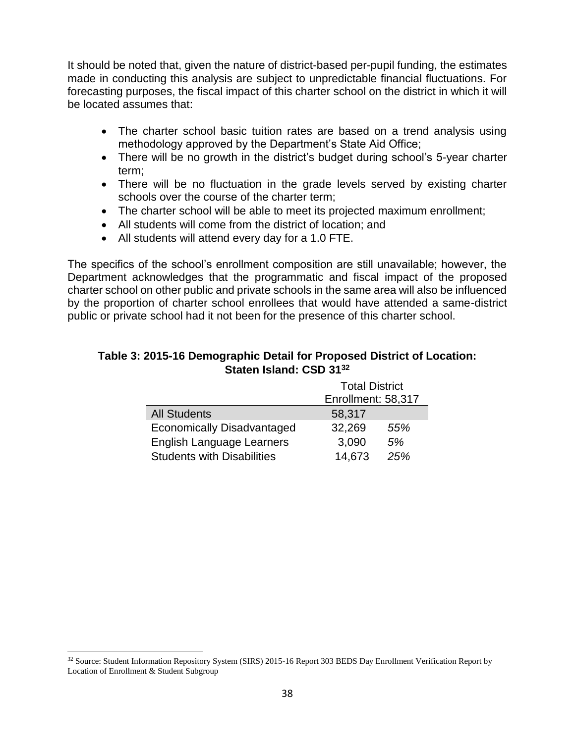It should be noted that, given the nature of district-based per-pupil funding, the estimates made in conducting this analysis are subject to unpredictable financial fluctuations. For forecasting purposes, the fiscal impact of this charter school on the district in which it will be located assumes that:

- The charter school basic tuition rates are based on a trend analysis using methodology approved by the Department's State Aid Office;
- There will be no growth in the district's budget during school's 5-year charter term;
- There will be no fluctuation in the grade levels served by existing charter schools over the course of the charter term;
- The charter school will be able to meet its projected maximum enrollment;
- All students will come from the district of location; and
- All students will attend every day for a 1.0 FTE.

The specifics of the school's enrollment composition are still unavailable; however, the Department acknowledges that the programmatic and fiscal impact of the proposed charter school on other public and private schools in the same area will also be influenced by the proportion of charter school enrollees that would have attended a same-district public or private school had it not been for the presence of this charter school.

#### **Table 3: 2015-16 Demographic Detail for Proposed District of Location: Staten Island: CSD 31<sup>32</sup>**

|                                   | <b>Total District</b> |     |  |
|-----------------------------------|-----------------------|-----|--|
|                                   | Enrollment: 58,317    |     |  |
| <b>All Students</b>               | 58,317                |     |  |
| <b>Economically Disadvantaged</b> | 32,269                | 55% |  |
| <b>English Language Learners</b>  | 3,090                 | 5%  |  |
| <b>Students with Disabilities</b> | 14,673<br>25%         |     |  |

<sup>32</sup> Source: Student Information Repository System (SIRS) 2015-16 Report 303 BEDS Day Enrollment Verification Report by Location of Enrollment & Student Subgroup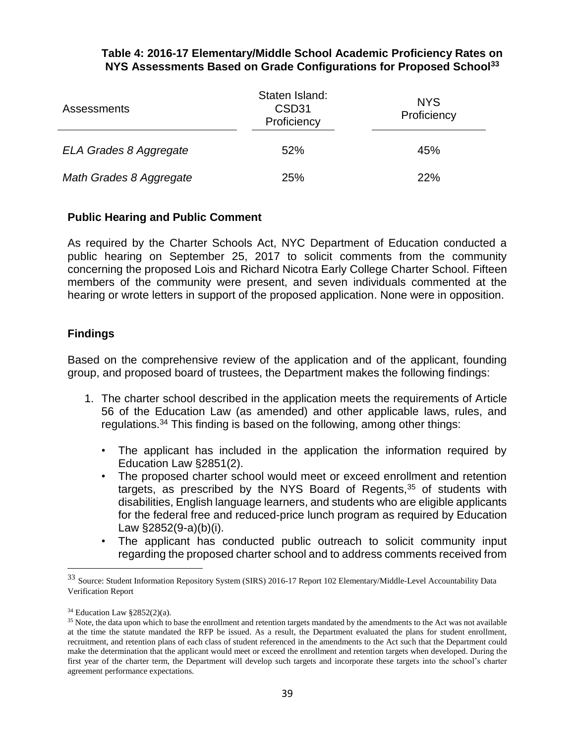#### **Table 4: 2016-17 Elementary/Middle School Academic Proficiency Rates on NYS Assessments Based on Grade Configurations for Proposed School<sup>33</sup>**

| <b>Assessments</b>      | Staten Island:<br>CSD <sub>31</sub><br>Proficiency | <b>NYS</b><br>Proficiency |  |
|-------------------------|----------------------------------------------------|---------------------------|--|
| ELA Grades 8 Aggregate  | 52%                                                | 45%                       |  |
| Math Grades 8 Aggregate | 25%                                                | 22%                       |  |

### **Public Hearing and Public Comment**

As required by the Charter Schools Act, NYC Department of Education conducted a public hearing on September 25, 2017 to solicit comments from the community concerning the proposed Lois and Richard Nicotra Early College Charter School. Fifteen members of the community were present, and seven individuals commented at the hearing or wrote letters in support of the proposed application. None were in opposition.

### **Findings**

Based on the comprehensive review of the application and of the applicant, founding group, and proposed board of trustees, the Department makes the following findings:

- 1. The charter school described in the application meets the requirements of Article 56 of the Education Law (as amended) and other applicable laws, rules, and regulations.<sup>34</sup> This finding is based on the following, among other things:
	- The applicant has included in the application the information required by Education Law §2851(2).
	- The proposed charter school would meet or exceed enrollment and retention targets, as prescribed by the NYS Board of Regents, $35$  of students with disabilities, English language learners, and students who are eligible applicants for the federal free and reduced-price lunch program as required by Education Law §2852(9-a)(b)(i).
	- The applicant has conducted public outreach to solicit community input regarding the proposed charter school and to address comments received from

<sup>33</sup> Source: Student Information Repository System (SIRS) 2016-17 Report 102 Elementary/Middle-Level Accountability Data Verification Report

 $34$  Education Law §2852(2)(a).

<sup>&</sup>lt;sup>35</sup> Note, the data upon which to base the enrollment and retention targets mandated by the amendments to the Act was not available at the time the statute mandated the RFP be issued. As a result, the Department evaluated the plans for student enrollment, recruitment, and retention plans of each class of student referenced in the amendments to the Act such that the Department could make the determination that the applicant would meet or exceed the enrollment and retention targets when developed. During the first year of the charter term, the Department will develop such targets and incorporate these targets into the school's charter agreement performance expectations.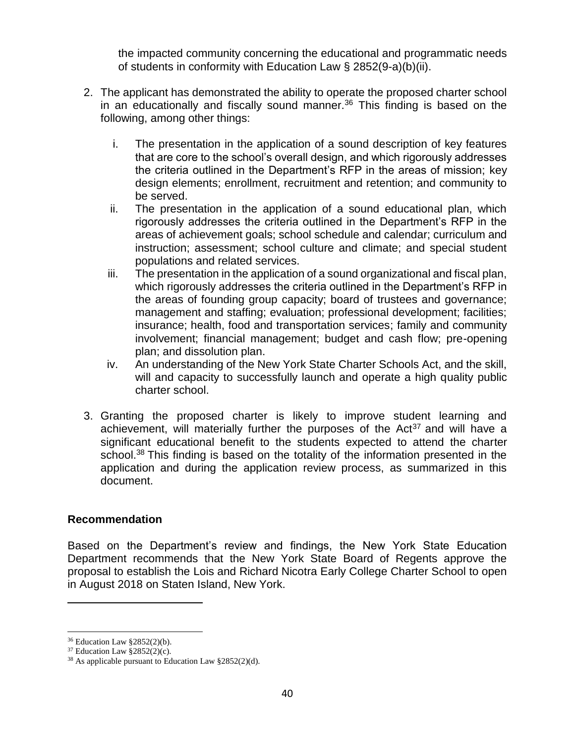the impacted community concerning the educational and programmatic needs of students in conformity with Education Law § 2852(9-a)(b)(ii).

- 2. The applicant has demonstrated the ability to operate the proposed charter school in an educationally and fiscally sound manner. $36$  This finding is based on the following, among other things:
	- i. The presentation in the application of a sound description of key features that are core to the school's overall design, and which rigorously addresses the criteria outlined in the Department's RFP in the areas of mission; key design elements; enrollment, recruitment and retention; and community to be served.
	- ii. The presentation in the application of a sound educational plan, which rigorously addresses the criteria outlined in the Department's RFP in the areas of achievement goals; school schedule and calendar; curriculum and instruction; assessment; school culture and climate; and special student populations and related services.
	- iii. The presentation in the application of a sound organizational and fiscal plan, which rigorously addresses the criteria outlined in the Department's RFP in the areas of founding group capacity; board of trustees and governance; management and staffing; evaluation; professional development; facilities; insurance; health, food and transportation services; family and community involvement; financial management; budget and cash flow; pre-opening plan; and dissolution plan.
	- iv. An understanding of the New York State Charter Schools Act, and the skill, will and capacity to successfully launch and operate a high quality public charter school.
- 3. Granting the proposed charter is likely to improve student learning and achievement, will materially further the purposes of the  $Act^{37}$  and will have a significant educational benefit to the students expected to attend the charter school.<sup>38</sup> This finding is based on the totality of the information presented in the application and during the application review process, as summarized in this document.

#### **Recommendation**

Based on the Department's review and findings, the New York State Education Department recommends that the New York State Board of Regents approve the proposal to establish the Lois and Richard Nicotra Early College Charter School to open in August 2018 on Staten Island, New York.

<sup>36</sup> Education Law §2852(2)(b).

 $37$  Education Law  $\S 2852(2)(c)$ .

<sup>38</sup> As applicable pursuant to Education Law §2852(2)(d).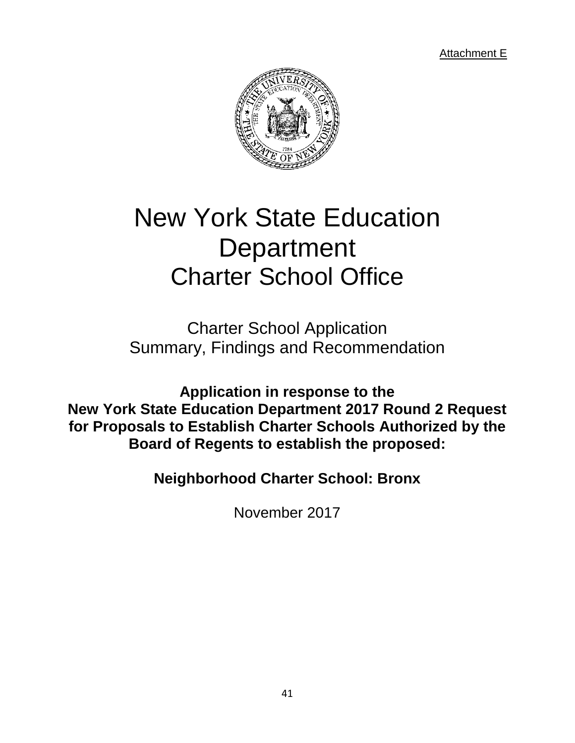Attachment E



# New York State Education **Department** Charter School Office

Charter School Application Summary, Findings and Recommendation

**Application in response to the New York State Education Department 2017 Round 2 Request for Proposals to Establish Charter Schools Authorized by the Board of Regents to establish the proposed:**

**Neighborhood Charter School: Bronx**

November 2017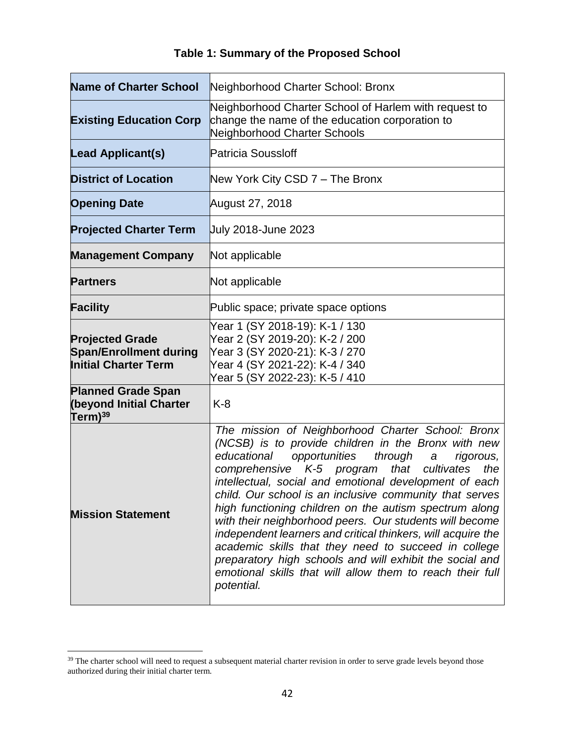| <b>Name of Charter School</b>                                                          | Neighborhood Charter School: Bronx                                                                                                                                                                                                                                                                                                                                                                                                                                                                                                                                                                                                                                                                                                                |
|----------------------------------------------------------------------------------------|---------------------------------------------------------------------------------------------------------------------------------------------------------------------------------------------------------------------------------------------------------------------------------------------------------------------------------------------------------------------------------------------------------------------------------------------------------------------------------------------------------------------------------------------------------------------------------------------------------------------------------------------------------------------------------------------------------------------------------------------------|
| <b>Existing Education Corp</b>                                                         | Neighborhood Charter School of Harlem with request to<br>change the name of the education corporation to<br>Neighborhood Charter Schools                                                                                                                                                                                                                                                                                                                                                                                                                                                                                                                                                                                                          |
| <b>Lead Applicant(s)</b>                                                               | <b>Patricia Soussloff</b>                                                                                                                                                                                                                                                                                                                                                                                                                                                                                                                                                                                                                                                                                                                         |
| <b>District of Location</b>                                                            | New York City CSD 7 - The Bronx                                                                                                                                                                                                                                                                                                                                                                                                                                                                                                                                                                                                                                                                                                                   |
| <b>Opening Date</b>                                                                    | August 27, 2018                                                                                                                                                                                                                                                                                                                                                                                                                                                                                                                                                                                                                                                                                                                                   |
| <b>Projected Charter Term</b>                                                          | July 2018-June 2023                                                                                                                                                                                                                                                                                                                                                                                                                                                                                                                                                                                                                                                                                                                               |
| <b>Management Company</b>                                                              | Not applicable                                                                                                                                                                                                                                                                                                                                                                                                                                                                                                                                                                                                                                                                                                                                    |
| <b>Partners</b>                                                                        | Not applicable                                                                                                                                                                                                                                                                                                                                                                                                                                                                                                                                                                                                                                                                                                                                    |
| <b>Facility</b>                                                                        | Public space; private space options                                                                                                                                                                                                                                                                                                                                                                                                                                                                                                                                                                                                                                                                                                               |
| <b>Projected Grade</b><br><b>Span/Enrollment during</b><br><b>Initial Charter Term</b> | Year 1 (SY 2018-19): K-1 / 130<br>Year 2 (SY 2019-20): K-2 / 200<br>Year 3 (SY 2020-21): K-3 / 270<br>Year 4 (SY 2021-22): K-4 / 340<br>Year 5 (SY 2022-23): K-5 / 410                                                                                                                                                                                                                                                                                                                                                                                                                                                                                                                                                                            |
| <b>Planned Grade Span</b><br><b>(beyond Initial Charter</b><br>Term) <sup>39</sup>     | $K-8$                                                                                                                                                                                                                                                                                                                                                                                                                                                                                                                                                                                                                                                                                                                                             |
| <b>Mission Statement</b>                                                               | The mission of Neighborhood Charter School: Bronx<br>(NCSB) is to provide children in the Bronx with new<br>educational<br>opportunities<br>through<br>rigorous,<br>$\boldsymbol{a}$<br>comprehensive K-5 program that cultivates<br>the<br>intellectual, social and emotional development of each<br>child. Our school is an inclusive community that serves<br>high functioning children on the autism spectrum along<br>with their neighborhood peers. Our students will become<br>independent learners and critical thinkers, will acquire the<br>academic skills that they need to succeed in college<br>preparatory high schools and will exhibit the social and<br>emotional skills that will allow them to reach their full<br>potential. |

# **Table 1: Summary of the Proposed School**

<sup>&</sup>lt;sup>39</sup> The charter school will need to request a subsequent material charter revision in order to serve grade levels beyond those authorized during their initial charter term.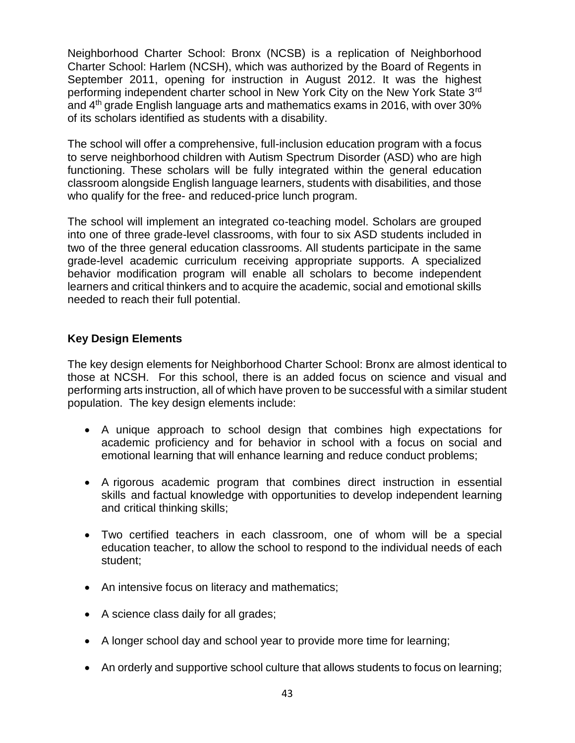Neighborhood Charter School: Bronx (NCSB) is a replication of Neighborhood Charter School: Harlem (NCSH), which was authorized by the Board of Regents in September 2011, opening for instruction in August 2012. It was the highest performing independent charter school in New York City on the New York State 3rd and 4th grade English language arts and mathematics exams in 2016, with over 30% of its scholars identified as students with a disability.

The school will offer a comprehensive, full-inclusion education program with a focus to serve neighborhood children with Autism Spectrum Disorder (ASD) who are high functioning. These scholars will be fully integrated within the general education classroom alongside English language learners, students with disabilities, and those who qualify for the free- and reduced-price lunch program.

The school will implement an integrated co-teaching model. Scholars are grouped into one of three grade-level classrooms, with four to six ASD students included in two of the three general education classrooms. All students participate in the same grade-level academic curriculum receiving appropriate supports. A specialized behavior modification program will enable all scholars to become independent learners and critical thinkers and to acquire the academic, social and emotional skills needed to reach their full potential.

### **Key Design Elements**

The key design elements for Neighborhood Charter School: Bronx are almost identical to those at NCSH. For this school, there is an added focus on science and visual and performing arts instruction, all of which have proven to be successful with a similar student population. The key design elements include:

- A unique approach to school design that combines high expectations for academic proficiency and for behavior in school with a focus on social and emotional learning that will enhance learning and reduce conduct problems;
- A rigorous academic program that combines direct instruction in essential skills and factual knowledge with opportunities to develop independent learning and critical thinking skills;
- Two certified teachers in each classroom, one of whom will be a special education teacher, to allow the school to respond to the individual needs of each student;
- An intensive focus on literacy and mathematics;
- A science class daily for all grades;
- A longer school day and school year to provide more time for learning;
- An orderly and supportive school culture that allows students to focus on learning;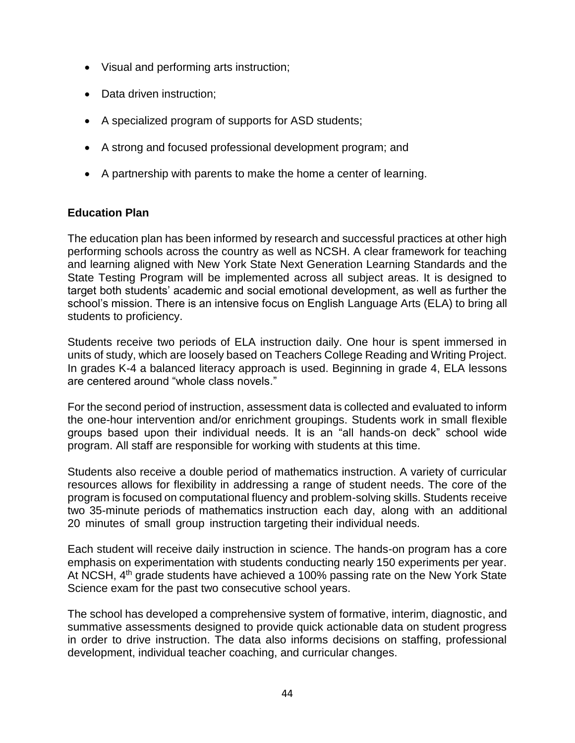- Visual and performing arts instruction;
- Data driven instruction:
- A specialized program of supports for ASD students;
- A strong and focused professional development program; and
- A partnership with parents to make the home a center of learning.

#### **Education Plan**

The education plan has been informed by research and successful practices at other high performing schools across the country as well as NCSH. A clear framework for teaching and learning aligned with New York State Next Generation Learning Standards and the State Testing Program will be implemented across all subject areas. It is designed to target both students' academic and social emotional development, as well as further the school's mission. There is an intensive focus on English Language Arts (ELA) to bring all students to proficiency.

Students receive two periods of ELA instruction daily. One hour is spent immersed in units of study, which are loosely based on Teachers College Reading and Writing Project. In grades K-4 a balanced literacy approach is used. Beginning in grade 4, ELA lessons are centered around "whole class novels."

For the second period of instruction, assessment data is collected and evaluated to inform the one-hour intervention and/or enrichment groupings. Students work in small flexible groups based upon their individual needs. It is an "all hands-on deck" school wide program. All staff are responsible for working with students at this time.

Students also receive a double period of mathematics instruction. A variety of curricular resources allows for flexibility in addressing a range of student needs. The core of the program is focused on computational fluency and problem-solving skills. Students receive two 35-minute periods of mathematics instruction each day, along with an additional 20 minutes of small group instruction targeting their individual needs.

Each student will receive daily instruction in science. The hands-on program has a core emphasis on experimentation with students conducting nearly 150 experiments per year. At NCSH, 4th grade students have achieved a 100% passing rate on the New York State Science exam for the past two consecutive school years.

The school has developed a comprehensive system of formative, interim, diagnostic, and summative assessments designed to provide quick actionable data on student progress in order to drive instruction. The data also informs decisions on staffing, professional development, individual teacher coaching, and curricular changes.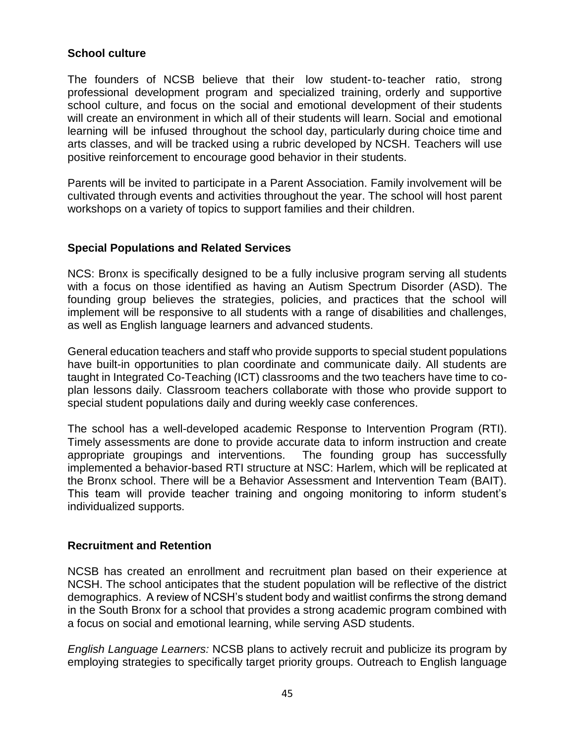### **School culture**

The founders of NCSB believe that their low student-to-teacher ratio, strong professional development program and specialized training, orderly and supportive school culture, and focus on the social and emotional development of their students will create an environment in which all of their students will learn. Social and emotional learning will be infused throughout the school day, particularly during choice time and arts classes, and will be tracked using a rubric developed by NCSH. Teachers will use positive reinforcement to encourage good behavior in their students.

Parents will be invited to participate in a Parent Association. Family involvement will be cultivated through events and activities throughout the year. The school will host parent workshops on a variety of topics to support families and their children.

#### **Special Populations and Related Services**

NCS: Bronx is specifically designed to be a fully inclusive program serving all students with a focus on those identified as having an Autism Spectrum Disorder (ASD). The founding group believes the strategies, policies, and practices that the school will implement will be responsive to all students with a range of disabilities and challenges, as well as English language learners and advanced students.

General education teachers and staff who provide supports to special student populations have built-in opportunities to plan coordinate and communicate daily. All students are taught in Integrated Co-Teaching (ICT) classrooms and the two teachers have time to coplan lessons daily. Classroom teachers collaborate with those who provide support to special student populations daily and during weekly case conferences.

The school has a well-developed academic Response to Intervention Program (RTI). Timely assessments are done to provide accurate data to inform instruction and create appropriate groupings and interventions. The founding group has successfully implemented a behavior-based RTI structure at NSC: Harlem, which will be replicated at the Bronx school. There will be a Behavior Assessment and Intervention Team (BAIT). This team will provide teacher training and ongoing monitoring to inform student's individualized supports.

#### **Recruitment and Retention**

NCSB has created an enrollment and recruitment plan based on their experience at NCSH. The school anticipates that the student population will be reflective of the district demographics. A review of NCSH's student body and waitlist confirms the strong demand in the South Bronx for a school that provides a strong academic program combined with a focus on social and emotional learning, while serving ASD students.

*English Language Learners:* NCSB plans to actively recruit and publicize its program by employing strategies to specifically target priority groups. Outreach to English language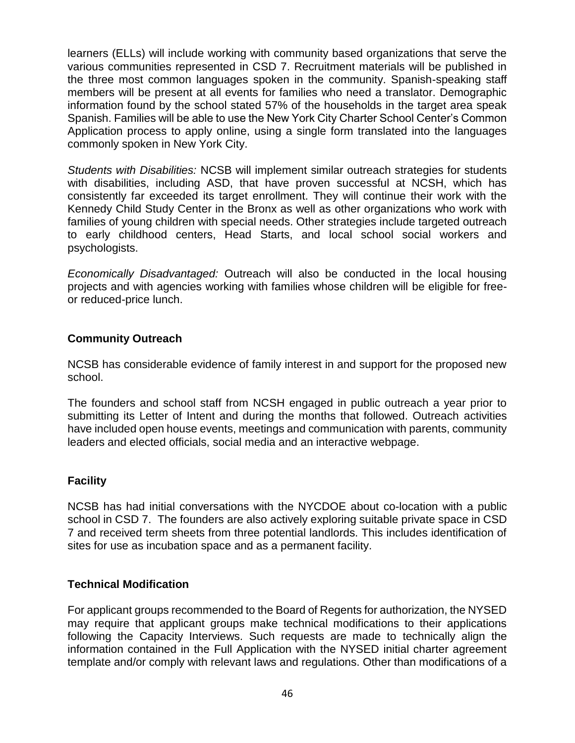learners (ELLs) will include working with community based organizations that serve the various communities represented in CSD 7. Recruitment materials will be published in the three most common languages spoken in the community. Spanish-speaking staff members will be present at all events for families who need a translator. Demographic information found by the school stated 57% of the households in the target area speak Spanish. Families will be able to use the New York City Charter School Center's Common Application process to apply online, using a single form translated into the languages commonly spoken in New York City.

*Students with Disabilities:* NCSB will implement similar outreach strategies for students with disabilities, including ASD, that have proven successful at NCSH, which has consistently far exceeded its target enrollment. They will continue their work with the Kennedy Child Study Center in the Bronx as well as other organizations who work with families of young children with special needs. Other strategies include targeted outreach to early childhood centers, Head Starts, and local school social workers and psychologists.

*Economically Disadvantaged:* Outreach will also be conducted in the local housing projects and with agencies working with families whose children will be eligible for freeor reduced-price lunch.

# **Community Outreach**

NCSB has considerable evidence of family interest in and support for the proposed new school.

The founders and school staff from NCSH engaged in public outreach a year prior to submitting its Letter of Intent and during the months that followed. Outreach activities have included open house events, meetings and communication with parents, community leaders and elected officials, social media and an interactive webpage.

#### **Facility**

NCSB has had initial conversations with the NYCDOE about co-location with a public school in CSD 7. The founders are also actively exploring suitable private space in CSD 7 and received term sheets from three potential landlords. This includes identification of sites for use as incubation space and as a permanent facility.

# **Technical Modification**

For applicant groups recommended to the Board of Regents for authorization, the NYSED may require that applicant groups make technical modifications to their applications following the Capacity Interviews. Such requests are made to technically align the information contained in the Full Application with the NYSED initial charter agreement template and/or comply with relevant laws and regulations. Other than modifications of a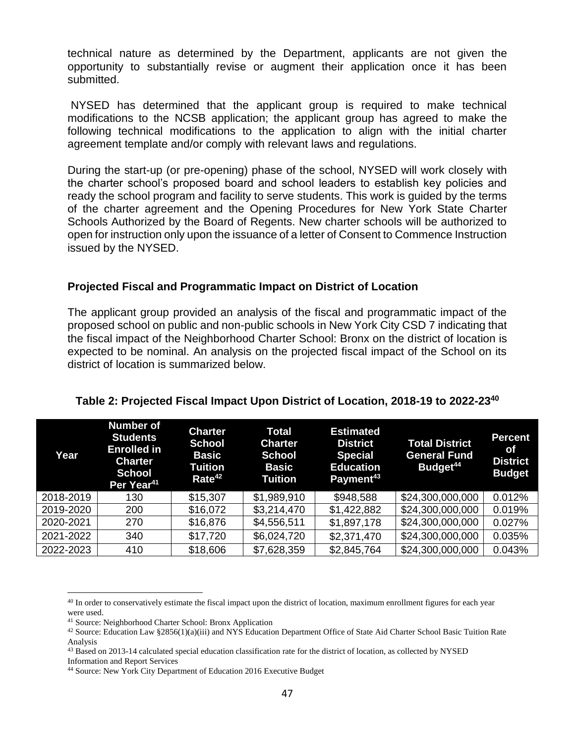technical nature as determined by the Department, applicants are not given the opportunity to substantially revise or augment their application once it has been submitted.

NYSED has determined that the applicant group is required to make technical modifications to the NCSB application; the applicant group has agreed to make the following technical modifications to the application to align with the initial charter agreement template and/or comply with relevant laws and regulations.

During the start-up (or pre-opening) phase of the school, NYSED will work closely with the charter school's proposed board and school leaders to establish key policies and ready the school program and facility to serve students. This work is guided by the terms of the charter agreement and the Opening Procedures for New York State Charter Schools Authorized by the Board of Regents. New charter schools will be authorized to open for instruction only upon the issuance of a letter of Consent to Commence Instruction issued by the NYSED.

#### **Projected Fiscal and Programmatic Impact on District of Location**

The applicant group provided an analysis of the fiscal and programmatic impact of the proposed school on public and non-public schools in New York City CSD 7 indicating that the fiscal impact of the Neighborhood Charter School: Bronx on the district of location is expected to be nominal. An analysis on the projected fiscal impact of the School on its district of location is summarized below.

| Year      | <b>Number of</b><br><b>Students</b><br><b>Enrolled in</b><br><b>Charter</b><br><b>School</b><br>Per Year <sup>41</sup> | <b>Charter</b><br><b>School</b><br><b>Basic</b><br>Tuition<br>Rate <sup>42</sup> | Total<br><b>Charter</b><br><b>School</b><br><b>Basic</b><br>Tuition | <b>Estimated</b><br><b>District</b><br><b>Special</b><br><b>Education</b><br>Payment <sup>43</sup> | <b>Total District</b><br><b>General Fund</b><br>Budget <sup>44</sup> | <b>Percent</b><br><b>of</b><br><b>District</b><br><b>Budget</b> |
|-----------|------------------------------------------------------------------------------------------------------------------------|----------------------------------------------------------------------------------|---------------------------------------------------------------------|----------------------------------------------------------------------------------------------------|----------------------------------------------------------------------|-----------------------------------------------------------------|
| 2018-2019 | 130                                                                                                                    | \$15,307                                                                         | \$1,989,910                                                         | \$948,588                                                                                          | \$24,300,000,000                                                     | 0.012%                                                          |
| 2019-2020 | 200                                                                                                                    | \$16,072                                                                         | \$3,214,470                                                         | \$1,422,882                                                                                        | \$24,300,000,000                                                     | 0.019%                                                          |
| 2020-2021 | 270                                                                                                                    | \$16,876                                                                         | \$4,556,511                                                         | \$1,897,178                                                                                        | \$24,300,000,000                                                     | 0.027%                                                          |
| 2021-2022 | 340                                                                                                                    | \$17,720                                                                         | \$6,024,720                                                         | \$2,371,470                                                                                        | \$24,300,000,000                                                     | 0.035%                                                          |
| 2022-2023 | 410                                                                                                                    | \$18,606                                                                         | \$7,628,359                                                         | \$2,845,764                                                                                        | \$24,300,000,000                                                     | 0.043%                                                          |

#### **Table 2: Projected Fiscal Impact Upon District of Location, 2018-19 to 2022-23<sup>40</sup>**

 $\overline{a}$ <sup>40</sup> In order to conservatively estimate the fiscal impact upon the district of location, maximum enrollment figures for each year were used.

<sup>41</sup> Source: Neighborhood Charter School: Bronx Application

 $42$  Source: Education Law §2856(1)(a)(iii) and NYS Education Department Office of State Aid Charter School Basic Tuition Rate Analysis

<sup>43</sup> Based on 2013-14 calculated special education classification rate for the district of location, as collected by NYSED Information and Report Services

<sup>44</sup> Source: New York City Department of Education 2016 Executive Budget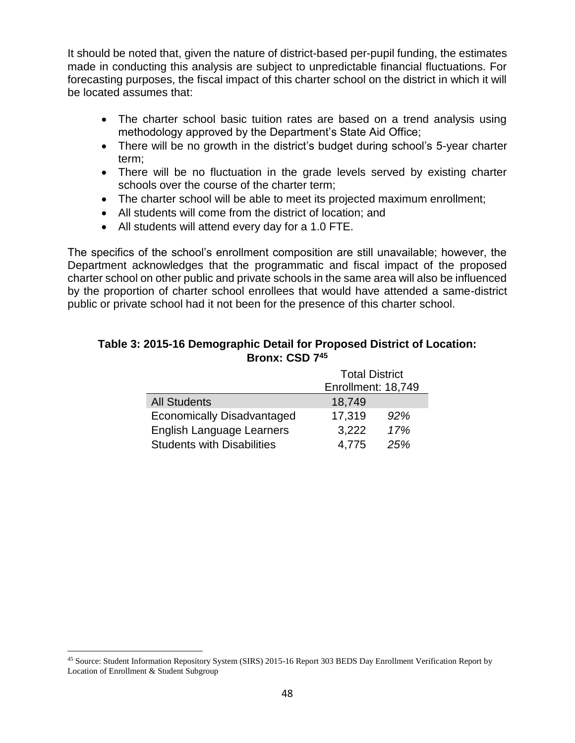It should be noted that, given the nature of district-based per-pupil funding, the estimates made in conducting this analysis are subject to unpredictable financial fluctuations. For forecasting purposes, the fiscal impact of this charter school on the district in which it will be located assumes that:

- The charter school basic tuition rates are based on a trend analysis using methodology approved by the Department's State Aid Office;
- There will be no growth in the district's budget during school's 5-year charter term;
- There will be no fluctuation in the grade levels served by existing charter schools over the course of the charter term;
- The charter school will be able to meet its projected maximum enrollment;
- All students will come from the district of location; and
- All students will attend every day for a 1.0 FTE.

The specifics of the school's enrollment composition are still unavailable; however, the Department acknowledges that the programmatic and fiscal impact of the proposed charter school on other public and private schools in the same area will also be influenced by the proportion of charter school enrollees that would have attended a same-district public or private school had it not been for the presence of this charter school.

#### **Table 3: 2015-16 Demographic Detail for Proposed District of Location: Bronx: CSD 7<sup>45</sup>**

|                                   | <b>Total District</b> |     |  |
|-----------------------------------|-----------------------|-----|--|
|                                   | Enrollment: 18,749    |     |  |
| <b>All Students</b>               | 18,749                |     |  |
| <b>Economically Disadvantaged</b> | 17,319                | 92% |  |
| English Language Learners         | 3,222                 | 17% |  |
| <b>Students with Disabilities</b> | 4,775                 | 25% |  |

<sup>45</sup> Source: Student Information Repository System (SIRS) 2015-16 Report 303 BEDS Day Enrollment Verification Report by Location of Enrollment & Student Subgroup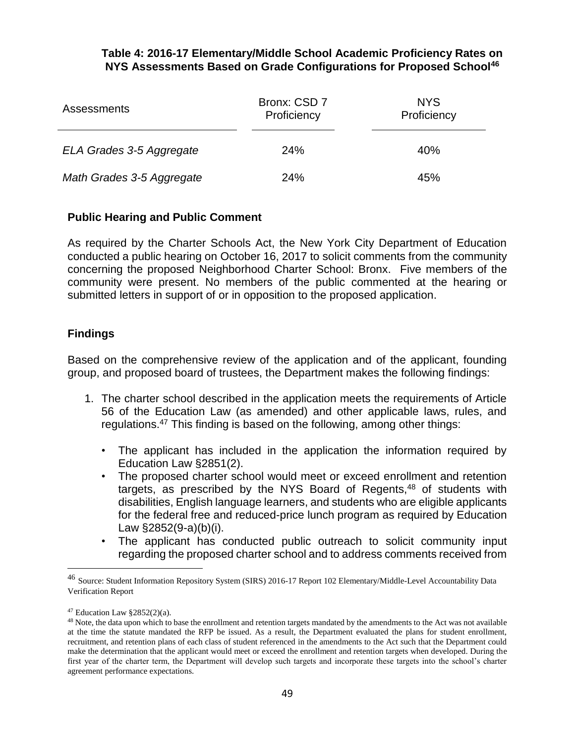#### **Table 4: 2016-17 Elementary/Middle School Academic Proficiency Rates on NYS Assessments Based on Grade Configurations for Proposed School<sup>46</sup>**

| <b>Assessments</b>        | Bronx: CSD 7<br>Proficiency | <b>NYS</b><br>Proficiency |  |
|---------------------------|-----------------------------|---------------------------|--|
| ELA Grades 3-5 Aggregate  | <b>24%</b>                  | 40%                       |  |
| Math Grades 3-5 Aggregate | 24%                         | 45%                       |  |

### **Public Hearing and Public Comment**

As required by the Charter Schools Act, the New York City Department of Education conducted a public hearing on October 16, 2017 to solicit comments from the community concerning the proposed Neighborhood Charter School: Bronx. Five members of the community were present. No members of the public commented at the hearing or submitted letters in support of or in opposition to the proposed application.

### **Findings**

Based on the comprehensive review of the application and of the applicant, founding group, and proposed board of trustees, the Department makes the following findings:

- 1. The charter school described in the application meets the requirements of Article 56 of the Education Law (as amended) and other applicable laws, rules, and regulations.<sup>47</sup> This finding is based on the following, among other things:
	- The applicant has included in the application the information required by Education Law §2851(2).
	- The proposed charter school would meet or exceed enrollment and retention targets, as prescribed by the NYS Board of Regents, $48$  of students with disabilities, English language learners, and students who are eligible applicants for the federal free and reduced-price lunch program as required by Education Law §2852(9-a)(b)(i).
	- The applicant has conducted public outreach to solicit community input regarding the proposed charter school and to address comments received from

<sup>46</sup> Source: Student Information Repository System (SIRS) 2016-17 Report 102 Elementary/Middle-Level Accountability Data Verification Report

 $47$  Education Law §2852(2)(a).

<sup>&</sup>lt;sup>48</sup> Note, the data upon which to base the enrollment and retention targets mandated by the amendments to the Act was not available at the time the statute mandated the RFP be issued. As a result, the Department evaluated the plans for student enrollment, recruitment, and retention plans of each class of student referenced in the amendments to the Act such that the Department could make the determination that the applicant would meet or exceed the enrollment and retention targets when developed. During the first year of the charter term, the Department will develop such targets and incorporate these targets into the school's charter agreement performance expectations.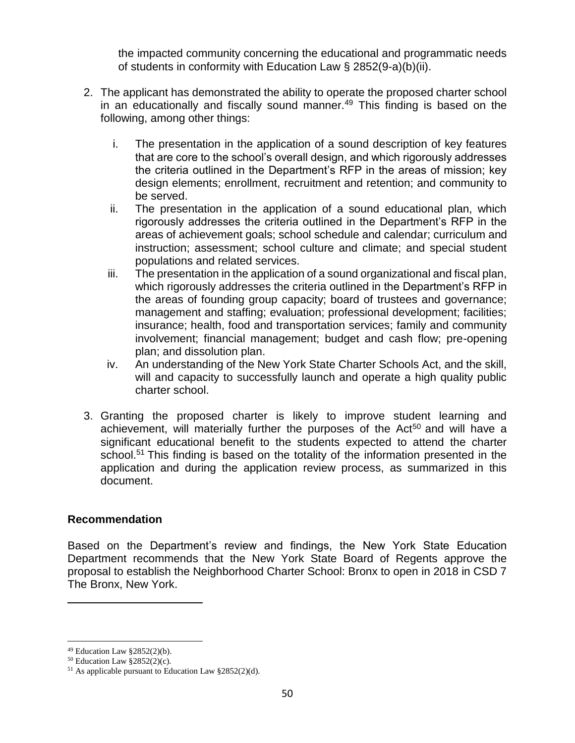the impacted community concerning the educational and programmatic needs of students in conformity with Education Law § 2852(9-a)(b)(ii).

- 2. The applicant has demonstrated the ability to operate the proposed charter school in an educationally and fiscally sound manner. $49$  This finding is based on the following, among other things:
	- i. The presentation in the application of a sound description of key features that are core to the school's overall design, and which rigorously addresses the criteria outlined in the Department's RFP in the areas of mission; key design elements; enrollment, recruitment and retention; and community to be served.
	- ii. The presentation in the application of a sound educational plan, which rigorously addresses the criteria outlined in the Department's RFP in the areas of achievement goals; school schedule and calendar; curriculum and instruction; assessment; school culture and climate; and special student populations and related services.
	- iii. The presentation in the application of a sound organizational and fiscal plan, which rigorously addresses the criteria outlined in the Department's RFP in the areas of founding group capacity; board of trustees and governance; management and staffing; evaluation; professional development; facilities; insurance; health, food and transportation services; family and community involvement; financial management; budget and cash flow; pre-opening plan; and dissolution plan.
	- iv. An understanding of the New York State Charter Schools Act, and the skill, will and capacity to successfully launch and operate a high quality public charter school.
- 3. Granting the proposed charter is likely to improve student learning and achievement, will materially further the purposes of the Act<sup>50</sup> and will have a significant educational benefit to the students expected to attend the charter school.<sup>51</sup> This finding is based on the totality of the information presented in the application and during the application review process, as summarized in this document.

#### **Recommendation**

Based on the Department's review and findings, the New York State Education Department recommends that the New York State Board of Regents approve the proposal to establish the Neighborhood Charter School: Bronx to open in 2018 in CSD 7 The Bronx, New York.

 $49$  Education Law §2852(2)(b).

 $50$  Education Law §2852(2)(c).

<sup>51</sup> As applicable pursuant to Education Law §2852(2)(d).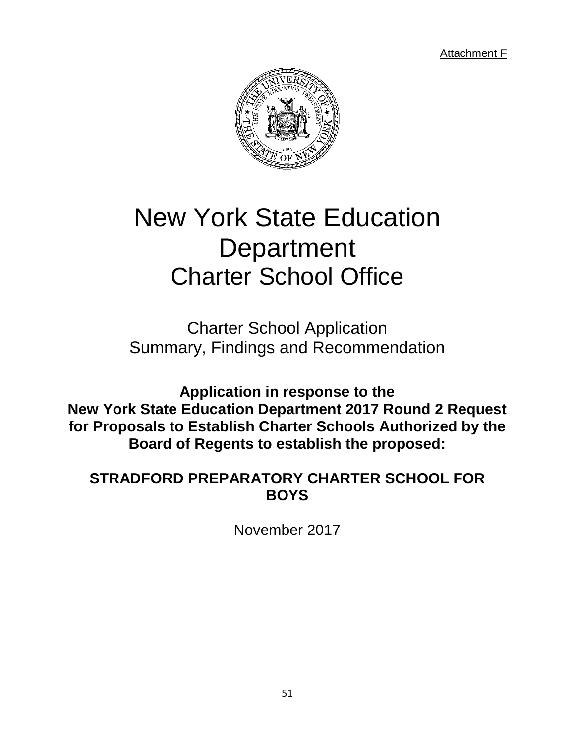Attachment F



# New York State Education **Department** Charter School Office

Charter School Application Summary, Findings and Recommendation

**Application in response to the New York State Education Department 2017 Round 2 Request for Proposals to Establish Charter Schools Authorized by the Board of Regents to establish the proposed:**

# **STRADFORD PREPARATORY CHARTER SCHOOL FOR BOYS**

November 2017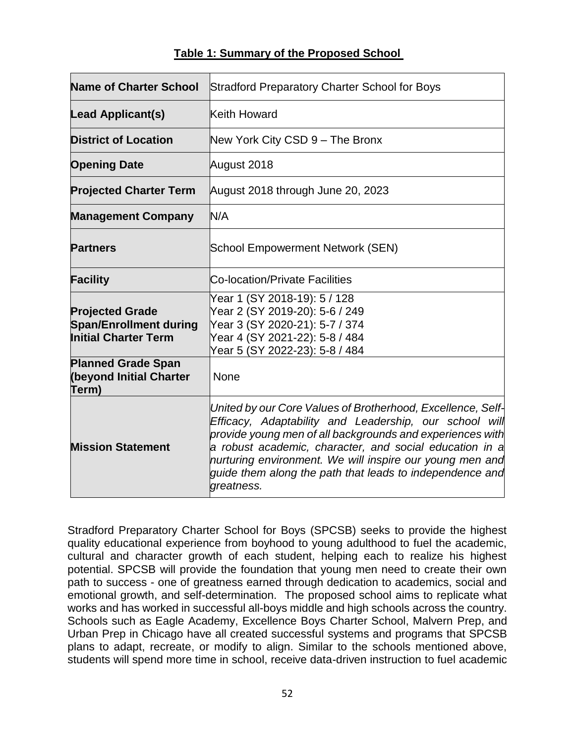| <b>Name of Charter School</b>                                                          | <b>Stradford Preparatory Charter School for Boys</b>                                                                                                                                                                                                                                                                                                                                |  |  |
|----------------------------------------------------------------------------------------|-------------------------------------------------------------------------------------------------------------------------------------------------------------------------------------------------------------------------------------------------------------------------------------------------------------------------------------------------------------------------------------|--|--|
| Lead Applicant(s)                                                                      | Keith Howard                                                                                                                                                                                                                                                                                                                                                                        |  |  |
| <b>District of Location</b>                                                            | New York City CSD 9 - The Bronx                                                                                                                                                                                                                                                                                                                                                     |  |  |
| <b>Opening Date</b>                                                                    | August 2018                                                                                                                                                                                                                                                                                                                                                                         |  |  |
| <b>Projected Charter Term</b>                                                          | August 2018 through June 20, 2023                                                                                                                                                                                                                                                                                                                                                   |  |  |
| <b>Management Company</b>                                                              | N/A                                                                                                                                                                                                                                                                                                                                                                                 |  |  |
| <b>Partners</b>                                                                        | <b>School Empowerment Network (SEN)</b>                                                                                                                                                                                                                                                                                                                                             |  |  |
| <b>Facility</b>                                                                        | Co-location/Private Facilities                                                                                                                                                                                                                                                                                                                                                      |  |  |
| <b>Projected Grade</b><br><b>Span/Enrollment during</b><br><b>Initial Charter Term</b> | Year 1 (SY 2018-19): 5 / 128<br>Year 2 (SY 2019-20): 5-6 / 249<br>Year 3 (SY 2020-21): 5-7 / 374<br>Year 4 (SY 2021-22): 5-8 / 484<br>Year 5 (SY 2022-23): 5-8 / 484                                                                                                                                                                                                                |  |  |
| <b>Planned Grade Span</b><br><b>(beyond Initial Charter</b><br>Term)                   | None                                                                                                                                                                                                                                                                                                                                                                                |  |  |
| <b>Mission Statement</b>                                                               | United by our Core Values of Brotherhood, Excellence, Self-<br>Efficacy, Adaptability and Leadership, our school will<br>provide young men of all backgrounds and experiences with<br>a robust academic, character, and social education in a<br>nurturing environment. We will inspire our young men and<br>quide them along the path that leads to independence and<br>greatness. |  |  |

Stradford Preparatory Charter School for Boys (SPCSB) seeks to provide the highest quality educational experience from boyhood to young adulthood to fuel the academic, cultural and character growth of each student, helping each to realize his highest potential. SPCSB will provide the foundation that young men need to create their own path to success - one of greatness earned through dedication to academics, social and emotional growth, and self-determination. The proposed school aims to replicate what works and has worked in successful all-boys middle and high schools across the country. Schools such as Eagle Academy, Excellence Boys Charter School, Malvern Prep, and Urban Prep in Chicago have all created successful systems and programs that SPCSB plans to adapt, recreate, or modify to align. Similar to the schools mentioned above, students will spend more time in school, receive data-driven instruction to fuel academic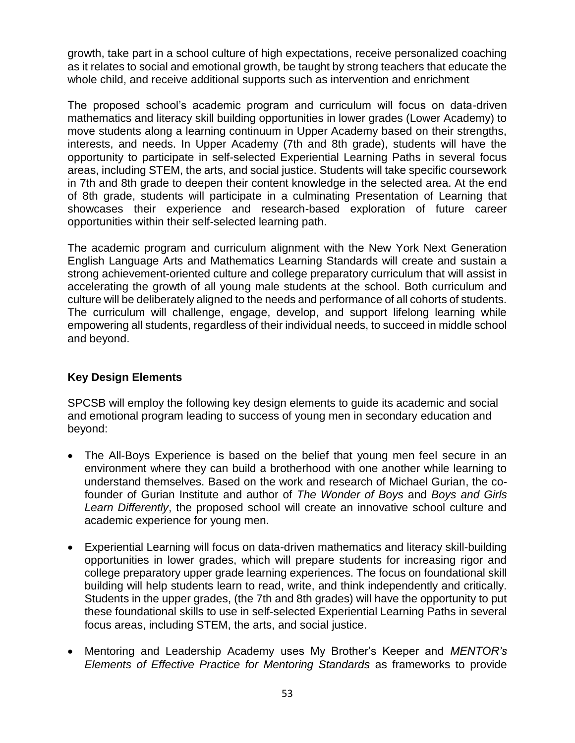growth, take part in a school culture of high expectations, receive personalized coaching as it relates to social and emotional growth, be taught by strong teachers that educate the whole child, and receive additional supports such as intervention and enrichment

The proposed school's academic program and curriculum will focus on data-driven mathematics and literacy skill building opportunities in lower grades (Lower Academy) to move students along a learning continuum in Upper Academy based on their strengths, interests, and needs. In Upper Academy (7th and 8th grade), students will have the opportunity to participate in self-selected Experiential Learning Paths in several focus areas, including STEM, the arts, and social justice. Students will take specific coursework in 7th and 8th grade to deepen their content knowledge in the selected area. At the end of 8th grade, students will participate in a culminating Presentation of Learning that showcases their experience and research-based exploration of future career opportunities within their self-selected learning path.

The academic program and curriculum alignment with the New York Next Generation English Language Arts and Mathematics Learning Standards will create and sustain a strong achievement-oriented culture and college preparatory curriculum that will assist in accelerating the growth of all young male students at the school. Both curriculum and culture will be deliberately aligned to the needs and performance of all cohorts of students. The curriculum will challenge, engage, develop, and support lifelong learning while empowering all students, regardless of their individual needs, to succeed in middle school and beyond.

# **Key Design Elements**

SPCSB will employ the following key design elements to guide its academic and social and emotional program leading to success of young men in secondary education and beyond:

- The All-Boys Experience is based on the belief that young men feel secure in an environment where they can build a brotherhood with one another while learning to understand themselves. Based on the work and research of Michael Gurian, the cofounder of Gurian Institute and author of *The Wonder of Boys* and *Boys and Girls Learn Differently*, the proposed school will create an innovative school culture and academic experience for young men.
- Experiential Learning will focus on data-driven mathematics and literacy skill-building opportunities in lower grades, which will prepare students for increasing rigor and college preparatory upper grade learning experiences. The focus on foundational skill building will help students learn to read, write, and think independently and critically. Students in the upper grades, (the 7th and 8th grades) will have the opportunity to put these foundational skills to use in self-selected Experiential Learning Paths in several focus areas, including STEM, the arts, and social justice.
- Mentoring and Leadership Academy uses My Brother's Keeper and *MENTOR's Elements of Effective Practice for Mentoring Standards* as frameworks to provide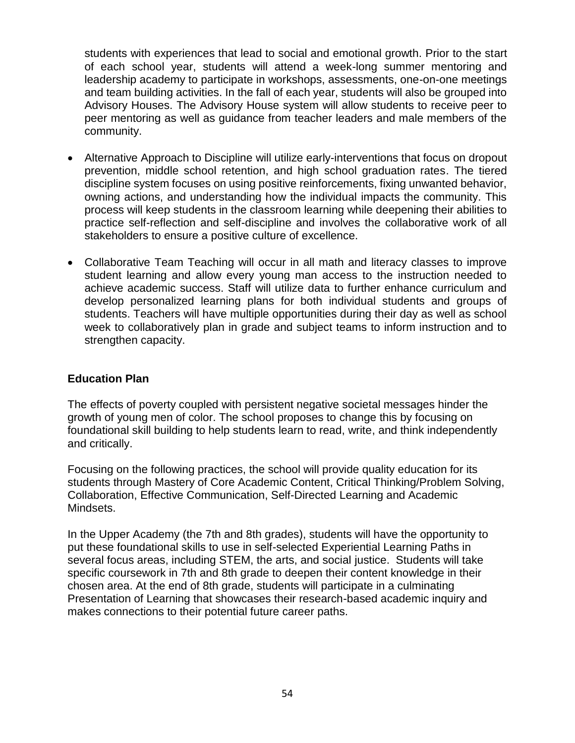students with experiences that lead to social and emotional growth. Prior to the start of each school year, students will attend a week-long summer mentoring and leadership academy to participate in workshops, assessments, one-on-one meetings and team building activities. In the fall of each year, students will also be grouped into Advisory Houses. The Advisory House system will allow students to receive peer to peer mentoring as well as guidance from teacher leaders and male members of the community.

- Alternative Approach to Discipline will utilize early-interventions that focus on dropout prevention, middle school retention, and high school graduation rates. The tiered discipline system focuses on using positive reinforcements, fixing unwanted behavior, owning actions, and understanding how the individual impacts the community. This process will keep students in the classroom learning while deepening their abilities to practice self-reflection and self-discipline and involves the collaborative work of all stakeholders to ensure a positive culture of excellence.
- Collaborative Team Teaching will occur in all math and literacy classes to improve student learning and allow every young man access to the instruction needed to achieve academic success. Staff will utilize data to further enhance curriculum and develop personalized learning plans for both individual students and groups of students. Teachers will have multiple opportunities during their day as well as school week to collaboratively plan in grade and subject teams to inform instruction and to strengthen capacity.

# **Education Plan**

The effects of poverty coupled with persistent negative societal messages hinder the growth of young men of color. The school proposes to change this by focusing on foundational skill building to help students learn to read, write, and think independently and critically.

Focusing on the following practices, the school will provide quality education for its students through Mastery of Core Academic Content, Critical Thinking/Problem Solving, Collaboration, Effective Communication, Self-Directed Learning and Academic Mindsets.

In the Upper Academy (the 7th and 8th grades), students will have the opportunity to put these foundational skills to use in self-selected Experiential Learning Paths in several focus areas, including STEM, the arts, and social justice. Students will take specific coursework in 7th and 8th grade to deepen their content knowledge in their chosen area. At the end of 8th grade, students will participate in a culminating Presentation of Learning that showcases their research-based academic inquiry and makes connections to their potential future career paths.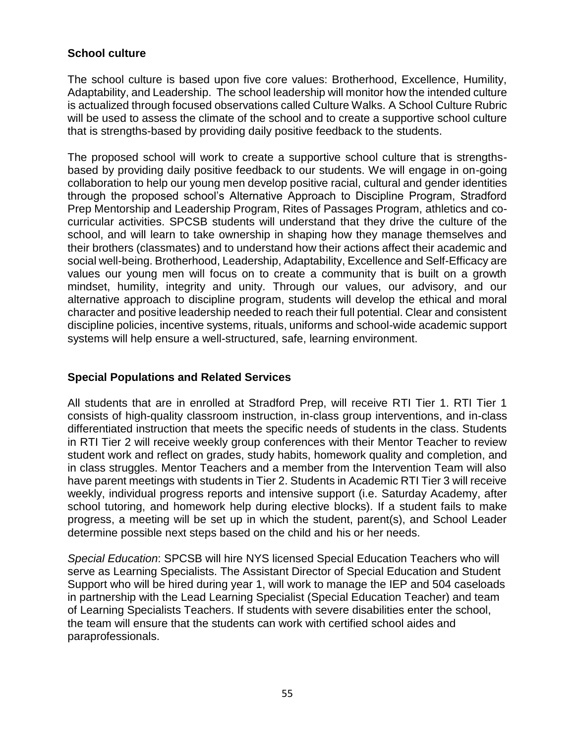# **School culture**

The school culture is based upon five core values: Brotherhood, Excellence, Humility, Adaptability, and Leadership. The school leadership will monitor how the intended culture is actualized through focused observations called Culture Walks. A School Culture Rubric will be used to assess the climate of the school and to create a supportive school culture that is strengths-based by providing daily positive feedback to the students.

The proposed school will work to create a supportive school culture that is strengthsbased by providing daily positive feedback to our students. We will engage in on-going collaboration to help our young men develop positive racial, cultural and gender identities through the proposed school's Alternative Approach to Discipline Program, Stradford Prep Mentorship and Leadership Program, Rites of Passages Program, athletics and cocurricular activities. SPCSB students will understand that they drive the culture of the school, and will learn to take ownership in shaping how they manage themselves and their brothers (classmates) and to understand how their actions affect their academic and social well-being. Brotherhood, Leadership, Adaptability, Excellence and Self-Efficacy are values our young men will focus on to create a community that is built on a growth mindset, humility, integrity and unity. Through our values, our advisory, and our alternative approach to discipline program, students will develop the ethical and moral character and positive leadership needed to reach their full potential. Clear and consistent discipline policies, incentive systems, rituals, uniforms and school-wide academic support systems will help ensure a well-structured, safe, learning environment.

#### **Special Populations and Related Services**

All students that are in enrolled at Stradford Prep, will receive RTI Tier 1. RTI Tier 1 consists of high-quality classroom instruction, in-class group interventions, and in-class differentiated instruction that meets the specific needs of students in the class. Students in RTI Tier 2 will receive weekly group conferences with their Mentor Teacher to review student work and reflect on grades, study habits, homework quality and completion, and in class struggles. Mentor Teachers and a member from the Intervention Team will also have parent meetings with students in Tier 2. Students in Academic RTI Tier 3 will receive weekly, individual progress reports and intensive support (i.e. Saturday Academy, after school tutoring, and homework help during elective blocks). If a student fails to make progress, a meeting will be set up in which the student, parent(s), and School Leader determine possible next steps based on the child and his or her needs.

*Special Education*: SPCSB will hire NYS licensed Special Education Teachers who will serve as Learning Specialists. The Assistant Director of Special Education and Student Support who will be hired during year 1, will work to manage the IEP and 504 caseloads in partnership with the Lead Learning Specialist (Special Education Teacher) and team of Learning Specialists Teachers. If students with severe disabilities enter the school, the team will ensure that the students can work with certified school aides and paraprofessionals.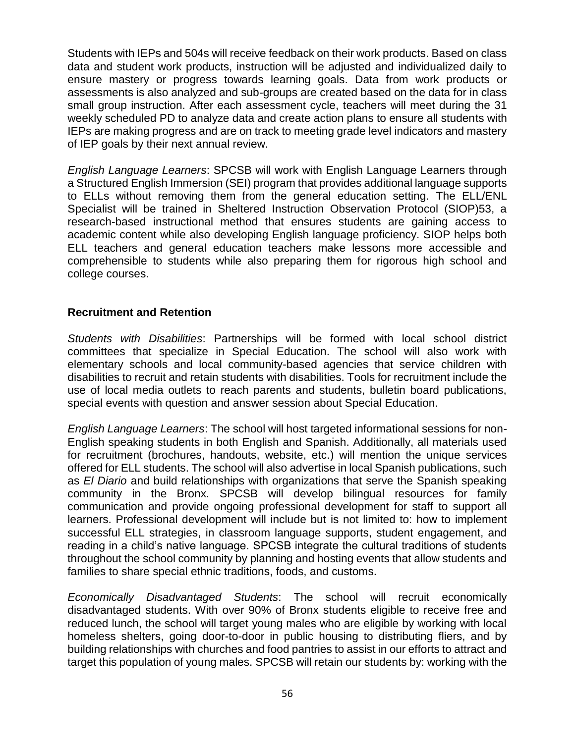Students with IEPs and 504s will receive feedback on their work products. Based on class data and student work products, instruction will be adjusted and individualized daily to ensure mastery or progress towards learning goals. Data from work products or assessments is also analyzed and sub-groups are created based on the data for in class small group instruction. After each assessment cycle, teachers will meet during the 31 weekly scheduled PD to analyze data and create action plans to ensure all students with IEPs are making progress and are on track to meeting grade level indicators and mastery of IEP goals by their next annual review.

*English Language Learners*: SPCSB will work with English Language Learners through a Structured English Immersion (SEI) program that provides additional language supports to ELLs without removing them from the general education setting. The ELL/ENL Specialist will be trained in Sheltered Instruction Observation Protocol (SIOP)53, a research-based instructional method that ensures students are gaining access to academic content while also developing English language proficiency. SIOP helps both ELL teachers and general education teachers make lessons more accessible and comprehensible to students while also preparing them for rigorous high school and college courses.

### **Recruitment and Retention**

*Students with Disabilities*: Partnerships will be formed with local school district committees that specialize in Special Education. The school will also work with elementary schools and local community-based agencies that service children with disabilities to recruit and retain students with disabilities. Tools for recruitment include the use of local media outlets to reach parents and students, bulletin board publications, special events with question and answer session about Special Education.

*English Language Learners*: The school will host targeted informational sessions for non-English speaking students in both English and Spanish. Additionally, all materials used for recruitment (brochures, handouts, website, etc.) will mention the unique services offered for ELL students. The school will also advertise in local Spanish publications, such as *El Diario* and build relationships with organizations that serve the Spanish speaking community in the Bronx. SPCSB will develop bilingual resources for family communication and provide ongoing professional development for staff to support all learners. Professional development will include but is not limited to: how to implement successful ELL strategies, in classroom language supports, student engagement, and reading in a child's native language. SPCSB integrate the cultural traditions of students throughout the school community by planning and hosting events that allow students and families to share special ethnic traditions, foods, and customs.

*Economically Disadvantaged Students*: The school will recruit economically disadvantaged students. With over 90% of Bronx students eligible to receive free and reduced lunch, the school will target young males who are eligible by working with local homeless shelters, going door-to-door in public housing to distributing fliers, and by building relationships with churches and food pantries to assist in our efforts to attract and target this population of young males. SPCSB will retain our students by: working with the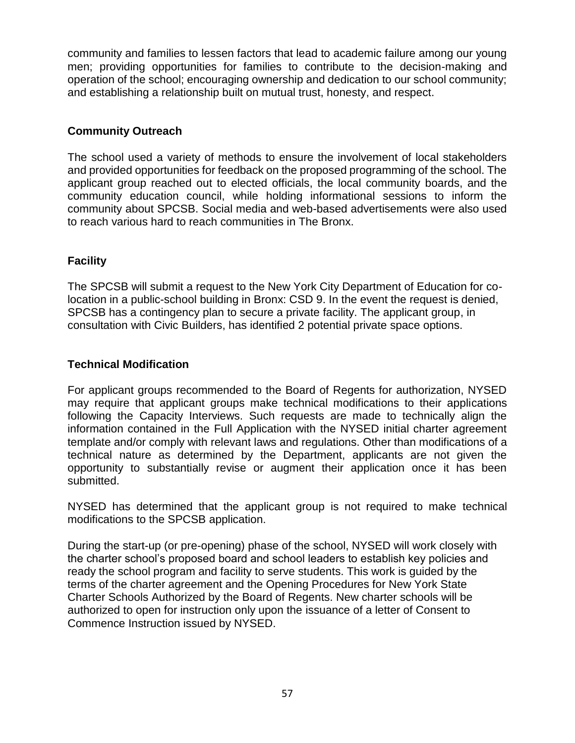community and families to lessen factors that lead to academic failure among our young men; providing opportunities for families to contribute to the decision-making and operation of the school; encouraging ownership and dedication to our school community; and establishing a relationship built on mutual trust, honesty, and respect.

# **Community Outreach**

The school used a variety of methods to ensure the involvement of local stakeholders and provided opportunities for feedback on the proposed programming of the school. The applicant group reached out to elected officials, the local community boards, and the community education council, while holding informational sessions to inform the community about SPCSB. Social media and web-based advertisements were also used to reach various hard to reach communities in The Bronx.

# **Facility**

The SPCSB will submit a request to the New York City Department of Education for colocation in a public-school building in Bronx: CSD 9. In the event the request is denied, SPCSB has a contingency plan to secure a private facility. The applicant group, in consultation with Civic Builders, has identified 2 potential private space options.

# **Technical Modification**

For applicant groups recommended to the Board of Regents for authorization, NYSED may require that applicant groups make technical modifications to their applications following the Capacity Interviews. Such requests are made to technically align the information contained in the Full Application with the NYSED initial charter agreement template and/or comply with relevant laws and regulations. Other than modifications of a technical nature as determined by the Department, applicants are not given the opportunity to substantially revise or augment their application once it has been submitted.

NYSED has determined that the applicant group is not required to make technical modifications to the SPCSB application.

During the start-up (or pre-opening) phase of the school, NYSED will work closely with the charter school's proposed board and school leaders to establish key policies and ready the school program and facility to serve students. This work is guided by the terms of the charter agreement and the Opening Procedures for New York State Charter Schools Authorized by the Board of Regents. New charter schools will be authorized to open for instruction only upon the issuance of a letter of Consent to Commence Instruction issued by NYSED.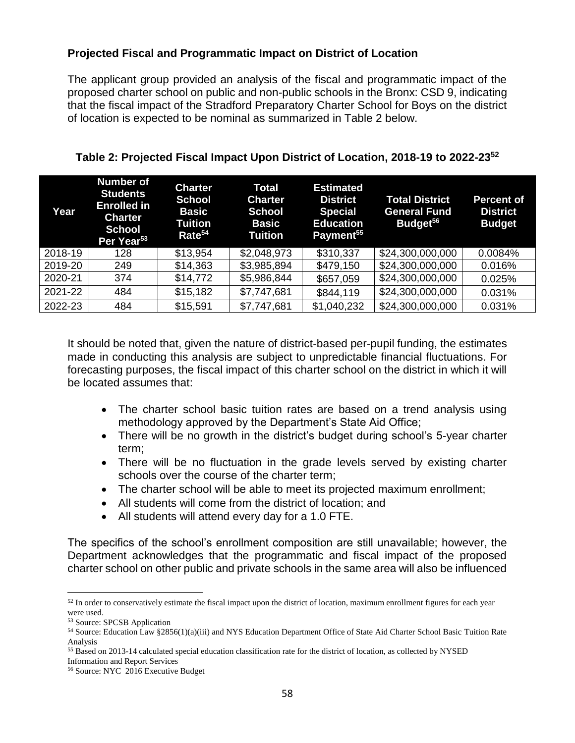# **Projected Fiscal and Programmatic Impact on District of Location**

The applicant group provided an analysis of the fiscal and programmatic impact of the proposed charter school on public and non-public schools in the Bronx: CSD 9, indicating that the fiscal impact of the Stradford Preparatory Charter School for Boys on the district of location is expected to be nominal as summarized in Table 2 below.

| Year    | <b>Number of</b><br><b>Students</b><br><b>Enrolled in</b><br><b>Charter</b><br><b>School</b><br>Per Year <sup>53</sup> | <b>Charter</b><br><b>School</b><br><b>Basic</b><br><b>Tuition</b><br>Rate <sup>54</sup> | Total<br><b>Charter</b><br><b>School</b><br><b>Basic</b><br><b>Tuition</b> | <b>Estimated</b><br><b>District</b><br><b>Special</b><br><b>Education</b><br>Payment <sup>55</sup> | <b>Total District</b><br><b>General Fund</b><br>Budget <sup>56</sup> | <b>Percent of</b><br><b>District</b><br><b>Budget</b> |
|---------|------------------------------------------------------------------------------------------------------------------------|-----------------------------------------------------------------------------------------|----------------------------------------------------------------------------|----------------------------------------------------------------------------------------------------|----------------------------------------------------------------------|-------------------------------------------------------|
| 2018-19 | 128                                                                                                                    | \$13,954                                                                                | \$2,048,973                                                                | \$310,337                                                                                          | \$24,300,000,000                                                     | 0.0084%                                               |
| 2019-20 | 249                                                                                                                    | \$14,363                                                                                | \$3,985,894                                                                | \$479,150                                                                                          | \$24,300,000,000                                                     | 0.016%                                                |
| 2020-21 | 374                                                                                                                    | \$14,772                                                                                | \$5,986,844                                                                | \$657,059                                                                                          | \$24,300,000,000                                                     | 0.025%                                                |
| 2021-22 | 484                                                                                                                    | \$15,182                                                                                | \$7,747,681                                                                | \$844,119                                                                                          | \$24,300,000,000                                                     | 0.031%                                                |
| 2022-23 | 484                                                                                                                    | \$15,591                                                                                | \$7,747,681                                                                | \$1,040,232                                                                                        | \$24,300,000,000                                                     | 0.031%                                                |

**Table 2: Projected Fiscal Impact Upon District of Location, 2018-19 to 2022-23<sup>52</sup>**

It should be noted that, given the nature of district-based per-pupil funding, the estimates made in conducting this analysis are subject to unpredictable financial fluctuations. For forecasting purposes, the fiscal impact of this charter school on the district in which it will be located assumes that:

- The charter school basic tuition rates are based on a trend analysis using methodology approved by the Department's State Aid Office;
- There will be no growth in the district's budget during school's 5-year charter term;
- There will be no fluctuation in the grade levels served by existing charter schools over the course of the charter term;
- The charter school will be able to meet its projected maximum enrollment;
- All students will come from the district of location; and
- All students will attend every day for a 1.0 FTE.

The specifics of the school's enrollment composition are still unavailable; however, the Department acknowledges that the programmatic and fiscal impact of the proposed charter school on other public and private schools in the same area will also be influenced

<sup>&</sup>lt;sup>52</sup> In order to conservatively estimate the fiscal impact upon the district of location, maximum enrollment figures for each year were used.

<sup>53</sup> Source: SPCSB Application

<sup>54</sup> Source: Education Law §2856(1)(a)(iii) and NYS Education Department Office of State Aid Charter School Basic Tuition Rate Analysis

<sup>55</sup> Based on 2013-14 calculated special education classification rate for the district of location, as collected by NYSED

Information and Report Services

<sup>56</sup> Source: NYC 2016 Executive Budget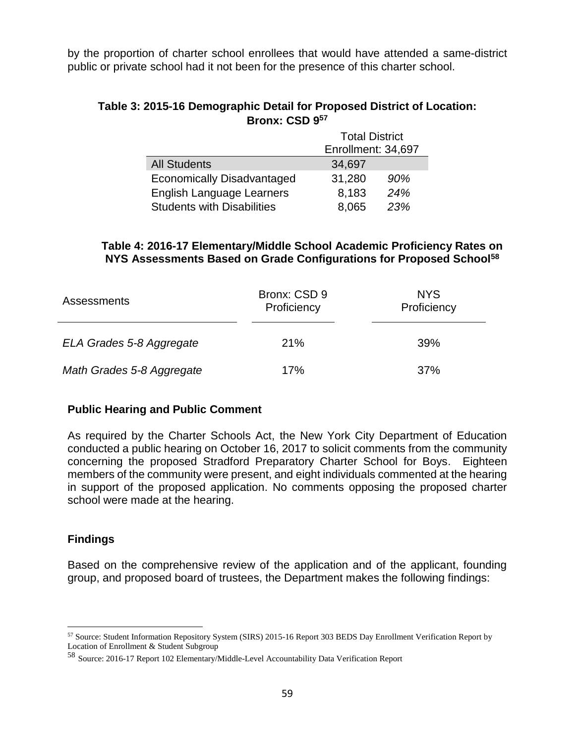by the proportion of charter school enrollees that would have attended a same-district public or private school had it not been for the presence of this charter school.

#### **Table 3: 2015-16 Demographic Detail for Proposed District of Location: Bronx: CSD 9<sup>57</sup>**

|                                   | <b>Total District</b> |     |  |
|-----------------------------------|-----------------------|-----|--|
|                                   | Enrollment: 34,697    |     |  |
| <b>All Students</b>               | 34,697                |     |  |
| <b>Economically Disadvantaged</b> | 31,280                | 90% |  |
| English Language Learners         | 8,183                 | 24% |  |
| <b>Students with Disabilities</b> | 23%<br>8,065          |     |  |

#### **Table 4: 2016-17 Elementary/Middle School Academic Proficiency Rates on NYS Assessments Based on Grade Configurations for Proposed School<sup>58</sup>**

| <b>Assessments</b>        | Bronx: CSD 9<br>Proficiency | <b>NYS</b><br>Proficiency |
|---------------------------|-----------------------------|---------------------------|
| ELA Grades 5-8 Aggregate  | 21%                         | 39%                       |
| Math Grades 5-8 Aggregate | 17%                         | 37%                       |

#### **Public Hearing and Public Comment**

As required by the Charter Schools Act, the New York City Department of Education conducted a public hearing on October 16, 2017 to solicit comments from the community concerning the proposed Stradford Preparatory Charter School for Boys. Eighteen members of the community were present, and eight individuals commented at the hearing in support of the proposed application. No comments opposing the proposed charter school were made at the hearing.

# **Findings**

 $\overline{a}$ 

Based on the comprehensive review of the application and of the applicant, founding group, and proposed board of trustees, the Department makes the following findings:

<sup>57</sup> Source: Student Information Repository System (SIRS) 2015-16 Report 303 BEDS Day Enrollment Verification Report by Location of Enrollment & Student Subgroup

<sup>58</sup> Source: 2016-17 Report 102 Elementary/Middle-Level Accountability Data Verification Report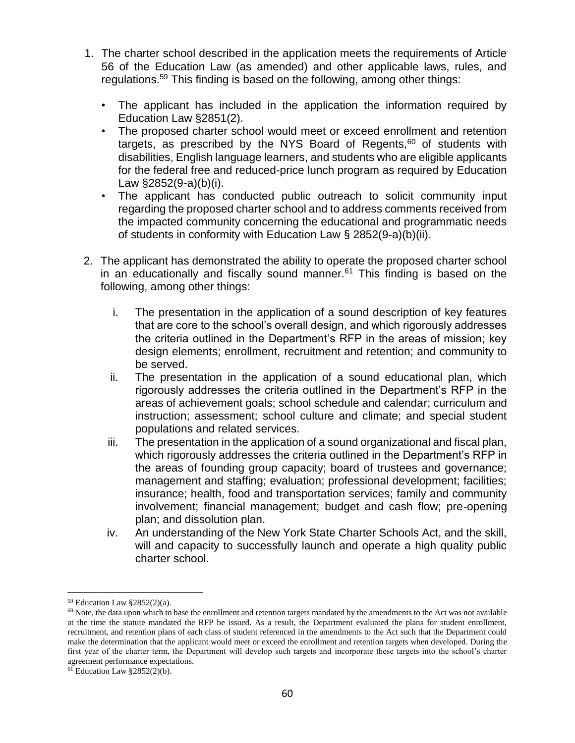- 1. The charter school described in the application meets the requirements of Article 56 of the Education Law (as amended) and other applicable laws, rules, and regulations.<sup>59</sup> This finding is based on the following, among other things:
	- The applicant has included in the application the information required by Education Law §2851(2).
	- The proposed charter school would meet or exceed enrollment and retention targets, as prescribed by the NYS Board of Regents, $60$  of students with disabilities, English language learners, and students who are eligible applicants for the federal free and reduced-price lunch program as required by Education Law §2852(9-a)(b)(i).
	- The applicant has conducted public outreach to solicit community input regarding the proposed charter school and to address comments received from the impacted community concerning the educational and programmatic needs of students in conformity with Education Law § 2852(9-a)(b)(ii).
- 2. The applicant has demonstrated the ability to operate the proposed charter school in an educationally and fiscally sound manner. $61$  This finding is based on the following, among other things:
	- i. The presentation in the application of a sound description of key features that are core to the school's overall design, and which rigorously addresses the criteria outlined in the Department's RFP in the areas of mission; key design elements; enrollment, recruitment and retention; and community to be served.
	- ii. The presentation in the application of a sound educational plan, which rigorously addresses the criteria outlined in the Department's RFP in the areas of achievement goals; school schedule and calendar; curriculum and instruction; assessment; school culture and climate; and special student populations and related services.
	- iii. The presentation in the application of a sound organizational and fiscal plan, which rigorously addresses the criteria outlined in the Department's RFP in the areas of founding group capacity; board of trustees and governance; management and staffing; evaluation; professional development; facilities; insurance; health, food and transportation services; family and community involvement; financial management; budget and cash flow; pre-opening plan; and dissolution plan.
	- iv. An understanding of the New York State Charter Schools Act, and the skill, will and capacity to successfully launch and operate a high quality public charter school.

<sup>59</sup> Education Law §2852(2)(a).

<sup>60</sup> Note, the data upon which to base the enrollment and retention targets mandated by the amendments to the Act was not available at the time the statute mandated the RFP be issued. As a result, the Department evaluated the plans for student enrollment, recruitment, and retention plans of each class of student referenced in the amendments to the Act such that the Department could make the determination that the applicant would meet or exceed the enrollment and retention targets when developed. During the first year of the charter term, the Department will develop such targets and incorporate these targets into the school's charter agreement performance expectations.

 $61$  Education Law §2852(2)(b).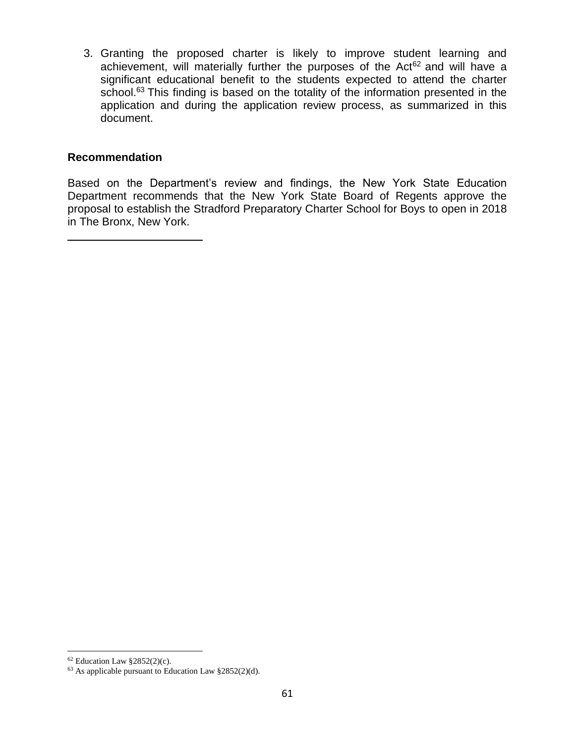3. Granting the proposed charter is likely to improve student learning and achievement, will materially further the purposes of the Act $62$  and will have a significant educational benefit to the students expected to attend the charter school.<sup>63</sup> This finding is based on the totality of the information presented in the application and during the application review process, as summarized in this document.

#### **Recommendation**

Based on the Department's review and findings, the New York State Education Department recommends that the New York State Board of Regents approve the proposal to establish the Stradford Preparatory Charter School for Boys to open in 2018 in The Bronx, New York.

 $62$  Education Law §2852(2)(c).

 $63$  As applicable pursuant to Education Law  $§2852(2)(d)$ .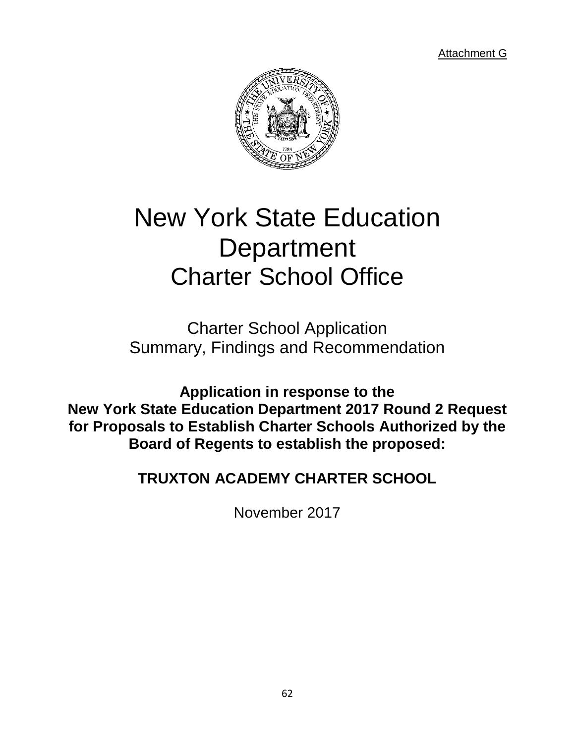Attachment G



# New York State Education **Department** Charter School Office

Charter School Application Summary, Findings and Recommendation

**Application in response to the New York State Education Department 2017 Round 2 Request for Proposals to Establish Charter Schools Authorized by the Board of Regents to establish the proposed:**

**TRUXTON ACADEMY CHARTER SCHOOL**

November 2017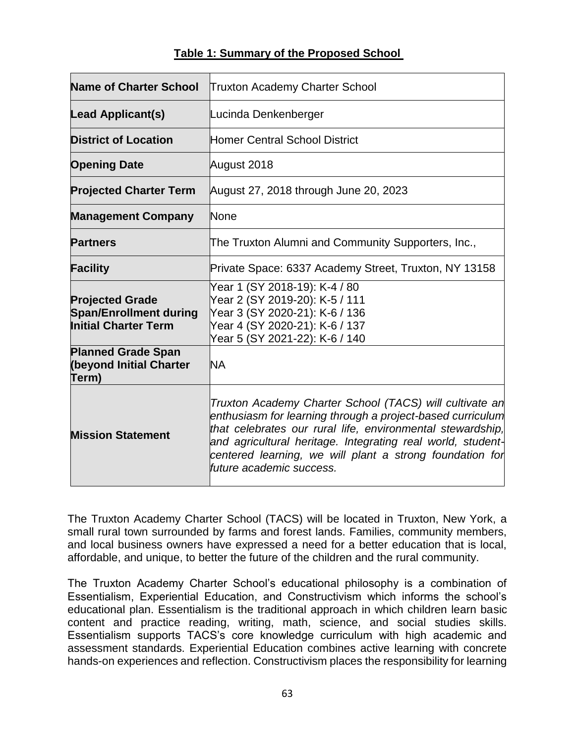| <b>Name of Charter School</b>                                                          | <b>Truxton Academy Charter School</b>                                                                                                                                                                                                                                                                                                      |  |  |  |  |  |
|----------------------------------------------------------------------------------------|--------------------------------------------------------------------------------------------------------------------------------------------------------------------------------------------------------------------------------------------------------------------------------------------------------------------------------------------|--|--|--|--|--|
| Lead Applicant(s)                                                                      | Lucinda Denkenberger                                                                                                                                                                                                                                                                                                                       |  |  |  |  |  |
| <b>District of Location</b>                                                            | <b>Homer Central School District</b>                                                                                                                                                                                                                                                                                                       |  |  |  |  |  |
| <b>Opening Date</b>                                                                    | August 2018                                                                                                                                                                                                                                                                                                                                |  |  |  |  |  |
| <b>Projected Charter Term</b>                                                          | August 27, 2018 through June 20, 2023                                                                                                                                                                                                                                                                                                      |  |  |  |  |  |
| <b>Management Company</b>                                                              | None                                                                                                                                                                                                                                                                                                                                       |  |  |  |  |  |
| <b>Partners</b>                                                                        | The Truxton Alumni and Community Supporters, Inc.,                                                                                                                                                                                                                                                                                         |  |  |  |  |  |
| <b>Facility</b>                                                                        | Private Space: 6337 Academy Street, Truxton, NY 13158                                                                                                                                                                                                                                                                                      |  |  |  |  |  |
| <b>Projected Grade</b><br><b>Span/Enrollment during</b><br><b>Initial Charter Term</b> | Year 1 (SY 2018-19): K-4 / 80<br>Year 2 (SY 2019-20): K-5 / 111<br>Year 3 (SY 2020-21): K-6 / 136<br>Year 4 (SY 2020-21): K-6 / 137<br>Year 5 (SY 2021-22): K-6 / 140                                                                                                                                                                      |  |  |  |  |  |
| <b>Planned Grade Span</b><br>(beyond Initial Charter<br>Term)                          | <b>NA</b>                                                                                                                                                                                                                                                                                                                                  |  |  |  |  |  |
| <b>Mission Statement</b>                                                               | Truxton Academy Charter School (TACS) will cultivate an<br>enthusiasm for learning through a project-based curriculum<br>that celebrates our rural life, environmental stewardship,<br>and agricultural heritage. Integrating real world, student-<br>centered learning, we will plant a strong foundation for<br>future academic success. |  |  |  |  |  |

# **Table 1: Summary of the Proposed School**

The Truxton Academy Charter School (TACS) will be located in Truxton, New York, a small rural town surrounded by farms and forest lands. Families, community members, and local business owners have expressed a need for a better education that is local, affordable, and unique, to better the future of the children and the rural community.

The Truxton Academy Charter School's educational philosophy is a combination of Essentialism, Experiential Education, and Constructivism which informs the school's educational plan. Essentialism is the traditional approach in which children learn basic content and practice reading, writing, math, science, and social studies skills. Essentialism supports TACS's core knowledge curriculum with high academic and assessment standards. Experiential Education combines active learning with concrete hands-on experiences and reflection. Constructivism places the responsibility for learning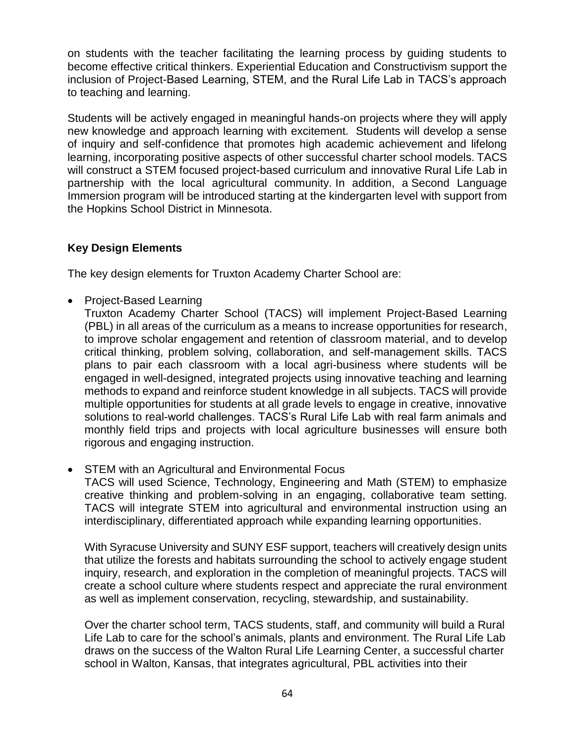on students with the teacher facilitating the learning process by guiding students to become effective critical thinkers. Experiential Education and Constructivism support the inclusion of Project-Based Learning, STEM, and the Rural Life Lab in TACS's approach to teaching and learning.

Students will be actively engaged in meaningful hands-on projects where they will apply new knowledge and approach learning with excitement. Students will develop a sense of inquiry and self-confidence that promotes high academic achievement and lifelong learning, incorporating positive aspects of other successful charter school models. TACS will construct a STEM focused project-based curriculum and innovative Rural Life Lab in partnership with the local agricultural community. In addition, a Second Language Immersion program will be introduced starting at the kindergarten level with support from the Hopkins School District in Minnesota.

# **Key Design Elements**

The key design elements for Truxton Academy Charter School are:

• Project-Based Learning

Truxton Academy Charter School (TACS) will implement Project-Based Learning (PBL) in all areas of the curriculum as a means to increase opportunities for research, to improve scholar engagement and retention of classroom material, and to develop critical thinking, problem solving, collaboration, and self-management skills. TACS plans to pair each classroom with a local agri-business where students will be engaged in well-designed, integrated projects using innovative teaching and learning methods to expand and reinforce student knowledge in all subjects. TACS will provide multiple opportunities for students at all grade levels to engage in creative, innovative solutions to real-world challenges. TACS's Rural Life Lab with real farm animals and monthly field trips and projects with local agriculture businesses will ensure both rigorous and engaging instruction.

• STEM with an Agricultural and Environmental Focus

TACS will used Science, Technology, Engineering and Math (STEM) to emphasize creative thinking and problem-solving in an engaging, collaborative team setting. TACS will integrate STEM into agricultural and environmental instruction using an interdisciplinary, differentiated approach while expanding learning opportunities.

With Syracuse University and SUNY ESF support, teachers will creatively design units that utilize the forests and habitats surrounding the school to actively engage student inquiry, research, and exploration in the completion of meaningful projects. TACS will create a school culture where students respect and appreciate the rural environment as well as implement conservation, recycling, stewardship, and sustainability.

Over the charter school term, TACS students, staff, and community will build a Rural Life Lab to care for the school's animals, plants and environment. The Rural Life Lab draws on the success of the Walton Rural Life Learning Center, a successful charter school in Walton, Kansas, that integrates agricultural, PBL activities into their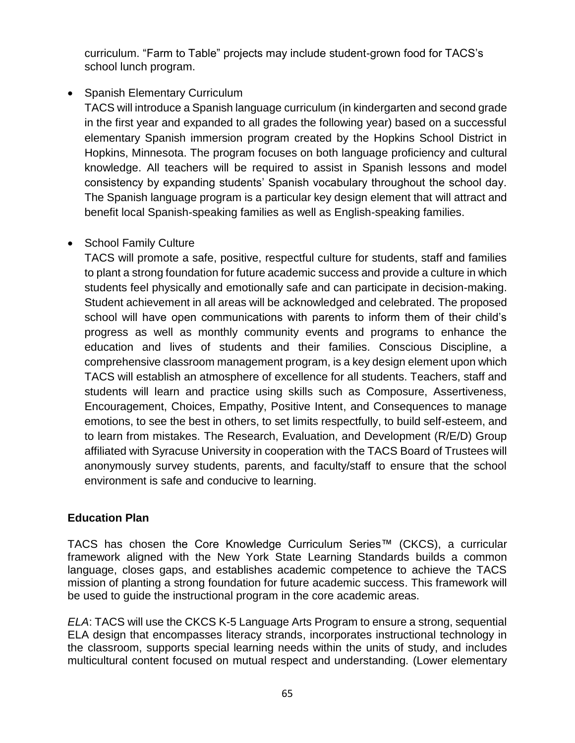curriculum. "Farm to Table" projects may include student-grown food for TACS's school lunch program.

# • Spanish Elementary Curriculum

TACS will introduce a Spanish language curriculum (in kindergarten and second grade in the first year and expanded to all grades the following year) based on a successful elementary Spanish immersion program created by the Hopkins School District in Hopkins, Minnesota. The program focuses on both language proficiency and cultural knowledge. All teachers will be required to assist in Spanish lessons and model consistency by expanding students' Spanish vocabulary throughout the school day. The Spanish language program is a particular key design element that will attract and benefit local Spanish-speaking families as well as English-speaking families.

# • School Family Culture

TACS will promote a safe, positive, respectful culture for students, staff and families to plant a strong foundation for future academic success and provide a culture in which students feel physically and emotionally safe and can participate in decision-making. Student achievement in all areas will be acknowledged and celebrated. The proposed school will have open communications with parents to inform them of their child's progress as well as monthly community events and programs to enhance the education and lives of students and their families. Conscious Discipline, a comprehensive classroom management program, is a key design element upon which TACS will establish an atmosphere of excellence for all students. Teachers, staff and students will learn and practice using skills such as Composure, Assertiveness, Encouragement, Choices, Empathy, Positive Intent, and Consequences to manage emotions, to see the best in others, to set limits respectfully, to build self-esteem, and to learn from mistakes. The Research, Evaluation, and Development (R/E/D) Group affiliated with Syracuse University in cooperation with the TACS Board of Trustees will anonymously survey students, parents, and faculty/staff to ensure that the school environment is safe and conducive to learning.

# **Education Plan**

TACS has chosen the Core Knowledge Curriculum Series™ (CKCS), a curricular framework aligned with the New York State Learning Standards builds a common language, closes gaps, and establishes academic competence to achieve the TACS mission of planting a strong foundation for future academic success. This framework will be used to guide the instructional program in the core academic areas.

*ELA*: TACS will use the CKCS K-5 Language Arts Program to ensure a strong, sequential ELA design that encompasses literacy strands, incorporates instructional technology in the classroom, supports special learning needs within the units of study, and includes multicultural content focused on mutual respect and understanding. (Lower elementary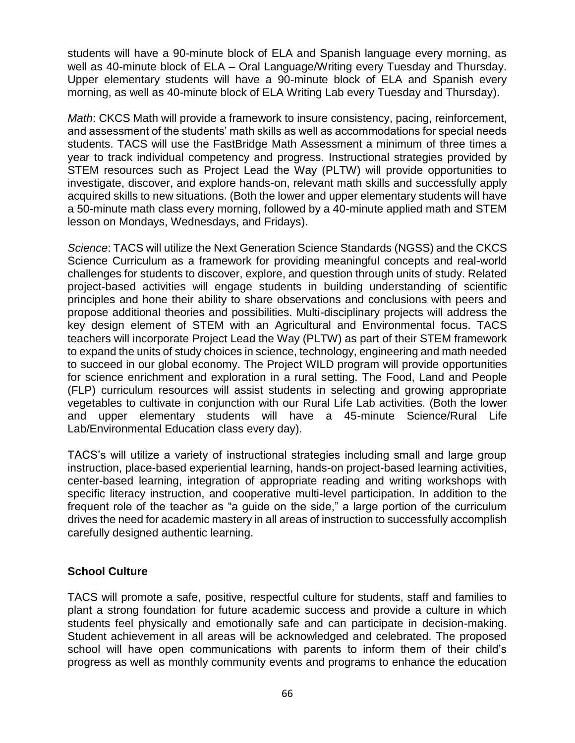students will have a 90-minute block of ELA and Spanish language every morning, as well as 40-minute block of ELA – Oral Language/Writing every Tuesday and Thursday. Upper elementary students will have a 90-minute block of ELA and Spanish every morning, as well as 40-minute block of ELA Writing Lab every Tuesday and Thursday).

*Math*: CKCS Math will provide a framework to insure consistency, pacing, reinforcement, and assessment of the students' math skills as well as accommodations for special needs students. TACS will use the FastBridge Math Assessment a minimum of three times a year to track individual competency and progress. Instructional strategies provided by STEM resources such as Project Lead the Way (PLTW) will provide opportunities to investigate, discover, and explore hands-on, relevant math skills and successfully apply acquired skills to new situations. (Both the lower and upper elementary students will have a 50-minute math class every morning, followed by a 40-minute applied math and STEM lesson on Mondays, Wednesdays, and Fridays).

*Science*: TACS will utilize the Next Generation Science Standards (NGSS) and the CKCS Science Curriculum as a framework for providing meaningful concepts and real-world challenges for students to discover, explore, and question through units of study. Related project-based activities will engage students in building understanding of scientific principles and hone their ability to share observations and conclusions with peers and propose additional theories and possibilities. Multi-disciplinary projects will address the key design element of STEM with an Agricultural and Environmental focus. TACS teachers will incorporate Project Lead the Way (PLTW) as part of their STEM framework to expand the units of study choices in science, technology, engineering and math needed to succeed in our global economy. The Project WILD program will provide opportunities for science enrichment and exploration in a rural setting. The Food, Land and People (FLP) curriculum resources will assist students in selecting and growing appropriate vegetables to cultivate in conjunction with our Rural Life Lab activities. (Both the lower and upper elementary students will have a 45-minute Science/Rural Life Lab/Environmental Education class every day).

TACS's will utilize a variety of instructional strategies including small and large group instruction, place-based experiential learning, hands-on project-based learning activities, center-based learning, integration of appropriate reading and writing workshops with specific literacy instruction, and cooperative multi-level participation. In addition to the frequent role of the teacher as "a guide on the side," a large portion of the curriculum drives the need for academic mastery in all areas of instruction to successfully accomplish carefully designed authentic learning.

# **School Culture**

TACS will promote a safe, positive, respectful culture for students, staff and families to plant a strong foundation for future academic success and provide a culture in which students feel physically and emotionally safe and can participate in decision-making. Student achievement in all areas will be acknowledged and celebrated. The proposed school will have open communications with parents to inform them of their child's progress as well as monthly community events and programs to enhance the education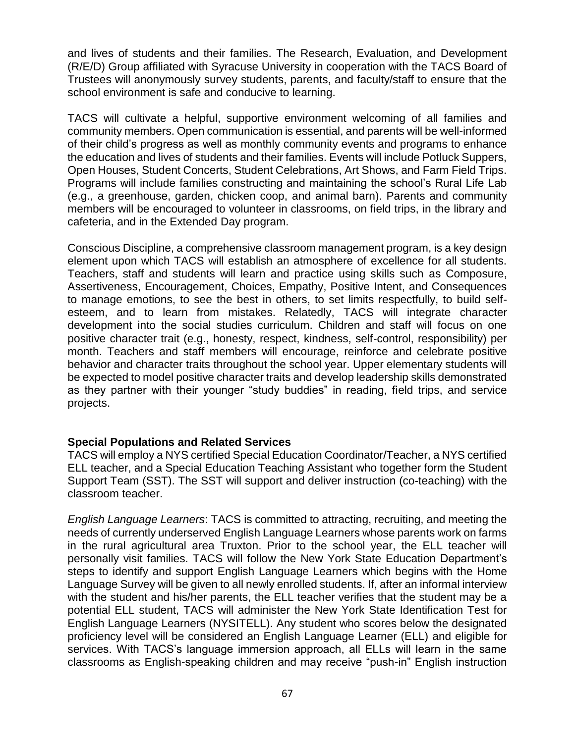and lives of students and their families. The Research, Evaluation, and Development (R/E/D) Group affiliated with Syracuse University in cooperation with the TACS Board of Trustees will anonymously survey students, parents, and faculty/staff to ensure that the school environment is safe and conducive to learning.

TACS will cultivate a helpful, supportive environment welcoming of all families and community members. Open communication is essential, and parents will be well-informed of their child's progress as well as monthly community events and programs to enhance the education and lives of students and their families. Events will include Potluck Suppers, Open Houses, Student Concerts, Student Celebrations, Art Shows, and Farm Field Trips. Programs will include families constructing and maintaining the school's Rural Life Lab (e.g., a greenhouse, garden, chicken coop, and animal barn). Parents and community members will be encouraged to volunteer in classrooms, on field trips, in the library and cafeteria, and in the Extended Day program.

Conscious Discipline, a comprehensive classroom management program, is a key design element upon which TACS will establish an atmosphere of excellence for all students. Teachers, staff and students will learn and practice using skills such as Composure, Assertiveness, Encouragement, Choices, Empathy, Positive Intent, and Consequences to manage emotions, to see the best in others, to set limits respectfully, to build selfesteem, and to learn from mistakes. Relatedly, TACS will integrate character development into the social studies curriculum. Children and staff will focus on one positive character trait (e.g., honesty, respect, kindness, self-control, responsibility) per month. Teachers and staff members will encourage, reinforce and celebrate positive behavior and character traits throughout the school year. Upper elementary students will be expected to model positive character traits and develop leadership skills demonstrated as they partner with their younger "study buddies" in reading, field trips, and service projects.

#### **Special Populations and Related Services**

TACS will employ a NYS certified Special Education Coordinator/Teacher, a NYS certified ELL teacher, and a Special Education Teaching Assistant who together form the Student Support Team (SST). The SST will support and deliver instruction (co-teaching) with the classroom teacher.

*English Language Learners*: TACS is committed to attracting, recruiting, and meeting the needs of currently underserved English Language Learners whose parents work on farms in the rural agricultural area Truxton. Prior to the school year, the ELL teacher will personally visit families. TACS will follow the New York State Education Department's steps to identify and support English Language Learners which begins with the Home Language Survey will be given to all newly enrolled students. If, after an informal interview with the student and his/her parents, the ELL teacher verifies that the student may be a potential ELL student, TACS will administer the New York State Identification Test for English Language Learners (NYSITELL). Any student who scores below the designated proficiency level will be considered an English Language Learner (ELL) and eligible for services. With TACS's language immersion approach, all ELLs will learn in the same classrooms as English-speaking children and may receive "push-in" English instruction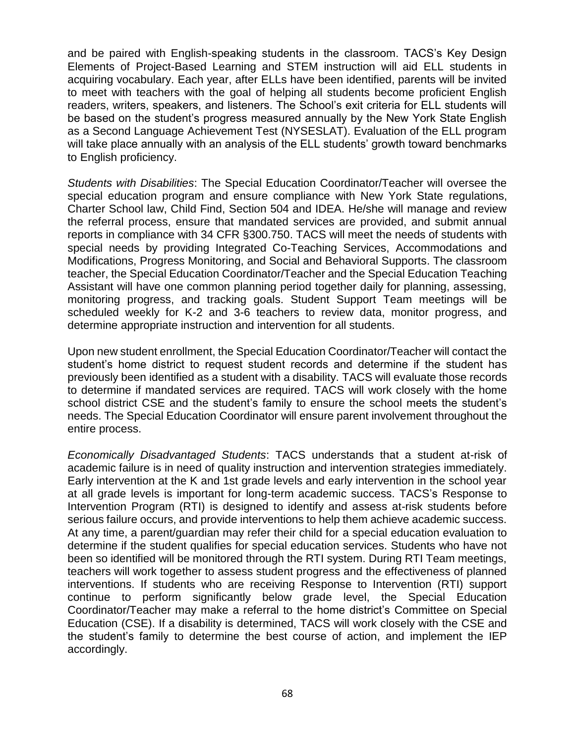and be paired with English-speaking students in the classroom. TACS's Key Design Elements of Project-Based Learning and STEM instruction will aid ELL students in acquiring vocabulary. Each year, after ELLs have been identified, parents will be invited to meet with teachers with the goal of helping all students become proficient English readers, writers, speakers, and listeners. The School's exit criteria for ELL students will be based on the student's progress measured annually by the New York State English as a Second Language Achievement Test (NYSESLAT). Evaluation of the ELL program will take place annually with an analysis of the ELL students' growth toward benchmarks to English proficiency.

*Students with Disabilities*: The Special Education Coordinator/Teacher will oversee the special education program and ensure compliance with New York State regulations, Charter School law, Child Find, Section 504 and IDEA. He/she will manage and review the referral process, ensure that mandated services are provided, and submit annual reports in compliance with 34 CFR §300.750. TACS will meet the needs of students with special needs by providing Integrated Co-Teaching Services, Accommodations and Modifications, Progress Monitoring, and Social and Behavioral Supports. The classroom teacher, the Special Education Coordinator/Teacher and the Special Education Teaching Assistant will have one common planning period together daily for planning, assessing, monitoring progress, and tracking goals. Student Support Team meetings will be scheduled weekly for K-2 and 3-6 teachers to review data, monitor progress, and determine appropriate instruction and intervention for all students.

Upon new student enrollment, the Special Education Coordinator/Teacher will contact the student's home district to request student records and determine if the student has previously been identified as a student with a disability. TACS will evaluate those records to determine if mandated services are required. TACS will work closely with the home school district CSE and the student's family to ensure the school meets the student's needs. The Special Education Coordinator will ensure parent involvement throughout the entire process.

*Economically Disadvantaged Students*: TACS understands that a student at-risk of academic failure is in need of quality instruction and intervention strategies immediately. Early intervention at the K and 1st grade levels and early intervention in the school year at all grade levels is important for long-term academic success. TACS's Response to Intervention Program (RTI) is designed to identify and assess at-risk students before serious failure occurs, and provide interventions to help them achieve academic success. At any time, a parent/guardian may refer their child for a special education evaluation to determine if the student qualifies for special education services. Students who have not been so identified will be monitored through the RTI system. During RTI Team meetings, teachers will work together to assess student progress and the effectiveness of planned interventions. If students who are receiving Response to Intervention (RTI) support continue to perform significantly below grade level, the Special Education Coordinator/Teacher may make a referral to the home district's Committee on Special Education (CSE). If a disability is determined, TACS will work closely with the CSE and the student's family to determine the best course of action, and implement the IEP accordingly.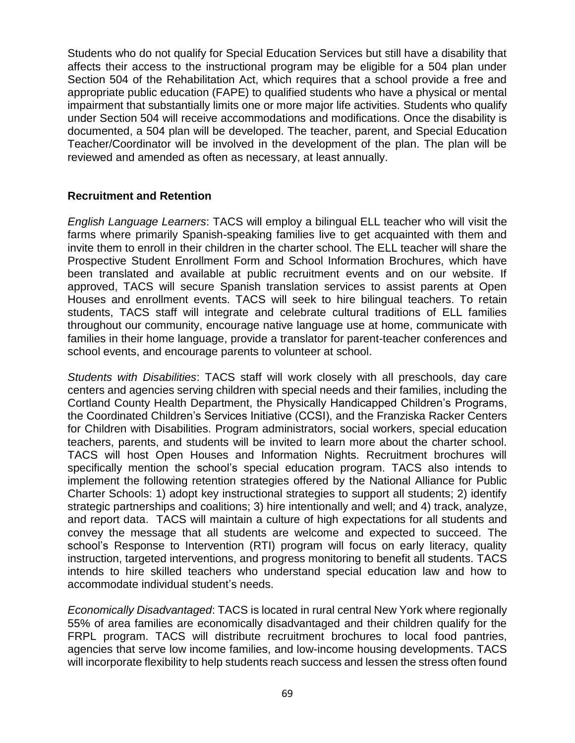Students who do not qualify for Special Education Services but still have a disability that affects their access to the instructional program may be eligible for a 504 plan under Section 504 of the Rehabilitation Act, which requires that a school provide a free and appropriate public education (FAPE) to qualified students who have a physical or mental impairment that substantially limits one or more major life activities. Students who qualify under Section 504 will receive accommodations and modifications. Once the disability is documented, a 504 plan will be developed. The teacher, parent, and Special Education Teacher/Coordinator will be involved in the development of the plan. The plan will be reviewed and amended as often as necessary, at least annually.

### **Recruitment and Retention**

*English Language Learners*: TACS will employ a bilingual ELL teacher who will visit the farms where primarily Spanish-speaking families live to get acquainted with them and invite them to enroll in their children in the charter school. The ELL teacher will share the Prospective Student Enrollment Form and School Information Brochures, which have been translated and available at public recruitment events and on our website. If approved, TACS will secure Spanish translation services to assist parents at Open Houses and enrollment events. TACS will seek to hire bilingual teachers. To retain students, TACS staff will integrate and celebrate cultural traditions of ELL families throughout our community, encourage native language use at home, communicate with families in their home language, provide a translator for parent-teacher conferences and school events, and encourage parents to volunteer at school.

*Students with Disabilities*: TACS staff will work closely with all preschools, day care centers and agencies serving children with special needs and their families, including the Cortland County Health Department, the Physically Handicapped Children's Programs, the Coordinated Children's Services Initiative (CCSI), and the Franziska Racker Centers for Children with Disabilities. Program administrators, social workers, special education teachers, parents, and students will be invited to learn more about the charter school. TACS will host Open Houses and Information Nights. Recruitment brochures will specifically mention the school's special education program. TACS also intends to implement the following retention strategies offered by the National Alliance for Public Charter Schools: 1) adopt key instructional strategies to support all students; 2) identify strategic partnerships and coalitions; 3) hire intentionally and well; and 4) track, analyze, and report data. TACS will maintain a culture of high expectations for all students and convey the message that all students are welcome and expected to succeed. The school's Response to Intervention (RTI) program will focus on early literacy, quality instruction, targeted interventions, and progress monitoring to benefit all students. TACS intends to hire skilled teachers who understand special education law and how to accommodate individual student's needs.

*Economically Disadvantaged*: TACS is located in rural central New York where regionally 55% of area families are economically disadvantaged and their children qualify for the FRPL program. TACS will distribute recruitment brochures to local food pantries, agencies that serve low income families, and low-income housing developments. TACS will incorporate flexibility to help students reach success and lessen the stress often found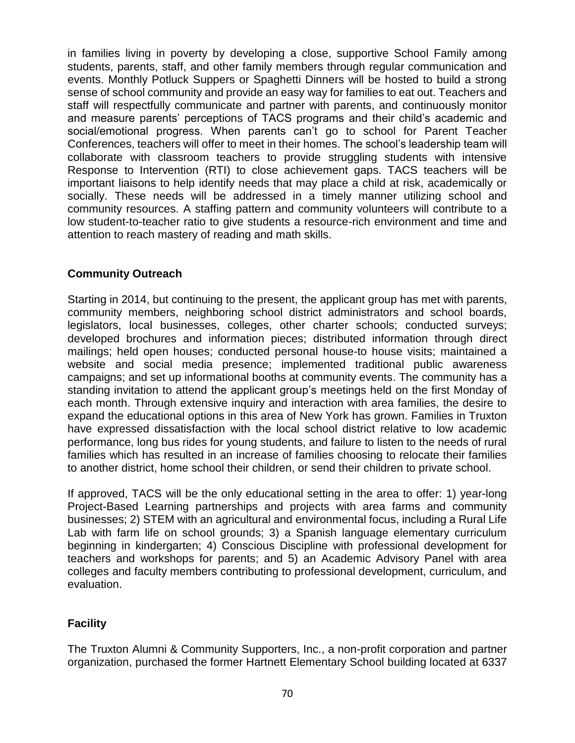in families living in poverty by developing a close, supportive School Family among students, parents, staff, and other family members through regular communication and events. Monthly Potluck Suppers or Spaghetti Dinners will be hosted to build a strong sense of school community and provide an easy way for families to eat out. Teachers and staff will respectfully communicate and partner with parents, and continuously monitor and measure parents' perceptions of TACS programs and their child's academic and social/emotional progress. When parents can't go to school for Parent Teacher Conferences, teachers will offer to meet in their homes. The school's leadership team will collaborate with classroom teachers to provide struggling students with intensive Response to Intervention (RTI) to close achievement gaps. TACS teachers will be important liaisons to help identify needs that may place a child at risk, academically or socially. These needs will be addressed in a timely manner utilizing school and community resources. A staffing pattern and community volunteers will contribute to a low student-to-teacher ratio to give students a resource-rich environment and time and attention to reach mastery of reading and math skills.

# **Community Outreach**

Starting in 2014, but continuing to the present, the applicant group has met with parents, community members, neighboring school district administrators and school boards, legislators, local businesses, colleges, other charter schools; conducted surveys; developed brochures and information pieces; distributed information through direct mailings; held open houses; conducted personal house-to house visits; maintained a website and social media presence; implemented traditional public awareness campaigns; and set up informational booths at community events. The community has a standing invitation to attend the applicant group's meetings held on the first Monday of each month. Through extensive inquiry and interaction with area families, the desire to expand the educational options in this area of New York has grown. Families in Truxton have expressed dissatisfaction with the local school district relative to low academic performance, long bus rides for young students, and failure to listen to the needs of rural families which has resulted in an increase of families choosing to relocate their families to another district, home school their children, or send their children to private school.

If approved, TACS will be the only educational setting in the area to offer: 1) year-long Project-Based Learning partnerships and projects with area farms and community businesses; 2) STEM with an agricultural and environmental focus, including a Rural Life Lab with farm life on school grounds; 3) a Spanish language elementary curriculum beginning in kindergarten; 4) Conscious Discipline with professional development for teachers and workshops for parents; and 5) an Academic Advisory Panel with area colleges and faculty members contributing to professional development, curriculum, and evaluation.

# **Facility**

The Truxton Alumni & Community Supporters, Inc., a non-profit corporation and partner organization, purchased the former Hartnett Elementary School building located at 6337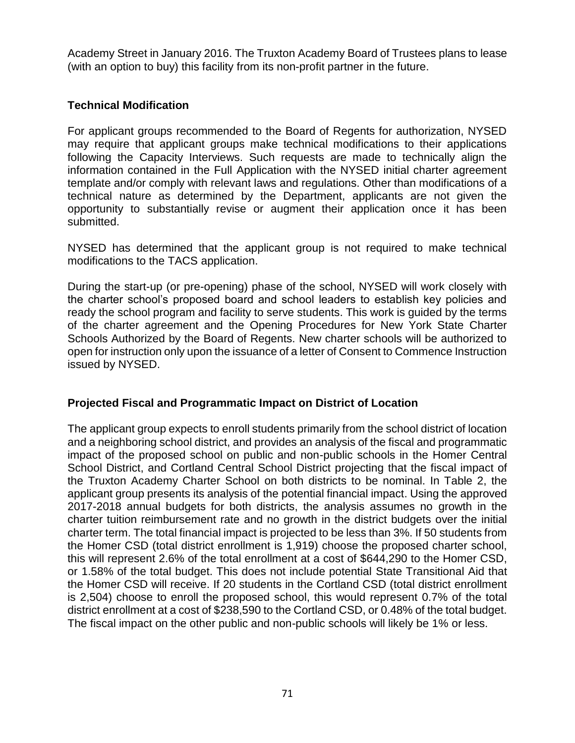Academy Street in January 2016. The Truxton Academy Board of Trustees plans to lease (with an option to buy) this facility from its non-profit partner in the future.

### **Technical Modification**

For applicant groups recommended to the Board of Regents for authorization, NYSED may require that applicant groups make technical modifications to their applications following the Capacity Interviews. Such requests are made to technically align the information contained in the Full Application with the NYSED initial charter agreement template and/or comply with relevant laws and regulations. Other than modifications of a technical nature as determined by the Department, applicants are not given the opportunity to substantially revise or augment their application once it has been submitted.

NYSED has determined that the applicant group is not required to make technical modifications to the TACS application.

During the start-up (or pre-opening) phase of the school, NYSED will work closely with the charter school's proposed board and school leaders to establish key policies and ready the school program and facility to serve students. This work is guided by the terms of the charter agreement and the Opening Procedures for New York State Charter Schools Authorized by the Board of Regents. New charter schools will be authorized to open for instruction only upon the issuance of a letter of Consent to Commence Instruction issued by NYSED.

#### **Projected Fiscal and Programmatic Impact on District of Location**

The applicant group expects to enroll students primarily from the school district of location and a neighboring school district, and provides an analysis of the fiscal and programmatic impact of the proposed school on public and non-public schools in the Homer Central School District, and Cortland Central School District projecting that the fiscal impact of the Truxton Academy Charter School on both districts to be nominal. In Table 2, the applicant group presents its analysis of the potential financial impact. Using the approved 2017-2018 annual budgets for both districts, the analysis assumes no growth in the charter tuition reimbursement rate and no growth in the district budgets over the initial charter term. The total financial impact is projected to be less than 3%. If 50 students from the Homer CSD (total district enrollment is 1,919) choose the proposed charter school, this will represent 2.6% of the total enrollment at a cost of \$644,290 to the Homer CSD, or 1.58% of the total budget. This does not include potential State Transitional Aid that the Homer CSD will receive. If 20 students in the Cortland CSD (total district enrollment is 2,504) choose to enroll the proposed school, this would represent 0.7% of the total district enrollment at a cost of \$238,590 to the Cortland CSD, or 0.48% of the total budget. The fiscal impact on the other public and non-public schools will likely be 1% or less.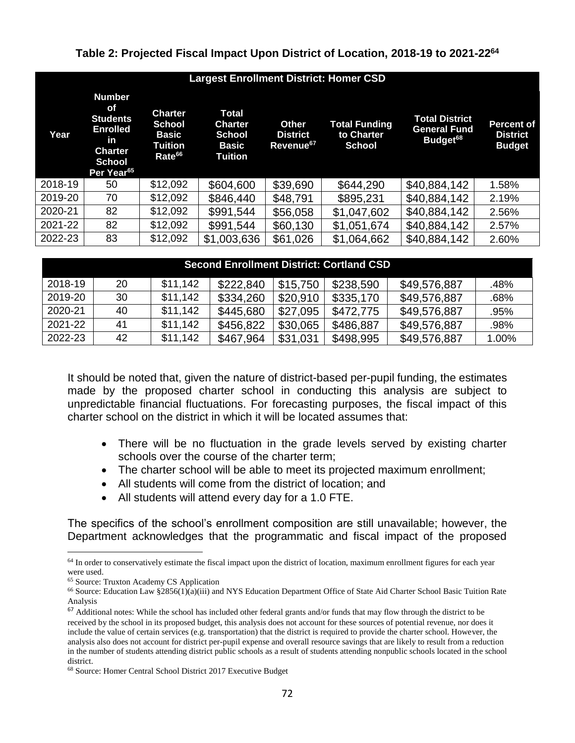#### **Table 2: Projected Fiscal Impact Upon District of Location, 2018-19 to 2021-22<sup>64</sup>**

| <b>Largest Enrollment District: Homer CSD</b> |                                                                                                                                     |                                                                                         |                                                              |                                                          |                                                     |                                                                      |                                                       |  |  |  |
|-----------------------------------------------|-------------------------------------------------------------------------------------------------------------------------------------|-----------------------------------------------------------------------------------------|--------------------------------------------------------------|----------------------------------------------------------|-----------------------------------------------------|----------------------------------------------------------------------|-------------------------------------------------------|--|--|--|
| Year                                          | <b>Number</b><br><b>of</b><br><b>Students</b><br><b>Enrolled</b><br>in<br><b>Charter</b><br><b>School</b><br>Per Year <sup>65</sup> | <b>Charter</b><br><b>School</b><br><b>Basic</b><br><b>Tuition</b><br>Rate <sup>66</sup> | Total<br><b>Charter</b><br><b>School</b><br>Basic<br>Tuition | <b>Other</b><br><b>District</b><br>Revenue <sup>67</sup> | <b>Total Funding</b><br>to Charter<br><b>School</b> | <b>Total District</b><br><b>General Fund</b><br>Budget <sup>68</sup> | <b>Percent of</b><br><b>District</b><br><b>Budget</b> |  |  |  |
| 2018-19                                       | 50                                                                                                                                  | \$12,092                                                                                | \$604,600                                                    | \$39,690                                                 | \$644,290                                           | \$40,884,142                                                         | 1.58%                                                 |  |  |  |
| 2019-20                                       | 70                                                                                                                                  | \$12,092                                                                                | \$846,440                                                    | \$48,791                                                 | \$895,231                                           | \$40,884,142                                                         | 2.19%                                                 |  |  |  |
| 2020-21                                       | 82                                                                                                                                  | \$12,092                                                                                | \$991,544                                                    | \$56,058                                                 | \$1,047,602                                         | \$40,884,142                                                         | 2.56%                                                 |  |  |  |
| 2021-22                                       | 82                                                                                                                                  | \$12,092                                                                                | \$991,544                                                    | \$60,130                                                 | \$1,051,674                                         | \$40,884,142                                                         | 2.57%                                                 |  |  |  |
| 2022-23                                       | 83                                                                                                                                  | \$12,092                                                                                | \$1,003,636                                                  | \$61,026                                                 | \$1,064,662                                         | \$40,884,142                                                         | 2.60%                                                 |  |  |  |

| <b>Second Enrollment District: Cortland CSD</b> |    |          |           |          |           |              |       |  |  |  |
|-------------------------------------------------|----|----------|-----------|----------|-----------|--------------|-------|--|--|--|
| 2018-19                                         | 20 | \$11,142 | \$222,840 | \$15,750 | \$238,590 | \$49,576,887 | .48%  |  |  |  |
| 2019-20                                         | 30 | \$11,142 | \$334,260 | \$20,910 | \$335,170 | \$49,576,887 | .68%  |  |  |  |
| 2020-21                                         | 40 | \$11,142 | \$445,680 | \$27,095 | \$472,775 | \$49,576,887 | .95%  |  |  |  |
| 2021-22                                         | 41 | \$11,142 | \$456,822 | \$30,065 | \$486,887 | \$49,576,887 | .98%  |  |  |  |
| 2022-23                                         | 42 | \$11,142 | \$467,964 | \$31,031 | \$498,995 | \$49,576,887 | 1.00% |  |  |  |

It should be noted that, given the nature of district-based per-pupil funding, the estimates made by the proposed charter school in conducting this analysis are subject to unpredictable financial fluctuations. For forecasting purposes, the fiscal impact of this charter school on the district in which it will be located assumes that:

- There will be no fluctuation in the grade levels served by existing charter schools over the course of the charter term;
- The charter school will be able to meet its projected maximum enrollment;
- All students will come from the district of location; and
- All students will attend every day for a 1.0 FTE.

The specifics of the school's enrollment composition are still unavailable; however, the Department acknowledges that the programmatic and fiscal impact of the proposed

<sup>&</sup>lt;sup>64</sup> In order to conservatively estimate the fiscal impact upon the district of location, maximum enrollment figures for each year were used.

<sup>65</sup> Source: Truxton Academy CS Application

<sup>66</sup> Source: Education Law §2856(1)(a)(iii) and NYS Education Department Office of State Aid Charter School Basic Tuition Rate Analysis

 $67$  Additional notes: While the school has included other federal grants and/or funds that may flow through the district to be received by the school in its proposed budget, this analysis does not account for these sources of potential revenue, nor does it include the value of certain services (e.g. transportation) that the district is required to provide the charter school. However, the analysis also does not account for district per-pupil expense and overall resource savings that are likely to result from a reduction in the number of students attending district public schools as a result of students attending nonpublic schools located in the school district.

<sup>68</sup> Source: Homer Central School District 2017 Executive Budget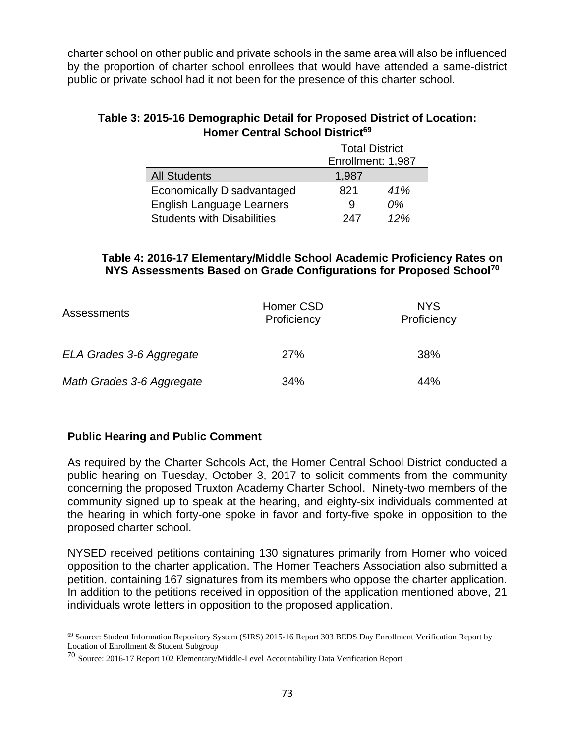charter school on other public and private schools in the same area will also be influenced by the proportion of charter school enrollees that would have attended a same-district public or private school had it not been for the presence of this charter school.

# **Table 3: 2015-16 Demographic Detail for Proposed District of Location: Homer Central School District<sup>69</sup>**

|                                   | <b>Total District</b> |     |  |
|-----------------------------------|-----------------------|-----|--|
|                                   | Enrollment: 1,987     |     |  |
| <b>All Students</b>               | 1,987                 |     |  |
| <b>Economically Disadvantaged</b> | 821                   | 41% |  |
| <b>English Language Learners</b>  | 9                     | 0%  |  |
| <b>Students with Disabilities</b> | 247                   | 12% |  |

# **Table 4: 2016-17 Elementary/Middle School Academic Proficiency Rates on NYS Assessments Based on Grade Configurations for Proposed School<sup>70</sup>**

| Assessments               | Homer CSD<br>Proficiency | <b>NYS</b><br>Proficiency |  |
|---------------------------|--------------------------|---------------------------|--|
| ELA Grades 3-6 Aggregate  | <b>27%</b>               | 38%                       |  |
| Math Grades 3-6 Aggregate | 34%                      | 44%                       |  |

# **Public Hearing and Public Comment**

As required by the Charter Schools Act, the Homer Central School District conducted a public hearing on Tuesday, October 3, 2017 to solicit comments from the community concerning the proposed Truxton Academy Charter School. Ninety-two members of the community signed up to speak at the hearing, and eighty-six individuals commented at the hearing in which forty-one spoke in favor and forty-five spoke in opposition to the proposed charter school.

NYSED received petitions containing 130 signatures primarily from Homer who voiced opposition to the charter application. The Homer Teachers Association also submitted a petition, containing 167 signatures from its members who oppose the charter application. In addition to the petitions received in opposition of the application mentioned above, 21 individuals wrote letters in opposition to the proposed application.

 $\overline{a}$ <sup>69</sup> Source: Student Information Repository System (SIRS) 2015-16 Report 303 BEDS Day Enrollment Verification Report by Location of Enrollment & Student Subgroup

<sup>70</sup> Source: 2016-17 Report 102 Elementary/Middle-Level Accountability Data Verification Report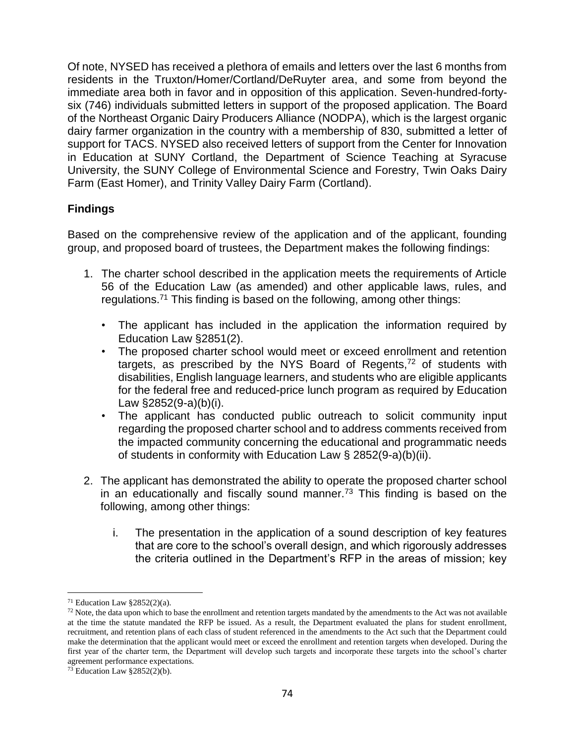Of note, NYSED has received a plethora of emails and letters over the last 6 months from residents in the Truxton/Homer/Cortland/DeRuyter area, and some from beyond the immediate area both in favor and in opposition of this application. Seven-hundred-fortysix (746) individuals submitted letters in support of the proposed application. The Board of the Northeast Organic Dairy Producers Alliance (NODPA), which is the largest organic dairy farmer organization in the country with a membership of 830, submitted a letter of support for TACS. NYSED also received letters of support from the Center for Innovation in Education at SUNY Cortland, the Department of Science Teaching at Syracuse University, the SUNY College of Environmental Science and Forestry, Twin Oaks Dairy Farm (East Homer), and Trinity Valley Dairy Farm (Cortland).

# **Findings**

Based on the comprehensive review of the application and of the applicant, founding group, and proposed board of trustees, the Department makes the following findings:

- 1. The charter school described in the application meets the requirements of Article 56 of the Education Law (as amended) and other applicable laws, rules, and regulations.<sup>71</sup> This finding is based on the following, among other things:
	- The applicant has included in the application the information required by Education Law §2851(2).
	- The proposed charter school would meet or exceed enrollment and retention targets, as prescribed by the NYS Board of Regents,<sup>72</sup> of students with disabilities, English language learners, and students who are eligible applicants for the federal free and reduced-price lunch program as required by Education Law §2852(9-a)(b)(i).
	- The applicant has conducted public outreach to solicit community input regarding the proposed charter school and to address comments received from the impacted community concerning the educational and programmatic needs of students in conformity with Education Law § 2852(9-a)(b)(ii).
- 2. The applicant has demonstrated the ability to operate the proposed charter school in an educationally and fiscally sound manner.<sup>73</sup> This finding is based on the following, among other things:
	- i. The presentation in the application of a sound description of key features that are core to the school's overall design, and which rigorously addresses the criteria outlined in the Department's RFP in the areas of mission; key

<sup>&</sup>lt;sup>71</sup> Education Law  $\S 2852(2)(a)$ .

 $72$  Note, the data upon which to base the enrollment and retention targets mandated by the amendments to the Act was not available at the time the statute mandated the RFP be issued. As a result, the Department evaluated the plans for student enrollment, recruitment, and retention plans of each class of student referenced in the amendments to the Act such that the Department could make the determination that the applicant would meet or exceed the enrollment and retention targets when developed. During the first year of the charter term, the Department will develop such targets and incorporate these targets into the school's charter agreement performance expectations.

 $73$  Education Law §2852(2)(b).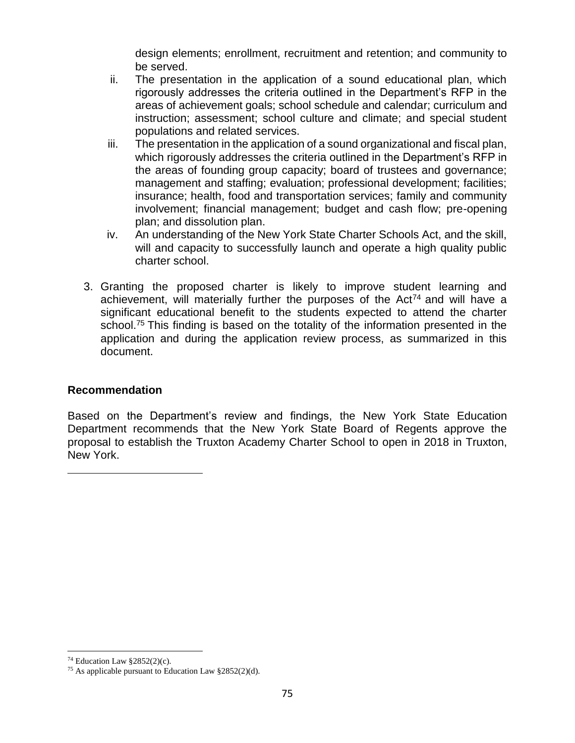design elements; enrollment, recruitment and retention; and community to be served.

- ii. The presentation in the application of a sound educational plan, which rigorously addresses the criteria outlined in the Department's RFP in the areas of achievement goals; school schedule and calendar; curriculum and instruction; assessment; school culture and climate; and special student populations and related services.
- iii. The presentation in the application of a sound organizational and fiscal plan, which rigorously addresses the criteria outlined in the Department's RFP in the areas of founding group capacity; board of trustees and governance; management and staffing; evaluation; professional development; facilities; insurance; health, food and transportation services; family and community involvement; financial management; budget and cash flow; pre-opening plan; and dissolution plan.
- iv. An understanding of the New York State Charter Schools Act, and the skill, will and capacity to successfully launch and operate a high quality public charter school.
- 3. Granting the proposed charter is likely to improve student learning and achievement, will materially further the purposes of the Act<sup>74</sup> and will have a significant educational benefit to the students expected to attend the charter school.<sup>75</sup> This finding is based on the totality of the information presented in the application and during the application review process, as summarized in this document.

# **Recommendation**

Based on the Department's review and findings, the New York State Education Department recommends that the New York State Board of Regents approve the proposal to establish the Truxton Academy Charter School to open in 2018 in Truxton, New York.

<sup>&</sup>lt;sup>74</sup> Education Law  $§2852(2)(c)$ .

<sup>75</sup> As applicable pursuant to Education Law §2852(2)(d).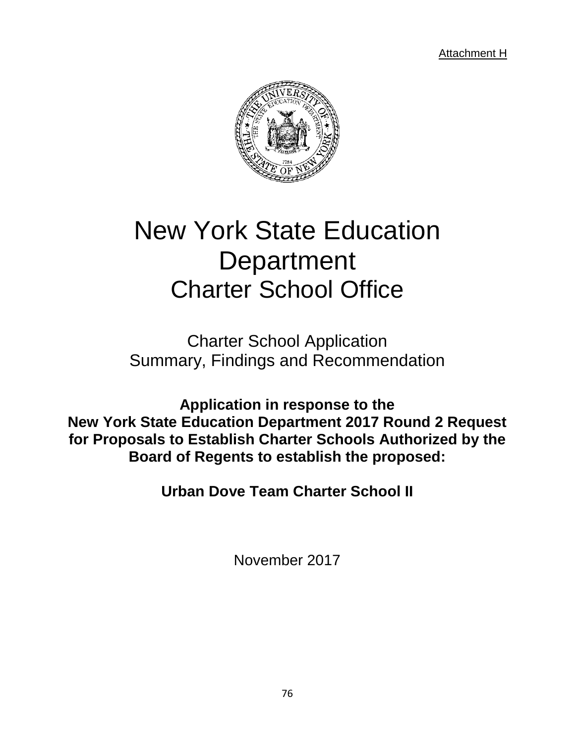Attachment H



# New York State Education **Department** Charter School Office

Charter School Application Summary, Findings and Recommendation

**Application in response to the New York State Education Department 2017 Round 2 Request for Proposals to Establish Charter Schools Authorized by the Board of Regents to establish the proposed:**

**Urban Dove Team Charter School II**

November 2017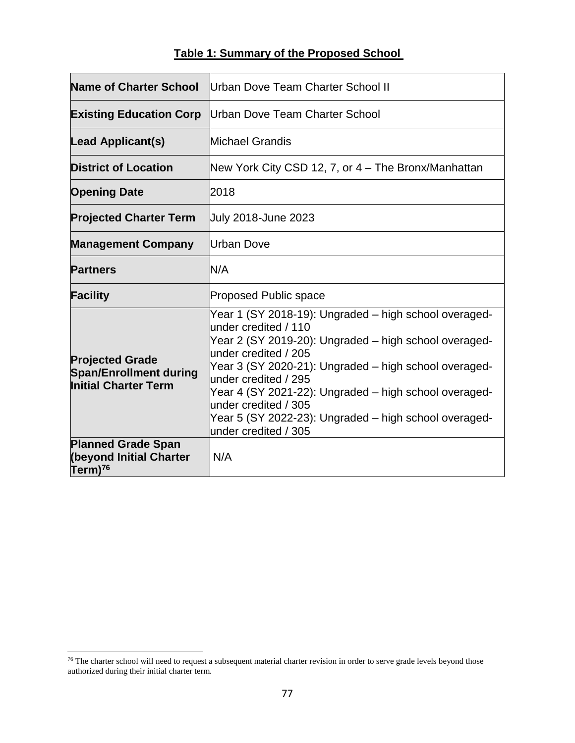# **Table 1: Summary of the Proposed School**

| <b>Name of Charter School</b>                                                          | Urban Dove Team Charter School II                                                                                                                                                                                                                                                                                                                                                                                 |  |  |
|----------------------------------------------------------------------------------------|-------------------------------------------------------------------------------------------------------------------------------------------------------------------------------------------------------------------------------------------------------------------------------------------------------------------------------------------------------------------------------------------------------------------|--|--|
| <b>Existing Education Corp</b>                                                         | Urban Dove Team Charter School                                                                                                                                                                                                                                                                                                                                                                                    |  |  |
| <b>Lead Applicant(s)</b>                                                               | Michael Grandis                                                                                                                                                                                                                                                                                                                                                                                                   |  |  |
| <b>District of Location</b>                                                            | New York City CSD 12, 7, or 4 – The Bronx/Manhattan                                                                                                                                                                                                                                                                                                                                                               |  |  |
| <b>Opening Date</b>                                                                    | 2018                                                                                                                                                                                                                                                                                                                                                                                                              |  |  |
| <b>Projected Charter Term</b>                                                          | July 2018-June 2023                                                                                                                                                                                                                                                                                                                                                                                               |  |  |
| <b>Management Company</b>                                                              | Urban Dove                                                                                                                                                                                                                                                                                                                                                                                                        |  |  |
| <b>Partners</b>                                                                        | N/A                                                                                                                                                                                                                                                                                                                                                                                                               |  |  |
| <b>Facility</b>                                                                        | <b>Proposed Public space</b>                                                                                                                                                                                                                                                                                                                                                                                      |  |  |
| <b>Projected Grade</b><br><b>Span/Enrollment during</b><br><b>Initial Charter Term</b> | Year 1 (SY 2018-19): Ungraded – high school overaged-<br>under credited / 110<br>Year 2 (SY 2019-20): Ungraded – high school overaged-<br>under credited / 205<br>Year 3 (SY 2020-21): Ungraded – high school overaged-<br>under credited / 295<br>Year 4 (SY 2021-22): Ungraded – high school overaged-<br>under credited / 305<br>Year 5 (SY 2022-23): Ungraded – high school overaged-<br>under credited / 305 |  |  |
| <b>Planned Grade Span</b><br><b>(beyond Initial Charter</b><br>Term) <sup>76</sup>     | N/A                                                                                                                                                                                                                                                                                                                                                                                                               |  |  |

 $76$  The charter school will need to request a subsequent material charter revision in order to serve grade levels beyond those authorized during their initial charter term.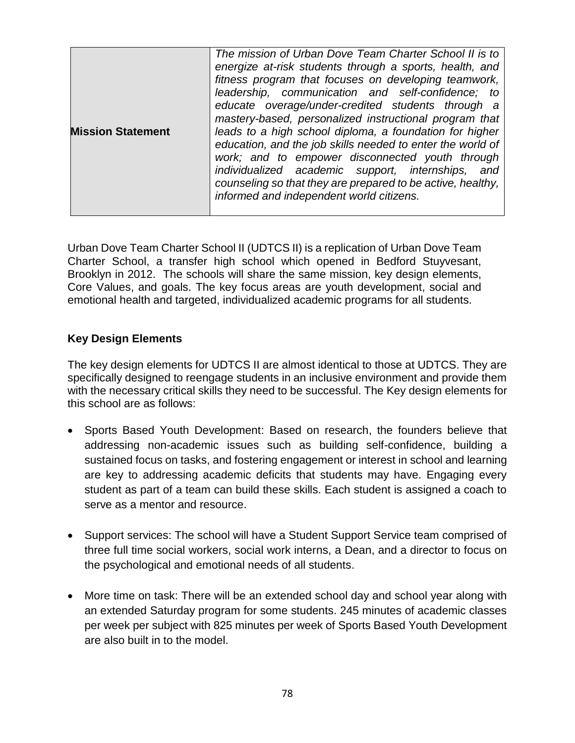| <b>Mission Statement</b> | The mission of Urban Dove Team Charter School II is to<br>energize at-risk students through a sports, health, and<br>fitness program that focuses on developing teamwork,<br>leadership, communication and self-confidence; to<br>educate overage/under-credited students through a<br>mastery-based, personalized instructional program that<br>leads to a high school diploma, a foundation for higher<br>education, and the job skills needed to enter the world of<br>work; and to empower disconnected youth through<br>individualized academic support, internships,<br>and<br>counseling so that they are prepared to be active, healthy,<br>informed and independent world citizens. |
|--------------------------|----------------------------------------------------------------------------------------------------------------------------------------------------------------------------------------------------------------------------------------------------------------------------------------------------------------------------------------------------------------------------------------------------------------------------------------------------------------------------------------------------------------------------------------------------------------------------------------------------------------------------------------------------------------------------------------------|
|--------------------------|----------------------------------------------------------------------------------------------------------------------------------------------------------------------------------------------------------------------------------------------------------------------------------------------------------------------------------------------------------------------------------------------------------------------------------------------------------------------------------------------------------------------------------------------------------------------------------------------------------------------------------------------------------------------------------------------|

Urban Dove Team Charter School II (UDTCS II) is a replication of Urban Dove Team Charter School, a transfer high school which opened in Bedford Stuyvesant, Brooklyn in 2012. The schools will share the same mission, key design elements, Core Values, and goals. The key focus areas are youth development, social and emotional health and targeted, individualized academic programs for all students.

# **Key Design Elements**

The key design elements for UDTCS II are almost identical to those at UDTCS. They are specifically designed to reengage students in an inclusive environment and provide them with the necessary critical skills they need to be successful. The Key design elements for this school are as follows:

- Sports Based Youth Development: Based on research, the founders believe that addressing non-academic issues such as building self-confidence, building a sustained focus on tasks, and fostering engagement or interest in school and learning are key to addressing academic deficits that students may have. Engaging every student as part of a team can build these skills. Each student is assigned a coach to serve as a mentor and resource.
- Support services: The school will have a Student Support Service team comprised of three full time social workers, social work interns, a Dean, and a director to focus on the psychological and emotional needs of all students.
- More time on task: There will be an extended school day and school year along with an extended Saturday program for some students. 245 minutes of academic classes per week per subject with 825 minutes per week of Sports Based Youth Development are also built in to the model.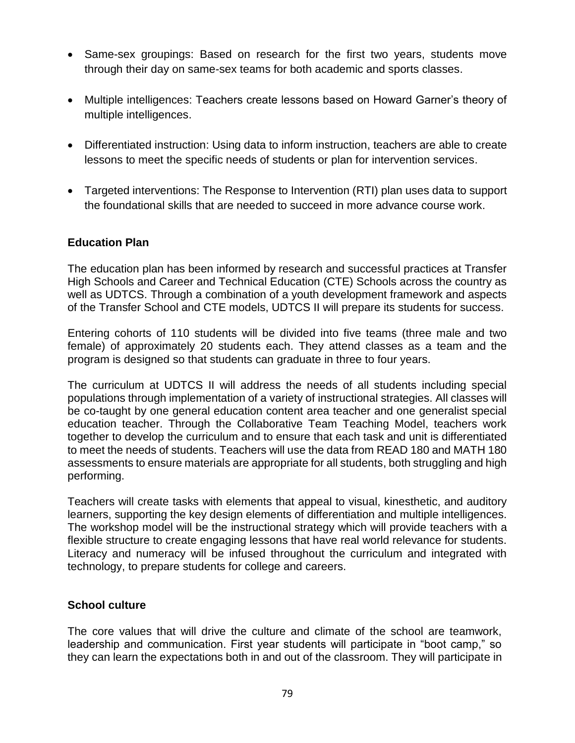- Same-sex groupings: Based on research for the first two years, students move through their day on same-sex teams for both academic and sports classes.
- Multiple intelligences: Teachers create lessons based on Howard Garner's theory of multiple intelligences.
- Differentiated instruction: Using data to inform instruction, teachers are able to create lessons to meet the specific needs of students or plan for intervention services.
- Targeted interventions: The Response to Intervention (RTI) plan uses data to support the foundational skills that are needed to succeed in more advance course work.

# **Education Plan**

The education plan has been informed by research and successful practices at Transfer High Schools and Career and Technical Education (CTE) Schools across the country as well as UDTCS. Through a combination of a youth development framework and aspects of the Transfer School and CTE models, UDTCS II will prepare its students for success.

Entering cohorts of 110 students will be divided into five teams (three male and two female) of approximately 20 students each. They attend classes as a team and the program is designed so that students can graduate in three to four years.

The curriculum at UDTCS II will address the needs of all students including special populations through implementation of a variety of instructional strategies. All classes will be co-taught by one general education content area teacher and one generalist special education teacher. Through the Collaborative Team Teaching Model, teachers work together to develop the curriculum and to ensure that each task and unit is differentiated to meet the needs of students. Teachers will use the data from READ 180 and MATH 180 assessments to ensure materials are appropriate for all students, both struggling and high performing.

Teachers will create tasks with elements that appeal to visual, kinesthetic, and auditory learners, supporting the key design elements of differentiation and multiple intelligences. The workshop model will be the instructional strategy which will provide teachers with a flexible structure to create engaging lessons that have real world relevance for students. Literacy and numeracy will be infused throughout the curriculum and integrated with technology, to prepare students for college and careers.

# **School culture**

The core values that will drive the culture and climate of the school are teamwork, leadership and communication. First year students will participate in "boot camp," so they can learn the expectations both in and out of the classroom. They will participate in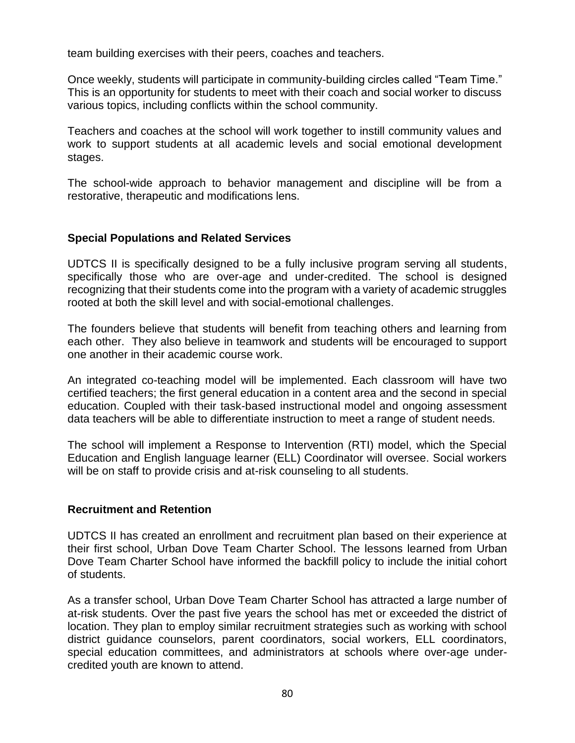team building exercises with their peers, coaches and teachers.

Once weekly, students will participate in community-building circles called "Team Time." This is an opportunity for students to meet with their coach and social worker to discuss various topics, including conflicts within the school community.

Teachers and coaches at the school will work together to instill community values and work to support students at all academic levels and social emotional development stages.

The school-wide approach to behavior management and discipline will be from a restorative, therapeutic and modifications lens.

# **Special Populations and Related Services**

UDTCS II is specifically designed to be a fully inclusive program serving all students, specifically those who are over-age and under-credited. The school is designed recognizing that their students come into the program with a variety of academic struggles rooted at both the skill level and with social-emotional challenges.

The founders believe that students will benefit from teaching others and learning from each other. They also believe in teamwork and students will be encouraged to support one another in their academic course work.

An integrated co-teaching model will be implemented. Each classroom will have two certified teachers; the first general education in a content area and the second in special education. Coupled with their task-based instructional model and ongoing assessment data teachers will be able to differentiate instruction to meet a range of student needs.

The school will implement a Response to Intervention (RTI) model, which the Special Education and English language learner (ELL) Coordinator will oversee. Social workers will be on staff to provide crisis and at-risk counseling to all students.

#### **Recruitment and Retention**

UDTCS II has created an enrollment and recruitment plan based on their experience at their first school, Urban Dove Team Charter School. The lessons learned from Urban Dove Team Charter School have informed the backfill policy to include the initial cohort of students.

As a transfer school, Urban Dove Team Charter School has attracted a large number of at-risk students. Over the past five years the school has met or exceeded the district of location. They plan to employ similar recruitment strategies such as working with school district guidance counselors, parent coordinators, social workers, ELL coordinators, special education committees, and administrators at schools where over-age undercredited youth are known to attend.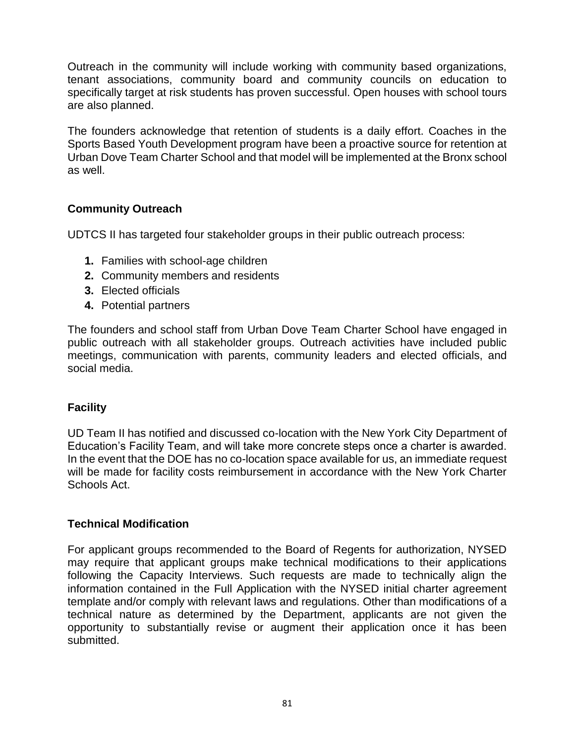Outreach in the community will include working with community based organizations, tenant associations, community board and community councils on education to specifically target at risk students has proven successful. Open houses with school tours are also planned.

The founders acknowledge that retention of students is a daily effort. Coaches in the Sports Based Youth Development program have been a proactive source for retention at Urban Dove Team Charter School and that model will be implemented at the Bronx school as well.

# **Community Outreach**

UDTCS II has targeted four stakeholder groups in their public outreach process:

- **1.** Families with school-age children
- **2.** Community members and residents
- **3.** Elected officials
- **4.** Potential partners

The founders and school staff from Urban Dove Team Charter School have engaged in public outreach with all stakeholder groups. Outreach activities have included public meetings, communication with parents, community leaders and elected officials, and social media.

# **Facility**

UD Team II has notified and discussed co-location with the New York City Department of Education's Facility Team, and will take more concrete steps once a charter is awarded. In the event that the DOE has no co-location space available for us, an immediate request will be made for facility costs reimbursement in accordance with the New York Charter Schools Act.

# **Technical Modification**

For applicant groups recommended to the Board of Regents for authorization, NYSED may require that applicant groups make technical modifications to their applications following the Capacity Interviews. Such requests are made to technically align the information contained in the Full Application with the NYSED initial charter agreement template and/or comply with relevant laws and regulations. Other than modifications of a technical nature as determined by the Department, applicants are not given the opportunity to substantially revise or augment their application once it has been submitted.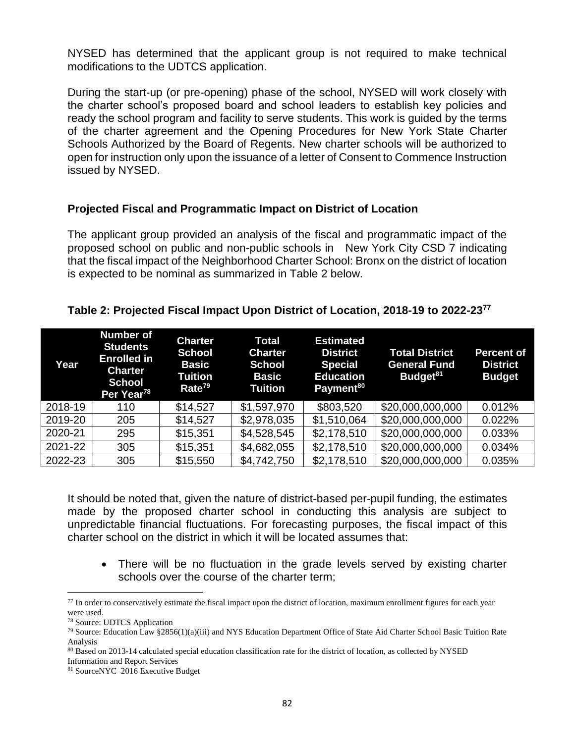NYSED has determined that the applicant group is not required to make technical modifications to the UDTCS application.

During the start-up (or pre-opening) phase of the school, NYSED will work closely with the charter school's proposed board and school leaders to establish key policies and ready the school program and facility to serve students. This work is guided by the terms of the charter agreement and the Opening Procedures for New York State Charter Schools Authorized by the Board of Regents. New charter schools will be authorized to open for instruction only upon the issuance of a letter of Consent to Commence Instruction issued by NYSED.

# **Projected Fiscal and Programmatic Impact on District of Location**

The applicant group provided an analysis of the fiscal and programmatic impact of the proposed school on public and non-public schools in New York City CSD 7 indicating that the fiscal impact of the Neighborhood Charter School: Bronx on the district of location is expected to be nominal as summarized in Table 2 below.

# **Table 2: Projected Fiscal Impact Upon District of Location, 2018-19 to 2022-23 77**

| Year    | <b>Number of</b><br><b>Students</b><br><b>Enrolled in</b><br><b>Charter</b><br><b>School</b><br>Per Year <sup>78</sup> | <b>Charter</b><br><b>School</b><br><b>Basic</b><br>Tuition<br>Rate <sup>79</sup> | <b>Total</b><br><b>Charter</b><br><b>School</b><br><b>Basic</b><br><b>Tuition</b> | <b>Estimated</b><br><b>District</b><br><b>Special</b><br><b>Education</b><br>Payment <sup>80</sup> | <b>Total District</b><br><b>General Fund</b><br>Budget <sup>81</sup> | <b>Percent of</b><br><b>District</b><br><b>Budget</b> |
|---------|------------------------------------------------------------------------------------------------------------------------|----------------------------------------------------------------------------------|-----------------------------------------------------------------------------------|----------------------------------------------------------------------------------------------------|----------------------------------------------------------------------|-------------------------------------------------------|
| 2018-19 | 110                                                                                                                    | \$14,527                                                                         | \$1,597,970                                                                       | \$803,520                                                                                          | \$20,000,000,000                                                     | 0.012%                                                |
| 2019-20 | 205                                                                                                                    | \$14,527                                                                         | \$2,978,035                                                                       | \$1,510,064                                                                                        | \$20,000,000,000                                                     | 0.022%                                                |
| 2020-21 | 295                                                                                                                    | \$15,351                                                                         | \$4,528,545                                                                       | \$2,178,510                                                                                        | \$20,000,000,000                                                     | 0.033%                                                |
| 2021-22 | 305                                                                                                                    | \$15,351                                                                         | \$4,682,055                                                                       | \$2,178,510                                                                                        | \$20,000,000,000                                                     | 0.034%                                                |
| 2022-23 | 305                                                                                                                    | \$15,550                                                                         | \$4,742,750                                                                       | \$2,178,510                                                                                        | \$20,000,000,000                                                     | 0.035%                                                |

It should be noted that, given the nature of district-based per-pupil funding, the estimates made by the proposed charter school in conducting this analysis are subject to unpredictable financial fluctuations. For forecasting purposes, the fiscal impact of this charter school on the district in which it will be located assumes that:

• There will be no fluctuation in the grade levels served by existing charter schools over the course of the charter term;

 $77$  In order to conservatively estimate the fiscal impact upon the district of location, maximum enrollment figures for each year were used.

<sup>78</sup> Source: UDTCS Application

<sup>&</sup>lt;sup>79</sup> Source: Education Law §2856(1)(a)(iii) and NYS Education Department Office of State Aid Charter School Basic Tuition Rate Analysis

<sup>80</sup> Based on 2013-14 calculated special education classification rate for the district of location, as collected by NYSED Information and Report Services

<sup>81</sup> SourceNYC 2016 Executive Budget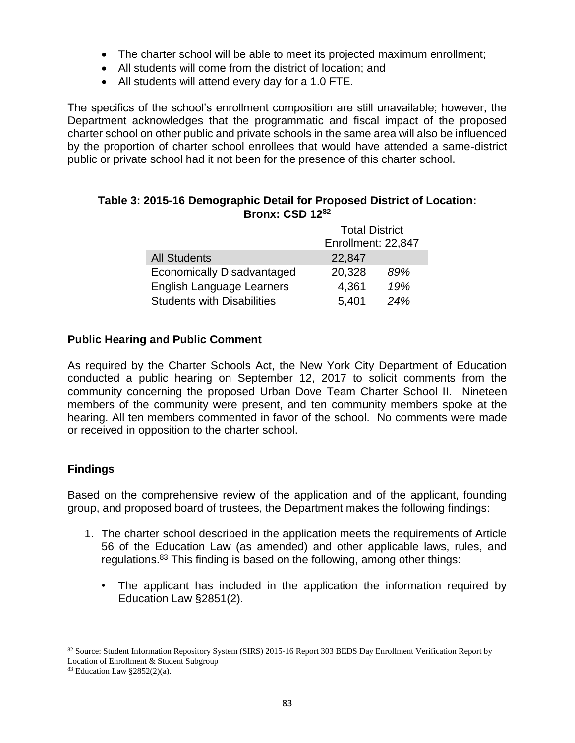- The charter school will be able to meet its projected maximum enrollment;
- All students will come from the district of location; and
- All students will attend every day for a 1.0 FTE.

The specifics of the school's enrollment composition are still unavailable; however, the Department acknowledges that the programmatic and fiscal impact of the proposed charter school on other public and private schools in the same area will also be influenced by the proportion of charter school enrollees that would have attended a same-district public or private school had it not been for the presence of this charter school.

|                                   | <b>Total District</b> |     |  |
|-----------------------------------|-----------------------|-----|--|
|                                   | Enrollment: 22,847    |     |  |
| <b>All Students</b>               | 22,847                |     |  |
| <b>Economically Disadvantaged</b> | 20,328                | 89% |  |
| <b>English Language Learners</b>  | 4,361                 | 19% |  |
| <b>Students with Disabilities</b> | 5,401                 | 24% |  |

# **Table 3: 2015-16 Demographic Detail for Proposed District of Location: Bronx: CSD 12<sup>82</sup>**

#### **Public Hearing and Public Comment**

As required by the Charter Schools Act, the New York City Department of Education conducted a public hearing on September 12, 2017 to solicit comments from the community concerning the proposed Urban Dove Team Charter School II. Nineteen members of the community were present, and ten community members spoke at the hearing. All ten members commented in favor of the school. No comments were made or received in opposition to the charter school.

# **Findings**

 $\overline{a}$ 

Based on the comprehensive review of the application and of the applicant, founding group, and proposed board of trustees, the Department makes the following findings:

- 1. The charter school described in the application meets the requirements of Article 56 of the Education Law (as amended) and other applicable laws, rules, and regulations.<sup>83</sup> This finding is based on the following, among other things:
	- The applicant has included in the application the information required by Education Law §2851(2).

<sup>82</sup> Source: Student Information Repository System (SIRS) 2015-16 Report 303 BEDS Day Enrollment Verification Report by Location of Enrollment & Student Subgroup

 $83$  Education Law  $\S 2852(2)(a)$ .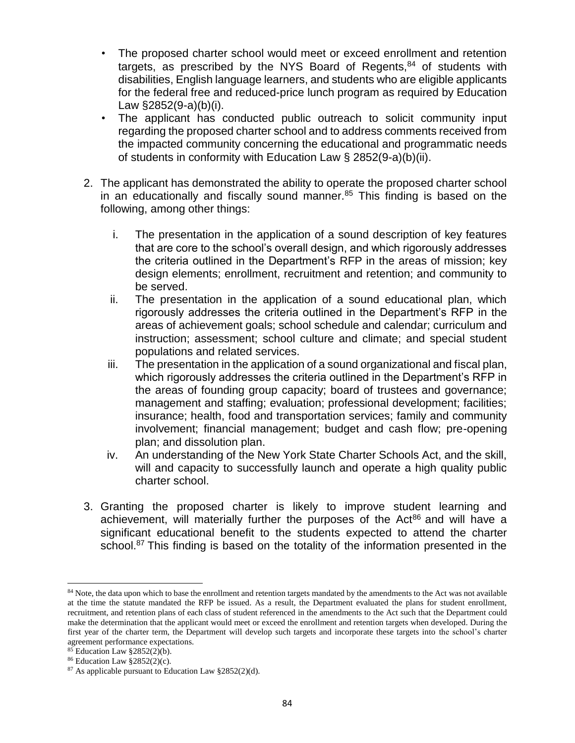- The proposed charter school would meet or exceed enrollment and retention targets, as prescribed by the NYS Board of Regents, $84$  of students with disabilities, English language learners, and students who are eligible applicants for the federal free and reduced-price lunch program as required by Education Law §2852(9-a)(b)(i).
- The applicant has conducted public outreach to solicit community input regarding the proposed charter school and to address comments received from the impacted community concerning the educational and programmatic needs of students in conformity with Education Law § 2852(9-a)(b)(ii).
- 2. The applicant has demonstrated the ability to operate the proposed charter school in an educationally and fiscally sound manner. $85$  This finding is based on the following, among other things:
	- i. The presentation in the application of a sound description of key features that are core to the school's overall design, and which rigorously addresses the criteria outlined in the Department's RFP in the areas of mission; key design elements; enrollment, recruitment and retention; and community to be served.
	- ii. The presentation in the application of a sound educational plan, which rigorously addresses the criteria outlined in the Department's RFP in the areas of achievement goals; school schedule and calendar; curriculum and instruction; assessment; school culture and climate; and special student populations and related services.
	- iii. The presentation in the application of a sound organizational and fiscal plan, which rigorously addresses the criteria outlined in the Department's RFP in the areas of founding group capacity; board of trustees and governance; management and staffing; evaluation; professional development; facilities; insurance; health, food and transportation services; family and community involvement; financial management; budget and cash flow; pre-opening plan; and dissolution plan.
	- iv. An understanding of the New York State Charter Schools Act, and the skill, will and capacity to successfully launch and operate a high quality public charter school.
- 3. Granting the proposed charter is likely to improve student learning and achievement, will materially further the purposes of the Act $86$  and will have a significant educational benefit to the students expected to attend the charter school.<sup>87</sup> This finding is based on the totality of the information presented in the

<sup>&</sup>lt;sup>84</sup> Note, the data upon which to base the enrollment and retention targets mandated by the amendments to the Act was not available at the time the statute mandated the RFP be issued. As a result, the Department evaluated the plans for student enrollment, recruitment, and retention plans of each class of student referenced in the amendments to the Act such that the Department could make the determination that the applicant would meet or exceed the enrollment and retention targets when developed. During the first year of the charter term, the Department will develop such targets and incorporate these targets into the school's charter agreement performance expectations.

<sup>85</sup> Education Law §2852(2)(b).

<sup>86</sup> Education Law §2852(2)(c).

<sup>87</sup> As applicable pursuant to Education Law §2852(2)(d).